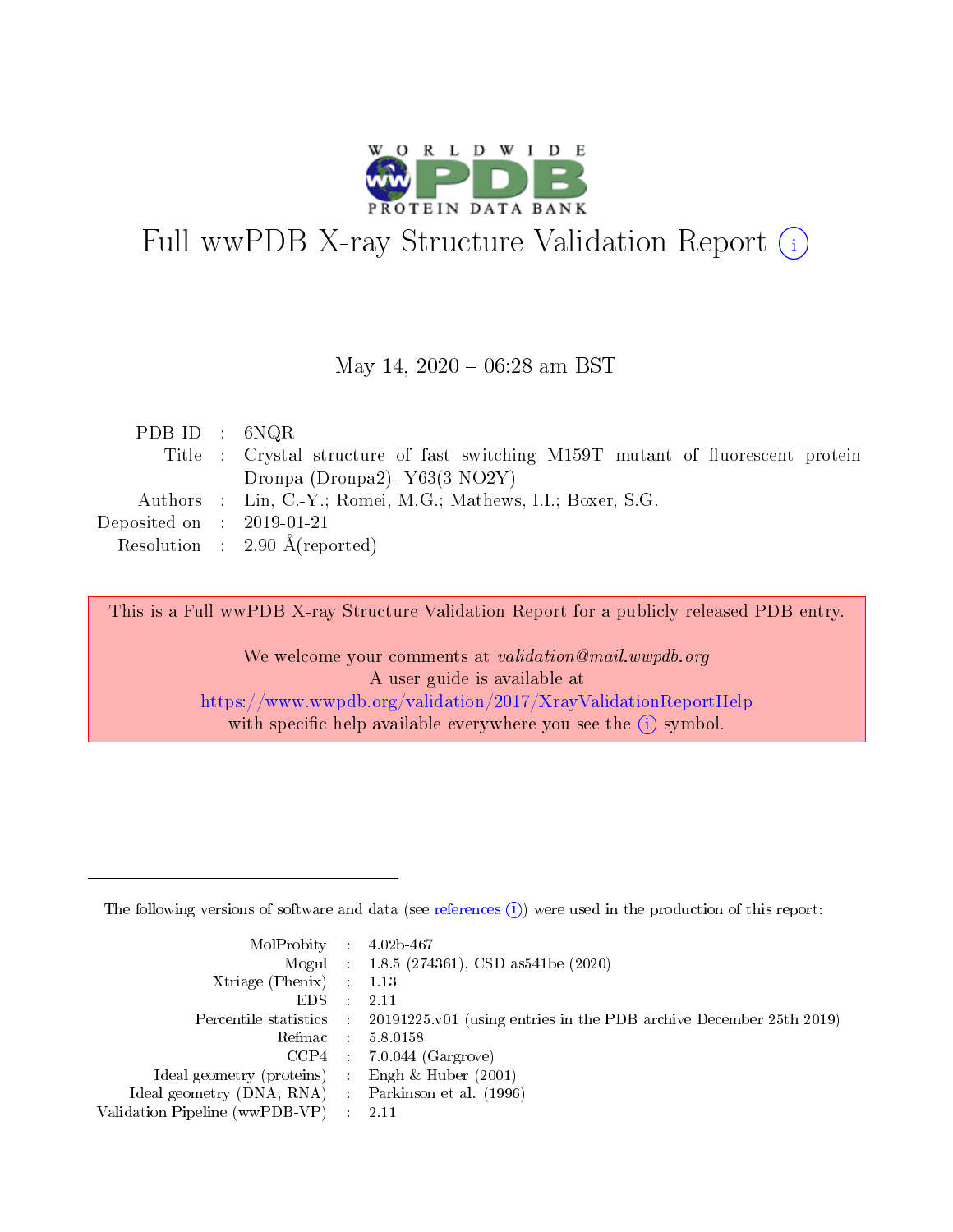

# Full wwPDB X-ray Structure Validation Report (i)

#### May 14,  $2020 - 06:28$  am BST

| PDB ID : $6NQR$             |                                                                                 |
|-----------------------------|---------------------------------------------------------------------------------|
|                             | Title : Crystal structure of fast switching M159T mutant of fluorescent protein |
|                             | Dronpa (Dronpa2) $Y63(3-NO2Y)$                                                  |
|                             | Authors : Lin, C.-Y.; Romei, M.G.; Mathews, I.I.; Boxer, S.G.                   |
| Deposited on : $2019-01-21$ |                                                                                 |
|                             | Resolution : $2.90 \text{ Å}$ (reported)                                        |
|                             |                                                                                 |

This is a Full wwPDB X-ray Structure Validation Report for a publicly released PDB entry.

We welcome your comments at validation@mail.wwpdb.org A user guide is available at <https://www.wwpdb.org/validation/2017/XrayValidationReportHelp> with specific help available everywhere you see the  $(i)$  symbol.

The following versions of software and data (see [references](https://www.wwpdb.org/validation/2017/XrayValidationReportHelp#references)  $(1)$ ) were used in the production of this report:

| $MolProbability$ : 4.02b-467                      |                              |                                                                                            |
|---------------------------------------------------|------------------------------|--------------------------------------------------------------------------------------------|
|                                                   |                              | Mogul : $1.8.5$ (274361), CSD as 541be (2020)                                              |
| Xtriage (Phenix) $: 1.13$                         |                              |                                                                                            |
| EDS –                                             | $\sim$                       | -2.11                                                                                      |
|                                                   |                              | Percentile statistics : 20191225.v01 (using entries in the PDB archive December 25th 2019) |
| Refmac : 5.8.0158                                 |                              |                                                                                            |
| CCP4                                              |                              | $7.0.044$ (Gargrove)                                                                       |
| Ideal geometry (proteins)                         | $\mathcal{L}_{\mathrm{eff}}$ | Engh & Huber $(2001)$                                                                      |
| Ideal geometry (DNA, RNA) Parkinson et al. (1996) |                              |                                                                                            |
| Validation Pipeline (wwPDB-VP) : 2.11             |                              |                                                                                            |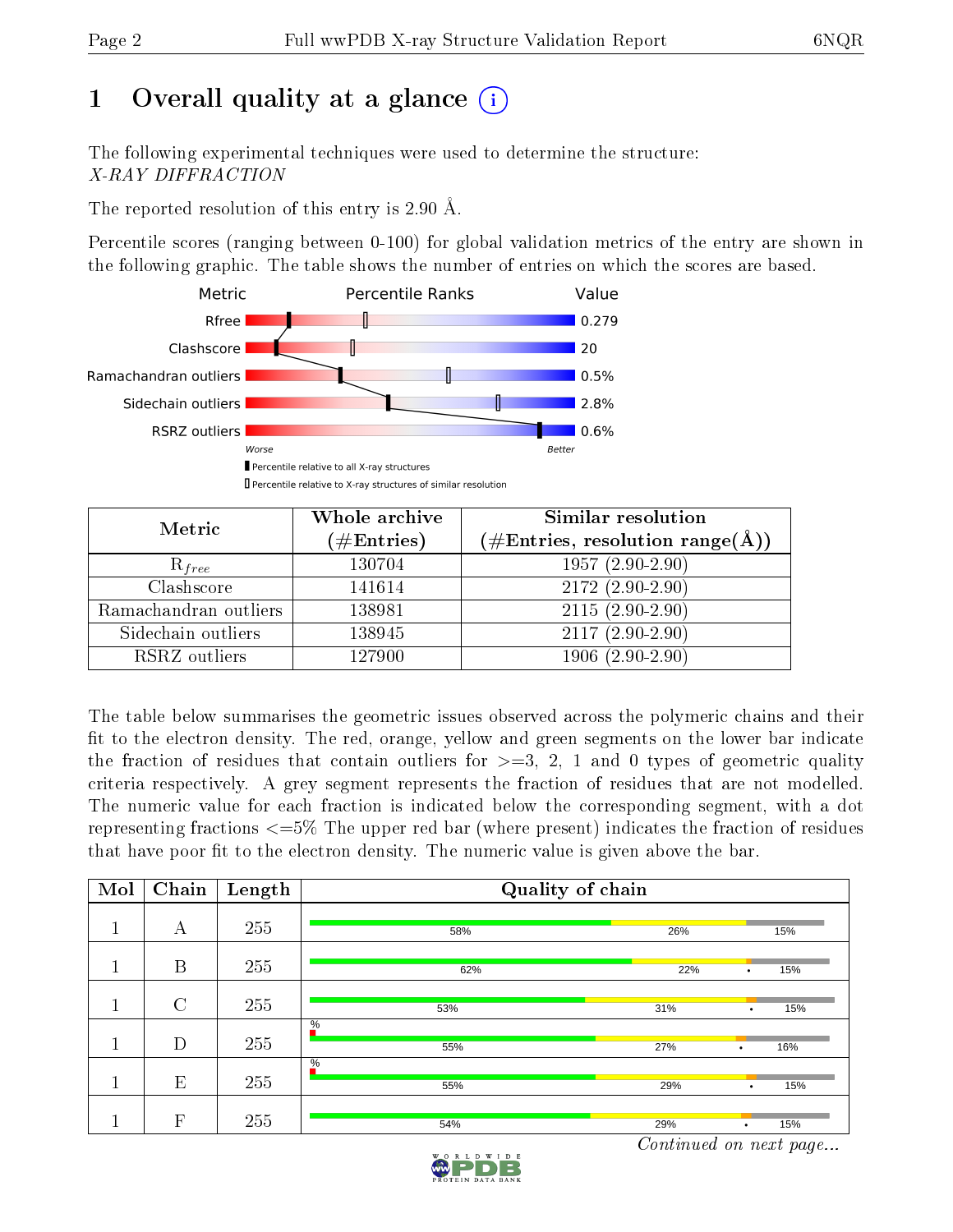# 1 [O](https://www.wwpdb.org/validation/2017/XrayValidationReportHelp#overall_quality)verall quality at a glance  $(i)$

The following experimental techniques were used to determine the structure: X-RAY DIFFRACTION

The reported resolution of this entry is 2.90 Å.

Percentile scores (ranging between 0-100) for global validation metrics of the entry are shown in the following graphic. The table shows the number of entries on which the scores are based.



| Metric                | Whole archive<br>$(\#\mathrm{Entries})$ | Similar resolution<br>$(\#\text{Entries},\,\text{resolution}\,\,\text{range}(\textup{\AA}))$ |
|-----------------------|-----------------------------------------|----------------------------------------------------------------------------------------------|
| $R_{free}$            | 130704                                  | $1957(2.90-2.90)$                                                                            |
| Clashscore            | 141614                                  | $2172(2.90-2.90)$                                                                            |
| Ramachandran outliers | 138981                                  | $2115(2.90-2.90)$                                                                            |
| Sidechain outliers    | 138945                                  | $2117(2.90-2.90)$                                                                            |
| RSRZ outliers         | 127900                                  | $1906(2.90-2.90)$                                                                            |

The table below summarises the geometric issues observed across the polymeric chains and their fit to the electron density. The red, orange, yellow and green segments on the lower bar indicate the fraction of residues that contain outliers for  $>=3, 2, 1$  and 0 types of geometric quality criteria respectively. A grey segment represents the fraction of residues that are not modelled. The numeric value for each fraction is indicated below the corresponding segment, with a dot representing fractions  $\epsilon=5\%$  The upper red bar (where present) indicates the fraction of residues that have poor fit to the electron density. The numeric value is given above the bar.

| Mol | Chain          | Length | Quality of chain     |     |                  |  |  |
|-----|----------------|--------|----------------------|-----|------------------|--|--|
|     | А              | 255    | 58%                  | 26% | 15%              |  |  |
|     | B              | 255    | 62%                  | 22% | 15%<br>٠         |  |  |
|     | $\overline{C}$ | 255    | 53%                  | 31% | 15%<br>$\bullet$ |  |  |
|     | D              | 255    | $\frac{0}{6}$<br>55% | 27% | 16%<br>٠         |  |  |
|     | E              | 255    | $\frac{0}{6}$<br>55% | 29% | 15%<br>٠         |  |  |
|     | F              | 255    | 54%                  | 29% | 15%<br>$\bullet$ |  |  |

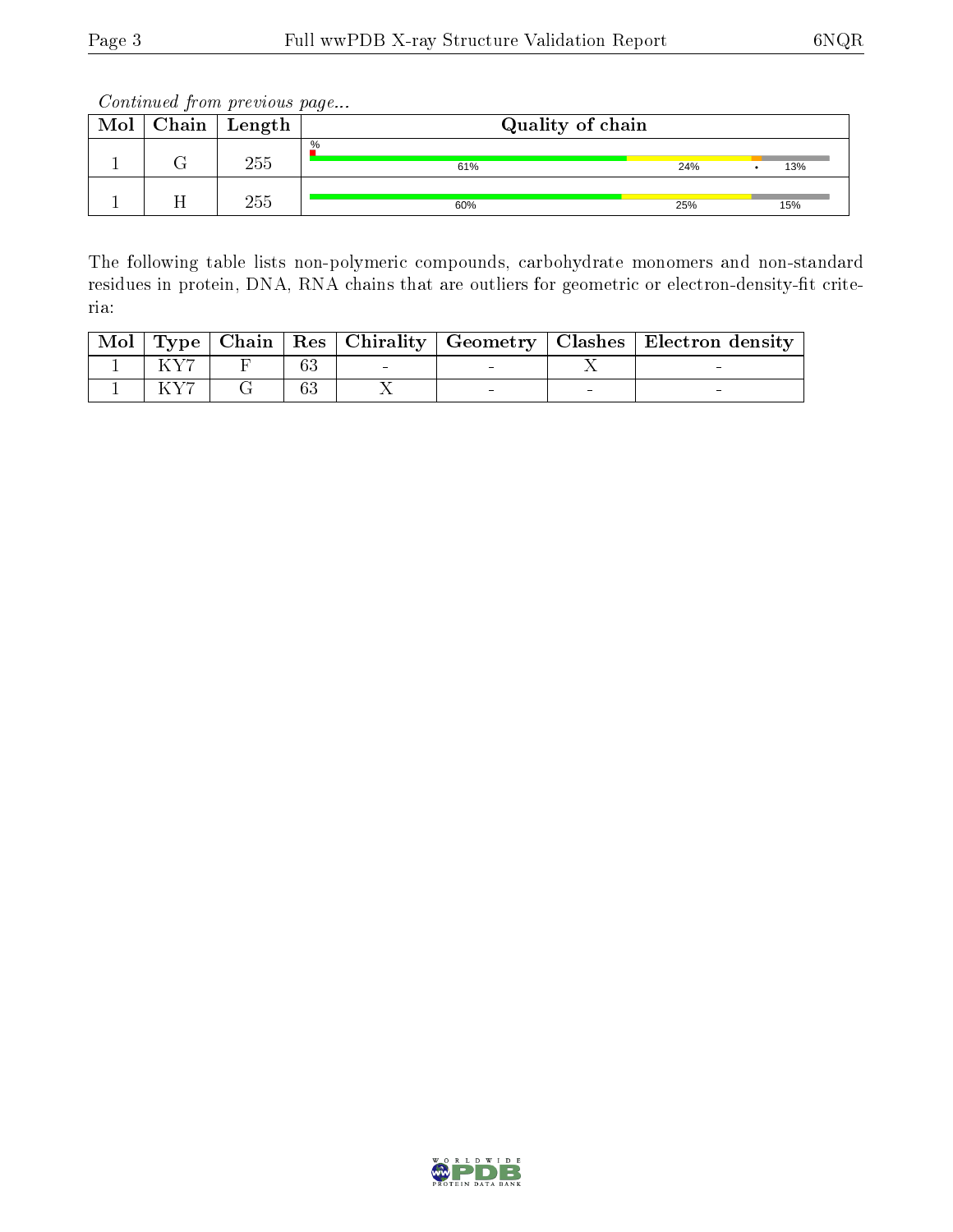| Mol | Chain | Length | Quality of chain |     |     |  |  |
|-----|-------|--------|------------------|-----|-----|--|--|
|     |       | 255    | %<br>61%         | 24% | 13% |  |  |
|     |       | 255    | 60%              | 25% | 15% |  |  |

The following table lists non-polymeric compounds, carbohydrate monomers and non-standard residues in protein, DNA, RNA chains that are outliers for geometric or electron-density-fit criteria:

|  |  |  | Mol   Type   Chain   Res   Chirality   Geometry   Clashes   Electron density |
|--|--|--|------------------------------------------------------------------------------|
|  |  |  |                                                                              |
|  |  |  |                                                                              |

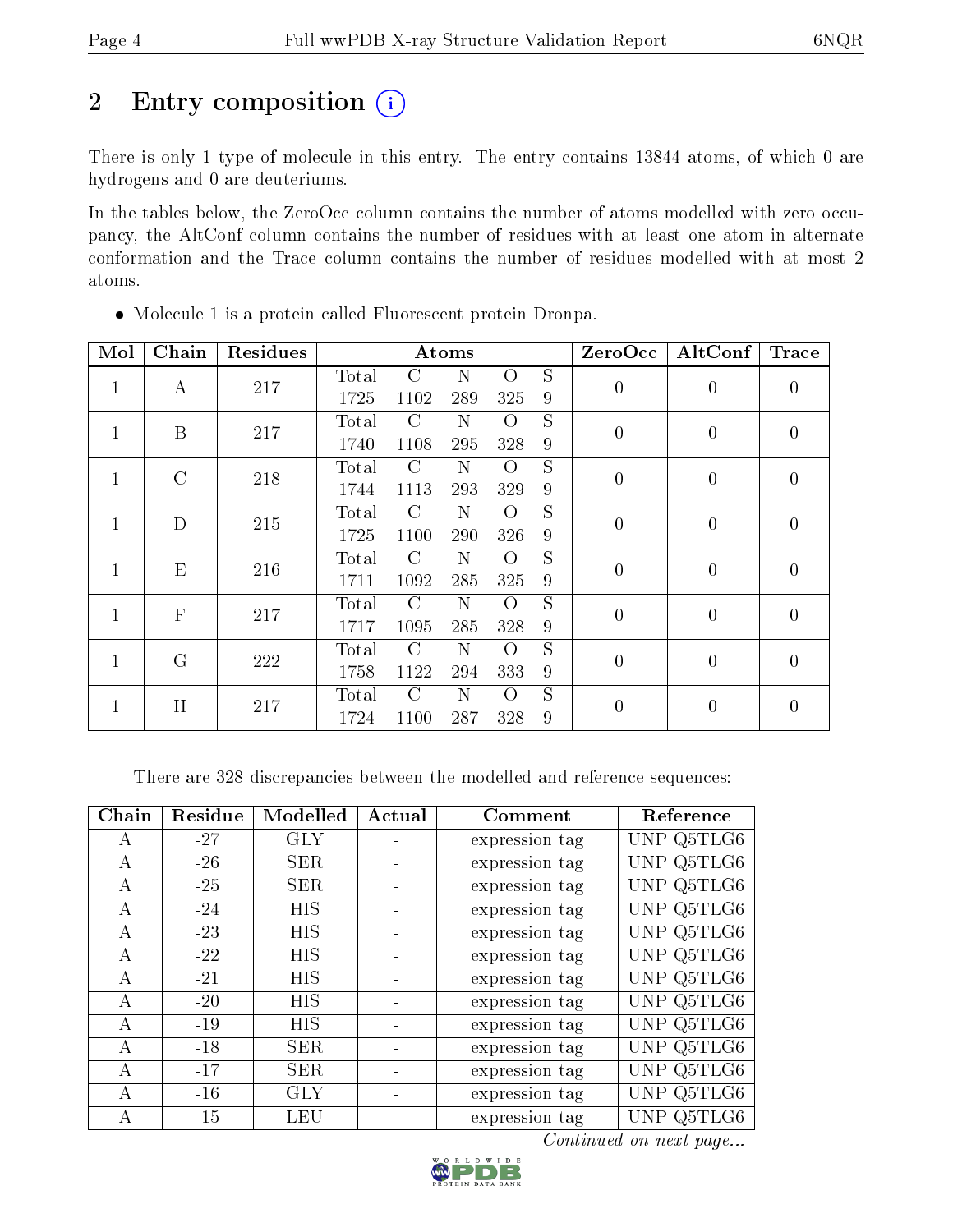# 2 Entry composition (i)

There is only 1 type of molecule in this entry. The entry contains 13844 atoms, of which 0 are hydrogens and 0 are deuteriums.

In the tables below, the ZeroOcc column contains the number of atoms modelled with zero occupancy, the AltConf column contains the number of residues with at least one atom in alternate conformation and the Trace column contains the number of residues modelled with at most 2 atoms.

| Mol          | Chain          | Residues |       |           | Atoms       |          |                | ZeroOcc        | AltConf        | <b>Trace</b>   |                |
|--------------|----------------|----------|-------|-----------|-------------|----------|----------------|----------------|----------------|----------------|----------------|
| $\mathbf{1}$ |                | 217      | Total | C         | N           | $\Omega$ | S              | $\overline{0}$ |                |                |                |
|              | А              |          | 1725  | 1102      | 289         | 325      | 9              |                | $\overline{0}$ | $\overline{0}$ |                |
| $\mathbf{1}$ | B              | 217      | Total | C         | N           | $\Omega$ | S              | $\overline{0}$ | $\overline{0}$ | $\overline{0}$ |                |
|              |                |          | 1740  | 1108      | 295         | 328      | 9              |                |                |                |                |
| $\mathbf{1}$ | $\rm C$        | 218      | Total | C         | N           | $\Omega$ | S              | $\overline{0}$ | $\theta$       |                |                |
|              |                |          |       | 1744      | 1113        | 293      | 329            | 9              |                |                | $\overline{0}$ |
| 1            | D              | 215      | Total | C         | $\mathbf N$ | $\Omega$ | S              | $\overline{0}$ | $\overline{0}$ | $\overline{0}$ |                |
|              |                |          | 1725  | 1100      | 290         | 326      | 9              |                |                |                |                |
| 1            |                | E<br>216 | Total | $\rm C$   | N           | $\Omega$ | S              | $\overline{0}$ | $\theta$       | $\theta$       |                |
|              |                |          | 1711  | 1092      | 285         | 325      | 9              |                |                |                |                |
| $\mathbf{1}$ | $\overline{F}$ | 217      | Total | $\bigcap$ | N           | $\Omega$ | S              | $\overline{0}$ | $\overline{0}$ | $\overline{0}$ |                |
|              |                |          | 1717  | 1095      | 285         | 328      | 9              |                |                |                |                |
| 1            | $\rm G$        | 222      | Total | C         | N           | $\Omega$ | S              | $\overline{0}$ | $\overline{0}$ | $\overline{0}$ |                |
|              |                |          | 1758  | 1122      | 294         | 333      | 9              |                |                |                |                |
|              |                |          | Total | $\rm C$   | N           | $\Omega$ | $\overline{S}$ |                | $\theta$       |                |                |
|              | H<br>1         | 217      | 1724  | 1100      | 287         | 328      | 9              | $\overline{0}$ |                | 0              |                |

Molecule 1 is a protein called Fluorescent protein Dronpa.

There are 328 discrepancies between the modelled and reference sequences:

| Chain        | Residue | Modelled   | Actual | Comment        | Reference  |
|--------------|---------|------------|--------|----------------|------------|
| A            | $-27$   | <b>GLY</b> |        | expression tag | UNP Q5TLG6 |
| А            | $-26$   | <b>SER</b> |        | expression tag | UNP Q5TLG6 |
| А            | $-25$   | <b>SER</b> |        | expression tag | UNP Q5TLG6 |
| A            | $-24$   | <b>HIS</b> |        | expression tag | UNP Q5TLG6 |
| A            | $-23$   | <b>HIS</b> |        | expression tag | UNP Q5TLG6 |
| $\mathbf{A}$ | $-22$   | <b>HIS</b> |        | expression tag | UNP Q5TLG6 |
| A            | $-21$   | <b>HIS</b> |        | expression tag | UNP Q5TLG6 |
| A            | $-20$   | HIS        |        | expression tag | UNP Q5TLG6 |
| А            | $-19$   | <b>HIS</b> |        | expression tag | UNP Q5TLG6 |
| $\mathsf{A}$ | $-18$   | <b>SER</b> |        | expression tag | UNP Q5TLG6 |
| А            | $-17$   | <b>SER</b> |        | expression tag | UNP Q5TLG6 |
| A            | $-16$   | <b>GLY</b> |        | expression tag | UNP Q5TLG6 |
| А            | $-15$   | <b>LEU</b> |        | expression tag | UNP Q5TLG6 |

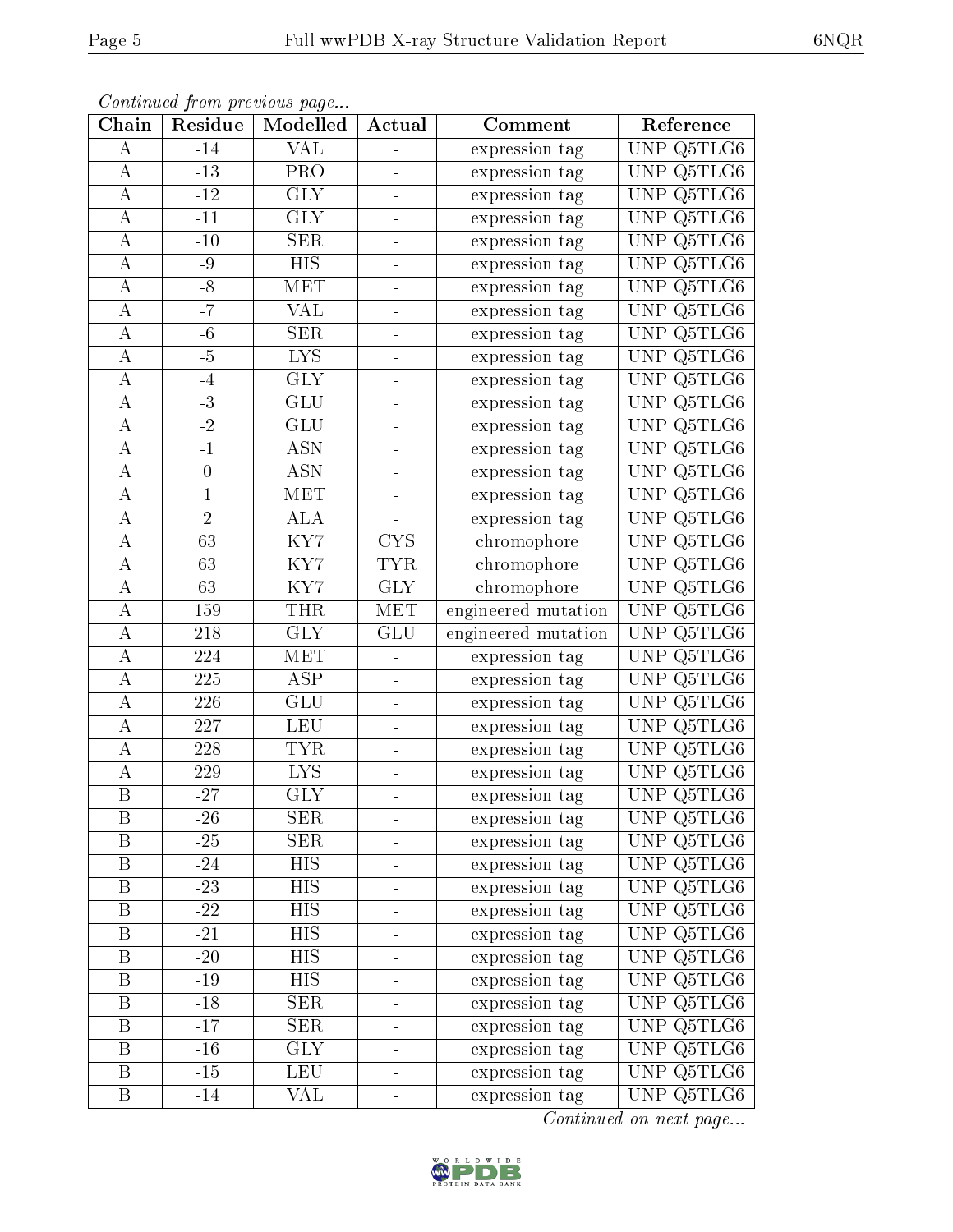|--|--|

| Chain                   | Residue         | Continuu from providuo pugo<br>Modelled | Actual                                                                                                  | Comment             | Reference                             |
|-------------------------|-----------------|-----------------------------------------|---------------------------------------------------------------------------------------------------------|---------------------|---------------------------------------|
| А                       | $-14$           | <b>VAL</b>                              | ÷                                                                                                       | expression tag      | UNP Q5TLG6                            |
| А                       | $-13$           | PRO                                     | ÷                                                                                                       | expression tag      | UNP Q5TLG6                            |
| $\bf{A}$                | $-12$           | <b>GLY</b>                              | Ξ,                                                                                                      | expression tag      | Q5TLG6<br>UNP                         |
| $\boldsymbol{A}$        | $-11$           | <b>GLY</b>                              | $\blacksquare$                                                                                          | expression tag      | UNP $Q5TLG6$                          |
| $\overline{\rm A}$      | $-10$           | <b>SER</b>                              | $\frac{1}{\sqrt{2}}\int_{0}^{\sqrt{2}}\frac{1}{\sqrt{2}}\left( \frac{1}{\sqrt{2}}\right) ^{2}d\mu d\nu$ | expression tag      | Q5TLG6<br>UNP                         |
| $\bf{A}$                | $-9$            | <b>HIS</b>                              |                                                                                                         | expression tag      | $\ensuremath{\mathrm{UNP}}$<br>Q5TLG6 |
| $\bf{A}$                | $-8$            | MET                                     | $\equiv$                                                                                                | expression tag      | Q5TLG6<br><b>UNP</b>                  |
| А                       | $-7$            | <b>VAL</b>                              |                                                                                                         | expression tag      | UNP Q5TLG6                            |
| $\boldsymbol{A}$        | $-6$            | <b>SER</b>                              | $\blacksquare$                                                                                          | expression tag      | Q5TLG6<br>UNP                         |
| $\overline{\rm A}$      | $-\overline{5}$ | $\overline{\text{LYS}}$                 |                                                                                                         | expression tag      | Q5TLG6<br>UNP                         |
| А                       | $-4$            | <b>GLY</b>                              | $\equiv$                                                                                                | expression tag      | Q5TLG6<br>UNP                         |
| $\boldsymbol{A}$        | $-3$            | $\overline{\text{GLU}}$                 |                                                                                                         | expression tag      | UNP Q5TLG6                            |
| А                       | $-2$            | <b>GLU</b>                              | $\frac{1}{\sqrt{2}}$                                                                                    | expression tag      | Q5TLG6<br>UNP                         |
| $\bf{A}$                | $-1$            | <b>ASN</b>                              |                                                                                                         | expression tag      | UNP<br>Q5TLG6                         |
| А                       | $\overline{0}$  | <b>ASN</b>                              | ۳                                                                                                       | expression tag      | UNP<br>Q5TLG6                         |
| $\bf{A}$                | 1               | <b>MET</b>                              |                                                                                                         | expression tag      | UNP Q5TLG6                            |
| $\bf{A}$                | $\overline{2}$  | <b>ALA</b>                              |                                                                                                         | expression tag      | UNP<br>Q5TLG6                         |
| А                       | 63              | KY7                                     | <b>CYS</b>                                                                                              | chromophore         | UNP<br>Q5TLG6                         |
| $\boldsymbol{A}$        | 63              | KY7                                     | <b>TYR</b>                                                                                              | chromophore         | UNP Q5TLG6                            |
| А                       | 63              | KY7                                     | GLY                                                                                                     | chromophore         | Q5TLG6<br>UNP                         |
| A                       | 159             | <b>THR</b>                              | MET                                                                                                     | engineered mutation | UNP Q5TLG6                            |
| А                       | 218             | $\overline{\text{GLY}}$                 | <b>GLU</b>                                                                                              | engineered mutation | UNP<br>Q5TLG6                         |
| $\boldsymbol{A}$        | 224             | MET                                     |                                                                                                         | expression tag      | Q5TLG6<br>UNP                         |
| $\bf{A}$                | 225             | $\overline{\text{ASP}}$                 | $\qquad \qquad \blacksquare$                                                                            | expression tag      | UNP<br>Q5TLG6                         |
| $\boldsymbol{A}$        | 226             | <b>GLU</b>                              | $\frac{1}{\sqrt{2}}$                                                                                    | expression tag      | UNP<br>Q5TLG6                         |
| $\boldsymbol{A}$        | 227             | <b>LEU</b>                              | $\equiv$                                                                                                | expression tag      | <b>UNP</b><br>Q5TLG6                  |
| $\boldsymbol{A}$        | 228             | <b>TYR</b>                              |                                                                                                         | expression tag      | UNP<br>Q5TLG6                         |
| $\boldsymbol{A}$        | 229             | <b>LYS</b>                              |                                                                                                         | expression tag      | $\overline{\text{Q5TLG6}}$<br>UNP     |
| $\overline{\mathrm{B}}$ | $-27$           | $\overline{\text{GLY}}$                 |                                                                                                         | expression tag      | UNP Q5TLG6                            |
| B                       | $-26$           | <b>SER</b>                              |                                                                                                         | expression tag      | UNP Q5TLG6                            |
| $\boldsymbol{B}$        | $-25$           | <b>SER</b>                              |                                                                                                         | expression tag      | UNP Q5TLG6                            |
| B                       | $-24$           | <b>HIS</b>                              | $\equiv$                                                                                                | expression tag      | UNP Q5TLG6                            |
| B                       | $-23-$          | <b>HIS</b>                              |                                                                                                         | expression tag      | UNP Q5TLG6                            |
| B                       | $-22$           | <b>HIS</b>                              | $\equiv$                                                                                                | expression tag      | UNP Q5TLG6                            |
| $\boldsymbol{B}$        | $-21$           | <b>HIS</b>                              |                                                                                                         | expression tag      | UNP Q5TLG6                            |
| B                       | $-20$           | <b>HIS</b>                              | $\frac{1}{\sqrt{2}}$                                                                                    | expression tag      | UNP Q5TLG6                            |
| B                       | $-19$           | <b>HIS</b>                              |                                                                                                         | expression tag      | Q5TLG6<br>UNP.                        |
| $\, {\bf B}$            | $-18$           | <b>SER</b>                              | $\equiv$                                                                                                | expression tag      | UNP Q5TLG6                            |
| $\boldsymbol{B}$        | $-17$           | <b>SER</b>                              |                                                                                                         | expression tag      | UNP Q5TLG6                            |
| $\boldsymbol{B}$        | $-16$           | <b>GLY</b>                              | $\equiv$                                                                                                | expression tag      | UNP Q5TLG6                            |
| B                       | $-15$           | LEU                                     | $\qquad \qquad \blacksquare$                                                                            | expression tag      | UNP Q5TLG6                            |
| B                       | $-14$           | VAL                                     |                                                                                                         | expression tag      | UNP Q5TLG6                            |

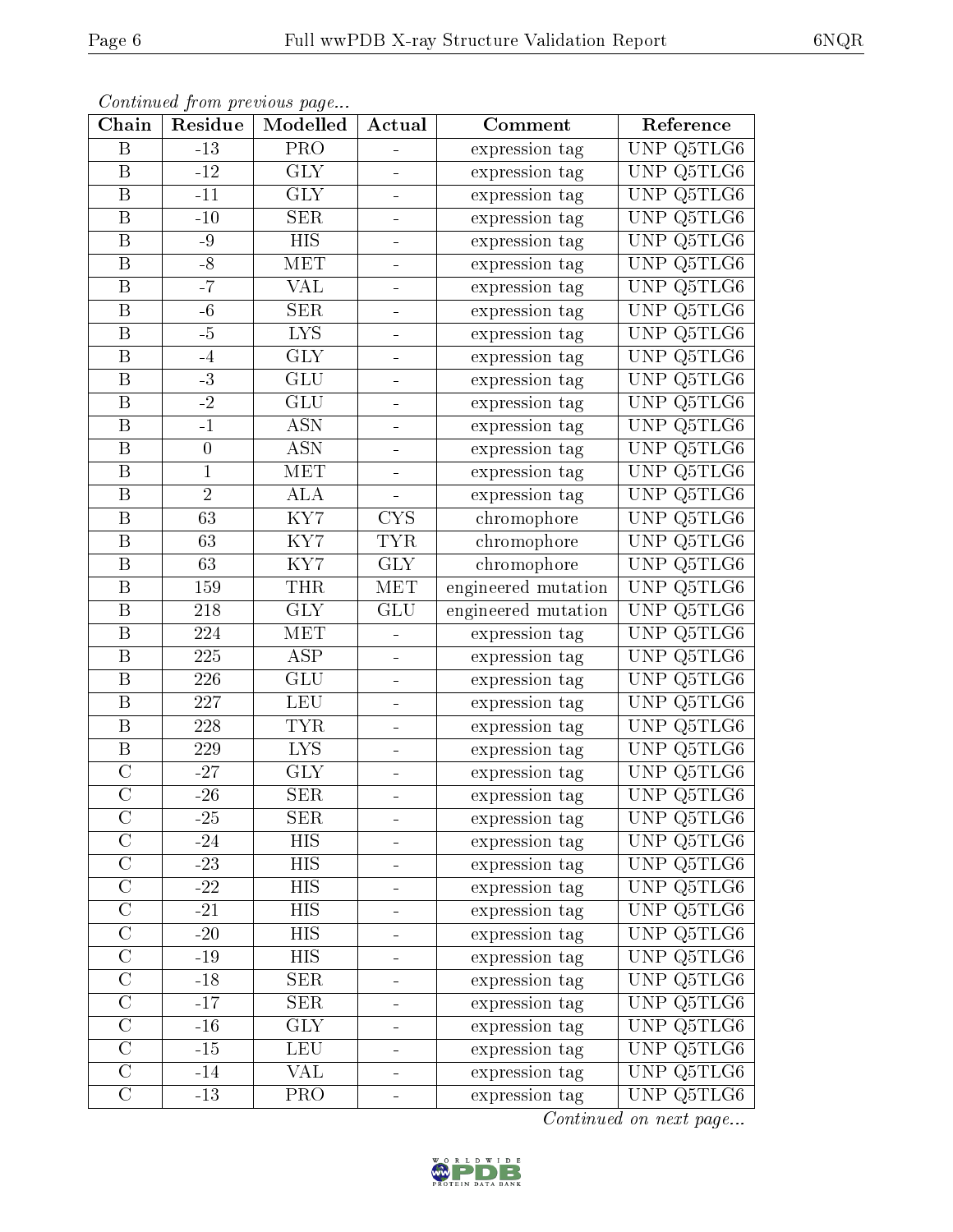| Chain                   | Residue          | o o neenew of your process working on the<br>Modelled | Actual                   | Comment             | Reference    |
|-------------------------|------------------|-------------------------------------------------------|--------------------------|---------------------|--------------|
| B                       | $-13$            | PRO                                                   | $\overline{\phantom{a}}$ | expression tag      | UNP Q5TLG6   |
| B                       | $-12$            | <b>GLY</b>                                            |                          | expression tag      | UNP $Q5TLG6$ |
| $\, {\bf B}$            | $-11$            | $\overline{\text{GLY}}$                               |                          | expression tag      | UNP Q5TLG6   |
| $\, {\bf B}$            | $-10$            | <b>SER</b>                                            |                          | expression tag      | UNP Q5TLG6   |
| $\overline{\mathrm{B}}$ | $-9$             | $\overline{HIS}$                                      | $\blacksquare$           | expression tag      | UNP Q5TLG6   |
| $\, {\bf B}$            | $-8$             | MET                                                   |                          | expression tag      | UNP Q5TLG6   |
| $\, {\bf B}$            | $-7$             | <b>VAL</b>                                            | ۳                        | expression tag      | UNP Q5TLG6   |
| $\boldsymbol{B}$        | $-6$             | SER                                                   |                          | expression tag      | UNP Q5TLG6   |
| B                       | $-5$             | <b>LYS</b>                                            | $\frac{1}{2}$            | expression tag      | UNP Q5TLG6   |
| $\boldsymbol{B}$        | $-4$             | $\overline{\text{GLY}}$                               | -                        | expression tag      | UNP Q5TLG6   |
| $\, {\bf B}$            | $-3$             | GLU                                                   | ÷                        | expression tag      | UNP Q5TLG6   |
| $\, {\bf B}$            | $-2$             | $\overline{\mathrm{GLU}}$                             |                          | expression tag      | UNP Q5TLG6   |
| B                       | $-1$             | <b>ASN</b>                                            | ÷                        | expression tag      | UNP Q5TLG6   |
| $\, {\bf B}$            | $\boldsymbol{0}$ | <b>ASN</b>                                            |                          | expression tag      | UNP Q5TLG6   |
| $\overline{\mathbf{B}}$ | $\mathbf{1}$     | MET                                                   | $\blacksquare$           | expression tag      | UNP Q5TLG6   |
| B                       | $\overline{2}$   | <b>ALA</b>                                            | ÷                        | expression tag      | UNP Q5TLG6   |
| $\, {\bf B}$            | $\overline{63}$  | $\overline{\text{KY7}}$                               | <b>CYS</b>               | chromophore         | UNP Q5TLG6   |
| B                       | 63               | KY7                                                   | <b>TYR</b>               | chromophore         | UNP $Q5TLG6$ |
| $\mathbf B$             | 63               | KY7                                                   | <b>GLY</b>               | chromophore         | UNP Q5TLG6   |
| $\, {\bf B}$            | 159              | <b>THR</b>                                            | <b>MET</b>               | engineered mutation | UNP Q5TLG6   |
| $\, {\bf B}$            | 218              | <b>GLY</b>                                            | <b>GLU</b>               | engineered mutation | UNP Q5TLG6   |
| $\, {\bf B}$            | 224              | $\overline{\text{MET}}$                               | ÷,                       | expression tag      | UNP Q5TLG6   |
| $\, {\bf B}$            | 225              | <b>ASP</b>                                            |                          | expression tag      | UNP Q5TLG6   |
| $\, {\bf B}$            | 226              | <b>GLU</b>                                            | $\blacksquare$           | expression tag      | UNP Q5TLG6   |
| $\overline{\mathbf{B}}$ | 227              | <b>LEU</b>                                            |                          | expression tag      | UNP Q5TLG6   |
| $\, {\bf B}$            | 228              | <b>TYR</b>                                            | ۳                        | expression tag      | UNP Q5TLG6   |
| $\overline{\mathrm{B}}$ | 229              | $\overline{LYS}$                                      |                          | expression tag      | UNP Q5TLG6   |
| $\mathcal{C}$           | $-27$            | <b>GLY</b>                                            | $\frac{1}{2}$            | expression tag      | UNP Q5TLG6   |
| $\overline{\rm C}$      | $-26$            | SER                                                   |                          | expression tag      | UNP Q5TLG6   |
| С                       | $-25$            | <b>SER</b>                                            | $\blacksquare$           | expression tag      | UNP Q5TLG6   |
| $\mathcal C$            | $-24$            | <b>HIS</b>                                            |                          | expression tag      | UNP Q5TLG6   |
| $\overline{C}$          | $-23$            | <b>HIS</b>                                            |                          | expression tag      | UNP Q5TLG6   |
| $\mathbf C$             | $-22$            | <b>HIS</b>                                            |                          | expression tag      | UNP Q5TLG6   |
| $\overline{\rm C}$      | $-21$            | <b>HIS</b>                                            | $\blacksquare$           | expression tag      | UNP Q5TLG6   |
| $\mathcal{C}$           | $-20$            | HIS                                                   |                          | expression tag      | UNP Q5TLG6   |
| $\overline{C}$          | $-19$            | <b>HIS</b>                                            |                          | expression tag      | UNP Q5TLG6   |
| $\overline{C}$          | $-18$            | <b>SER</b>                                            |                          | expression tag      | UNP Q5TLG6   |
| $\overline{C}$          | $-17$            | <b>SER</b>                                            |                          | expression tag      | UNP Q5TLG6   |
| $\overline{C}$          | $-16$            | <b>GLY</b>                                            |                          | expression tag      | UNP Q5TLG6   |
| $\mathcal C$            | $-15$            | <b>LEU</b>                                            | $\blacksquare$           | expression tag      | UNP Q5TLG6   |
| $\overline{C}$          | $-14$            | VAL                                                   |                          | expression tag      | UNP Q5TLG6   |
| $\overline{C}$          | $-13$            | PRO                                                   |                          | expression tag      | UNP Q5TLG6   |

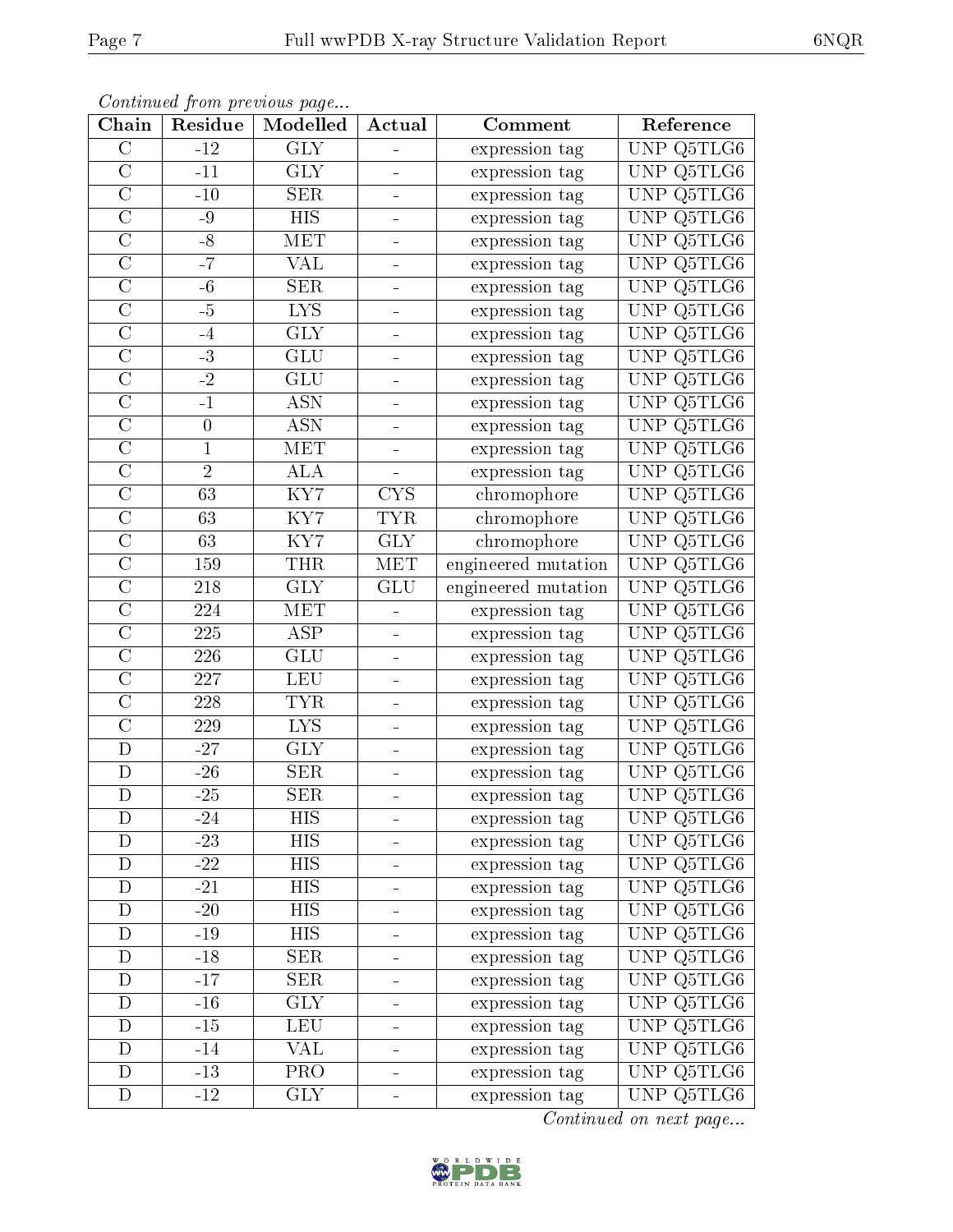| Chain                   | Residue          | Communa from previous page<br>Modelled | Actual                   | Comment             | Reference  |
|-------------------------|------------------|----------------------------------------|--------------------------|---------------------|------------|
| $\overline{C}$          | $-12$            | $\overline{\text{GLY}}$                |                          | expression tag      | UNP Q5TLG6 |
| $\overline{C}$          | $-11$            | <b>GLY</b>                             | $\blacksquare$           | expression tag      | UNP Q5TLG6 |
| $\overline{\rm C}$      | $-10$            | SER                                    | ÷                        | expression tag      | UNP Q5TLG6 |
| $\overline{\rm C}$      | $-9$             | <b>HIS</b>                             | $\blacksquare$           | expression tag      | UNP Q5TLG6 |
| $\overline{\rm C}$      | $-8$             | <b>MET</b>                             |                          | expression tag      | UNP Q5TLG6 |
| $\overline{C}$          | $-7$             | VAL                                    | -                        | expression tag      | UNP Q5TLG6 |
| $\overline{\rm C}$      | $-6$             | $\overline{\text{SER}}$                |                          | expression tag      | UNP Q5TLG6 |
| $\overline{C}$          | $-5$             | <b>LYS</b>                             | $\equiv$                 | expression tag      | UNP Q5TLG6 |
| $\mathcal{C}$           | $-4$             | <b>GLY</b>                             | $\blacksquare$           | expression tag      | UNP Q5TLG6 |
| $\overline{\rm C}$      | $-3$             | GLU                                    |                          | expression tag      | UNP Q5TLG6 |
| $\mathcal{C}$           | $-2$             | <b>GLU</b>                             | $\equiv$                 | expression tag      | UNP Q5TLG6 |
| $\overline{\rm C}$      | $-1$             | <b>ASN</b>                             |                          | expression tag      | UNP Q5TLG6 |
| $\overline{C}$          | $\boldsymbol{0}$ | <b>ASN</b>                             | $\blacksquare$           | expression tag      | UNP Q5TLG6 |
| $\overline{\rm C}$      | $\mathbf{1}$     | <b>MET</b>                             |                          | expression tag      | UNP Q5TLG6 |
| $\overline{C}$          | $\overline{2}$   | <b>ALA</b>                             |                          | expression tag      | UNP Q5TLG6 |
| $\overline{C}$          | $\overline{63}$  | $\overline{\text{KY7}}$                | <b>CYS</b>               | chromophore         | UNP Q5TLG6 |
| $\overline{\rm C}$      | 63               | $\overline{\text{KY7}}$                | <b>TYR</b>               | chromophore         | UNP Q5TLG6 |
| $\overline{C}$          | 63               | $\overline{\text{KY7}}$                | <b>GLY</b>               | chromophore         | UNP Q5TLG6 |
| $\overline{C}$          | 159              | <b>THR</b>                             | MET                      | engineered mutation | UNP Q5TLG6 |
| $\overline{C}$          | 218              | $\overline{\text{GLY}}$                | GLU                      | engineered mutation | UNP Q5TLG6 |
| $\mathcal{C}$           | 224              | MET                                    | $\overline{\phantom{a}}$ | expression tag      | UNP Q5TLG6 |
| $\overline{\rm C}$      | 225              | $\overline{\text{ASP}}$                | ÷                        | expression tag      | UNP Q5TLG6 |
| $\overline{\rm C}$      | 226              | <b>GLU</b>                             | $\blacksquare$           | expression tag      | UNP Q5TLG6 |
| $\overline{\rm C}$      | 227              | <b>LEU</b>                             |                          | expression tag      | UNP Q5TLG6 |
| $\overline{\rm C}$      | 228              | <b>TYR</b>                             | $\blacksquare$           | expression tag      | UNP Q5TLG6 |
| $\overline{\rm C}$      | 229              | LYS.                                   |                          | expression tag      | UNP Q5TLG6 |
| $\overline{\mathrm{D}}$ | $-27$            | <b>GLY</b>                             |                          | expression tag      | UNP Q5TLG6 |
| D                       | $-26$            | <b>SER</b>                             | ÷                        | expression tag      | UNP Q5TLG6 |
| $\overline{\rm D}$      | $-25$            | $\overline{\text{SER}}$                |                          | expression tag      | UNP Q5TLG6 |
| D                       | $-24$            | HIS                                    | $\equiv$                 | expression tag      | UNP Q5TLG6 |
| D                       | $-23$            | <b>HIS</b>                             |                          | expression tag      | UNP Q5TLG6 |
| D                       | $-22$            | <b>HIS</b>                             |                          | expression tag      | UNP Q5TLG6 |
| D                       | $-21$            | <b>HIS</b>                             |                          | expression tag      | UNP Q5TLG6 |
| D                       | $-20$            | <b>HIS</b>                             |                          | expression tag      | UNP Q5TLG6 |
| D                       | $-19$            | <b>HIS</b>                             |                          | expression tag      | UNP Q5TLG6 |
| D                       | $-18$            | <b>SER</b>                             | ۳                        | expression tag      | UNP Q5TLG6 |
| $\mathbf D$             | $-17$            | <b>SER</b>                             |                          | expression tag      | UNP Q5TLG6 |
| D                       | $-16$            | <b>GLY</b>                             | $\blacksquare$           | expression tag      | UNP Q5TLG6 |
| D                       | $-15$            | <b>LEU</b>                             |                          | expression tag      | UNP Q5TLG6 |
| D                       | $-14$            | VAL                                    | $\blacksquare$           | expression tag      | UNP Q5TLG6 |
| $\mathbf D$             | $-13$            | $\overline{\text{PRO}}$                |                          | expression tag      | UNP Q5TLG6 |
| D                       | $-12$            | <b>GLY</b>                             |                          | expression tag      | UNP Q5TLG6 |

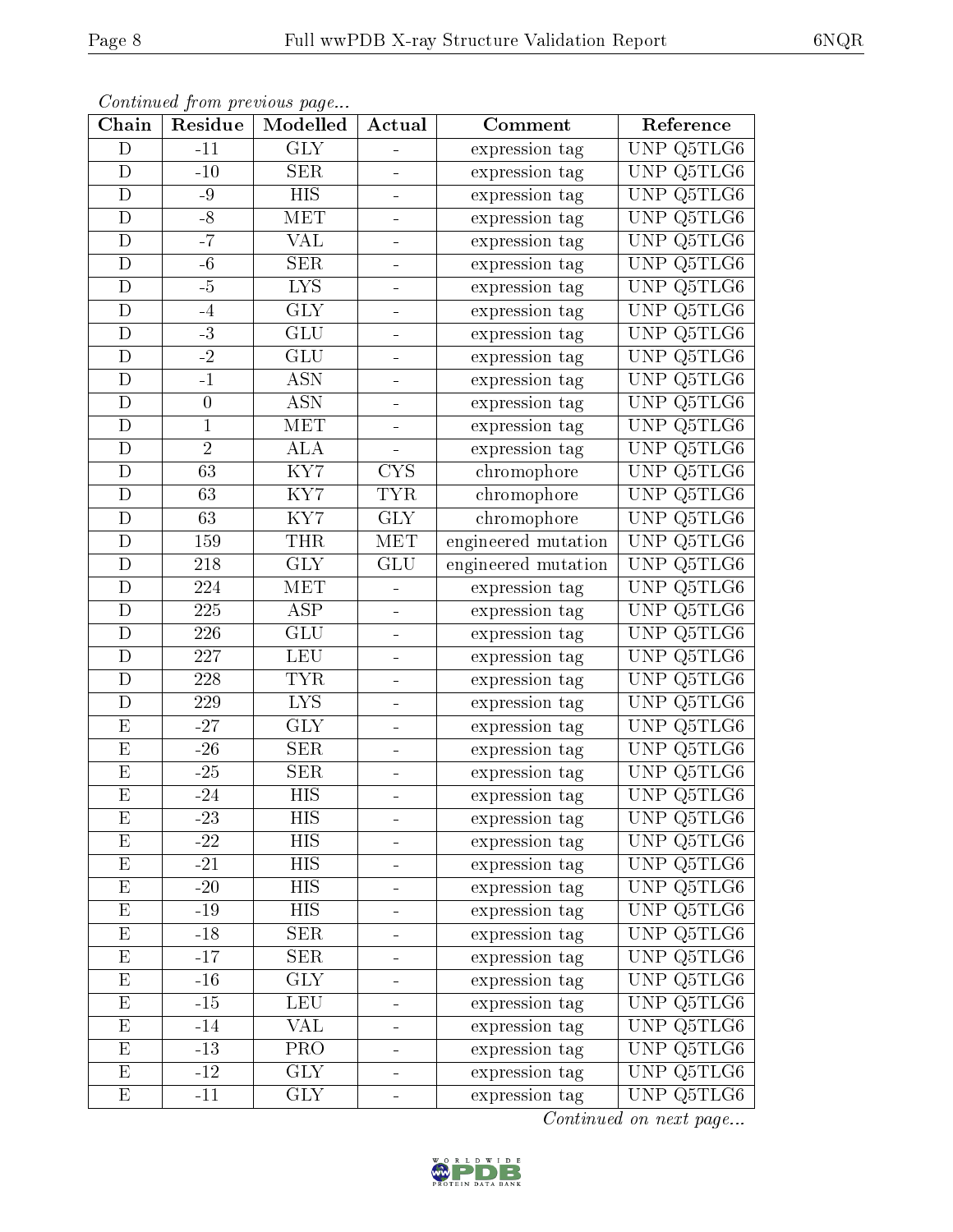| Chain                   | Residue         | Continuation provided page<br>Modelled | Actual                       | Comment             | Reference                         |
|-------------------------|-----------------|----------------------------------------|------------------------------|---------------------|-----------------------------------|
| $\mathbf D$             | $-11$           | <b>GLY</b>                             | ÷                            | expression tag      | UNP Q5TLG6                        |
| $\mathbf D$             | $-10$           | <b>SER</b>                             | -                            | expression tag      | UNP Q5TLG6                        |
| $\mathbf D$             | -9              | <b>HIS</b>                             |                              | expression tag      | Q5TLG6<br>UNP                     |
| D                       | $-8$            | MET                                    | $\equiv$                     | expression tag      | UNP Q5TLG6                        |
| $\mathbf D$             | $-7$            | VAL                                    | $\equiv$                     | expression tag      | UNP Q5TLG6                        |
| D                       | $-6$            | <b>SER</b>                             | $\equiv$                     | expression tag      | Q5TLG6<br>UNP                     |
| D                       | -5              | <b>LYS</b>                             | $\blacksquare$               | expression tag      | Q5TLG6<br>UNP                     |
| $\mathbf D$             | $-4$            | <b>GLY</b>                             |                              | expression tag      | UNP Q5TLG6                        |
| D                       | $-3$            | <b>GLU</b>                             | $\equiv$                     | expression tag      | Q5TLG6<br><b>UNP</b>              |
| $\mathbf D$             | $\overline{-2}$ | GLU                                    |                              | expression tag      | UNP<br>Q5TLG6                     |
| D                       | $-1$            | <b>ASN</b>                             |                              | expression tag      | Q5TLG6<br>UNP                     |
| $\overline{D}$          | $\overline{0}$  | $\overline{\mathrm{ASN}}$              |                              | expression tag      | UNP Q5TLG6                        |
| D                       | $\mathbf 1$     | MET                                    | $\frac{1}{2}$                | expression tag      | Q5TLG6<br>UNP                     |
| $\mathbf D$             | $\overline{2}$  | $\overline{ALA}$                       |                              | expression tag      | Q5TLG6<br>UNP                     |
| D                       | 63              | KY7                                    | <b>CYS</b>                   | chromophore         | UNP<br>Q5TLG6                     |
| $\mathbf D$             | 63              | KY7                                    | <b>TYR</b>                   | chromophore         | UNP Q5TLG6                        |
| $\mathbf D$             | 63              | KY7                                    | <b>GLY</b>                   | chromophore         | UNP Q5TLG6                        |
| $\mathbf D$             | 159             | <b>THR</b>                             | <b>MET</b>                   | engineered mutation | UNP<br>Q5TLG6                     |
| D                       | 218             | <b>GLY</b>                             | GLU                          | engineered mutation | Q5TLG6<br><b>UNP</b>              |
| D                       | 224             | <b>MET</b>                             |                              | expression tag      | Q5TLG6<br>UNP                     |
| $\mathbf D$             | 225             | <b>ASP</b>                             | $\frac{1}{\sqrt{2}}$         | expression tag      | UNP Q5TLG6                        |
| $\mathbf D$             | 226             | $\overline{\mathrm{GLU}}$              | ÷                            | expression tag      | UNP<br>Q5TLG6                     |
| D                       | 227             | <b>LEU</b>                             | $\qquad \qquad \blacksquare$ | expression tag      | UNP Q5TLG6                        |
| D                       | 228             | <b>TYR</b>                             | $\equiv$                     | expression tag      | Q5TLG6<br>UNP                     |
| $\mathbf D$             | 229             | <b>LYS</b>                             | $\equiv$                     | expression tag      | UNP Q5TLG6                        |
| ${\rm E}$               | $-27$           | <b>GLY</b>                             | $\equiv$                     | expression tag      | Q5TLG6<br><b>UNP</b>              |
| $\overline{E}$          | $-26$           | <b>SER</b>                             |                              | expression tag      | $\overline{\text{UNP}}$<br>Q5TLG6 |
| $\mathbf E$             | $-25$           | <b>SER</b>                             | $\equiv$                     | expression tag      | Q5TLG6<br>UNP                     |
| $\overline{\mathrm{E}}$ | $-24$           | $\overline{HIS}$                       |                              | expression tag      | UNP Q5TLG6                        |
| Ε                       | $-23$           | HIS                                    |                              | expression tag      | UNP Q5TLG6                        |
| $\mathbf{E}% _{0}$      | $-22$           | <b>HIS</b>                             |                              | expression tag      | UNP Q5TLG6                        |
| E                       | $-21$           | <b>HIS</b>                             | ۳                            | expression tag      | UNP Q5TLG6                        |
| $\mathbf{E}% _{0}$      | $-20$           | <b>HIS</b>                             |                              | expression tag      | UNP Q5TLG6                        |
| E                       | $-19$           | HIS                                    | $\equiv$                     | expression tag      | UNP Q5TLG6                        |
| E                       | $-18$           | <b>SER</b>                             |                              | expression tag      | UNP Q5TLG6                        |
| E                       | $-17$           | <b>SER</b>                             | $\qquad \qquad \blacksquare$ | expression tag      | UNP Q5TLG6                        |
| E                       | $-16$           | <b>GLY</b>                             | $\blacksquare$               | expression tag      | UNP<br>Q5TLG6                     |
| ${\rm E}$               | $-15$           | LEU                                    | $\qquad \qquad =$            | expression tag      | Q5TLG6<br>UNP                     |
| $\mathbf E$             | $-14$           | VAL                                    |                              | expression tag      | UNP Q5TLG6                        |
| ${\rm E}$               | $-13$           | PRO                                    | $\equiv$                     | expression tag      | UNP Q5TLG6                        |
| $\overline{\mathrm{E}}$ | $-12$           | $\overline{\text{GLY}}$                |                              | expression tag      | UNP<br>Q5TLG6                     |
| E                       | $-11$           | <b>GLY</b>                             |                              | expression tag      | UNP Q5TLG6                        |

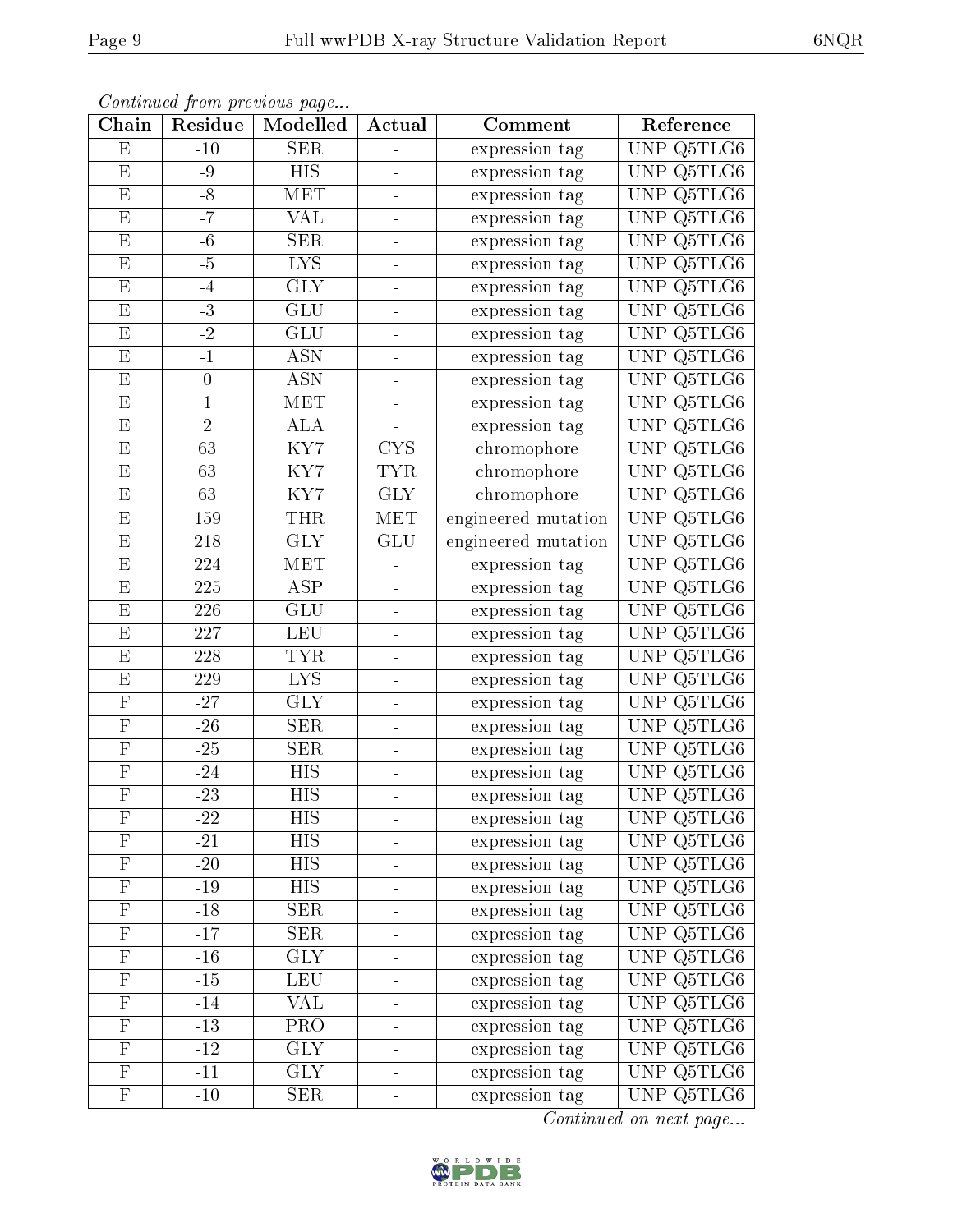| Chain                     | Residue          | Continually from providuo puga<br>Modelled | Actual                       | Comment             | Reference     |
|---------------------------|------------------|--------------------------------------------|------------------------------|---------------------|---------------|
| E                         | $-10$            | <b>SER</b>                                 | $\overline{\phantom{0}}$     | expression tag      | UNP Q5TLG6    |
| $\mathbf{E}% _{0}$        | $-9$             | <b>HIS</b>                                 | $\blacksquare$               | expression tag      | UNP Q5TLG6    |
| $\overline{\mathrm{E}}$   | $-8$             | <b>MET</b>                                 | $\qquad \qquad \blacksquare$ | expression tag      | UNP Q5TLG6    |
| $\mathbf E$               | $-7$             | <b>VAL</b>                                 | $\equiv$                     | expression tag      | UNP Q5TLG6    |
| $\mathbf{E}% _{0}$        | $-6$             | <b>SER</b>                                 | $\equiv$                     | expression tag      | UNP Q5TLG6    |
| $\mathbf{E}% _{0}$        | $-5$             | <b>LYS</b>                                 | $\blacksquare$               | expression tag      | UNP Q5TLG6    |
| $\mathbf{E}% _{0}$        | $-4$             | <b>GLY</b>                                 | $\blacksquare$               | expression tag      | UNP Q5TLG6    |
| $\overline{\mathrm{E}}$   | $-3$             | GLU                                        |                              | expression tag      | UNP Q5TLG6    |
| E                         | $-2$             | <b>GLU</b>                                 | $\qquad \qquad \blacksquare$ | expression tag      | UNP Q5TLG6    |
| E                         | $-1$             | $\overline{\mathrm{ASN}}$                  |                              | expression tag      | UNP Q5TLG6    |
| $\mathbf{E}% _{0}$        | $\boldsymbol{0}$ | <b>ASN</b>                                 |                              | expression tag      | UNP $Q5TLG6$  |
| $\overline{\mathrm{E}}$   | $\mathbf{1}$     | <b>MET</b>                                 |                              | expression tag      | UNP Q5TLG6    |
| $\mathbf{E}% _{0}$        | $\overline{2}$   | <b>ALA</b>                                 | $\equiv$                     | expression tag      | UNP Q5TLG6    |
| ${\bf E}$                 | 63               | $\overline{\text{KY7}}$                    | <b>CYS</b>                   | chromophore         | UNP Q5TLG6    |
| E                         | 63               | KY7                                        | <b>TYR</b>                   | chromophore         | UNP Q5TLG6    |
| $\mathbf{E}% _{0}$        | 63               | KY7                                        | <b>GLY</b>                   | chromophore         | UNP Q5TLG6    |
| $\mathbf{E}% _{0}$        | 159              | <b>THR</b>                                 | MET                          | engineered mutation | UNP Q5TLG6    |
| ${\bf E}$                 | 218              | <b>GLY</b>                                 | GLU                          | engineered mutation | UNP Q5TLG6    |
| $\mathbf{E}% _{0}$        | 224              | MET                                        | $\qquad \qquad \blacksquare$ | expression tag      | Q5TLG6<br>UNP |
| $\mathbf{E}% _{0}$        | 225              | <b>ASP</b>                                 | $\equiv$                     | expression tag      | UNP Q5TLG6    |
| $\mathbf{E}% _{0}$        | 226              | <b>GLU</b>                                 | $\blacksquare$               | expression tag      | UNP $Q5TLG6$  |
| $\overline{\mathrm{E}}$   | 227              | <b>LEU</b>                                 | $\equiv$                     | expression tag      | UNP Q5TLG6    |
| $\mathbf{E}% _{0}$        | 228              | <b>TYR</b>                                 | -                            | expression tag      | UNP Q5TLG6    |
| $\mathbf{E}% _{0}$        | 229              | $\overline{LYS}$                           | $\equiv$                     | expression tag      | UNP Q5TLG6    |
| $\overline{\mathrm{F}}$   | $-27$            | <b>GLY</b>                                 | $\qquad \qquad \blacksquare$ | expression tag      | UNP Q5TLG6    |
| ${\bf F}$                 | $-26$            | <b>SER</b>                                 | $\equiv$                     | expression tag      | UNP Q5TLG6    |
| $\overline{\mathrm{F}}$   | $-25$            | <b>SER</b>                                 |                              | expression tag      | UNP Q5TLG6    |
| $\boldsymbol{\mathrm{F}}$ | $-24$            | HIS                                        | $\qquad \qquad \blacksquare$ | expression tag      | UNP Q5TLG6    |
| $\overline{\mathrm{F}}$   | $-23$            | $\overline{HIS}$                           |                              | expression tag      | UNP Q5TLG6    |
| $\boldsymbol{\mathrm{F}}$ | $-22$            | HIS                                        |                              | expression tag      | UNP Q5TLG6    |
| $\mathbf F$               | $-21$            | <b>HIS</b>                                 |                              | expression tag      | UNP Q5TLG6    |
| $\overline{F}$            | $-20$            | <b>HIS</b>                                 |                              | expression tag      | UNP Q5TLG6    |
| $\mathbf F$               | $-19$            | <b>HIS</b>                                 |                              | expression tag      | UNP Q5TLG6    |
| $\overline{\mathrm{F}}$   | $-18$            | <b>SER</b>                                 | $\qquad \qquad \blacksquare$ | expression tag      | UNP Q5TLG6    |
| $\mathbf F$               | $-17$            | <b>SER</b>                                 |                              | expression tag      | UNP Q5TLG6    |
| $\overline{\mathrm{F}}$   | $-16$            | <b>GLY</b>                                 | $\qquad \qquad \blacksquare$ | expression tag      | UNP Q5TLG6    |
| $\mathbf{F}% _{0}$        | $-15$            | <b>LEU</b>                                 | $\blacksquare$               | expression tag      | UNP Q5TLG6    |
| $\mathbf{F}% _{0}$        | $-14$            | <b>VAL</b>                                 | $\equiv$                     | expression tag      | UNP Q5TLG6    |
| ${\bf F}$                 | $-13$            | PRO                                        |                              | expression tag      | UNP Q5TLG6    |
| $\mathbf F$               | $-12$            | <b>GLY</b>                                 | $\equiv$                     | expression tag      | UNP Q5TLG6    |
| $\overline{\mathrm{F}}$   | $-11$            | $\overline{\text{GLY}}$                    |                              | expression tag      | UNP Q5TLG6    |
| $\mathbf{F}% _{0}$        | $-10$            | SER                                        |                              | expression tag      | UNP Q5TLG6    |

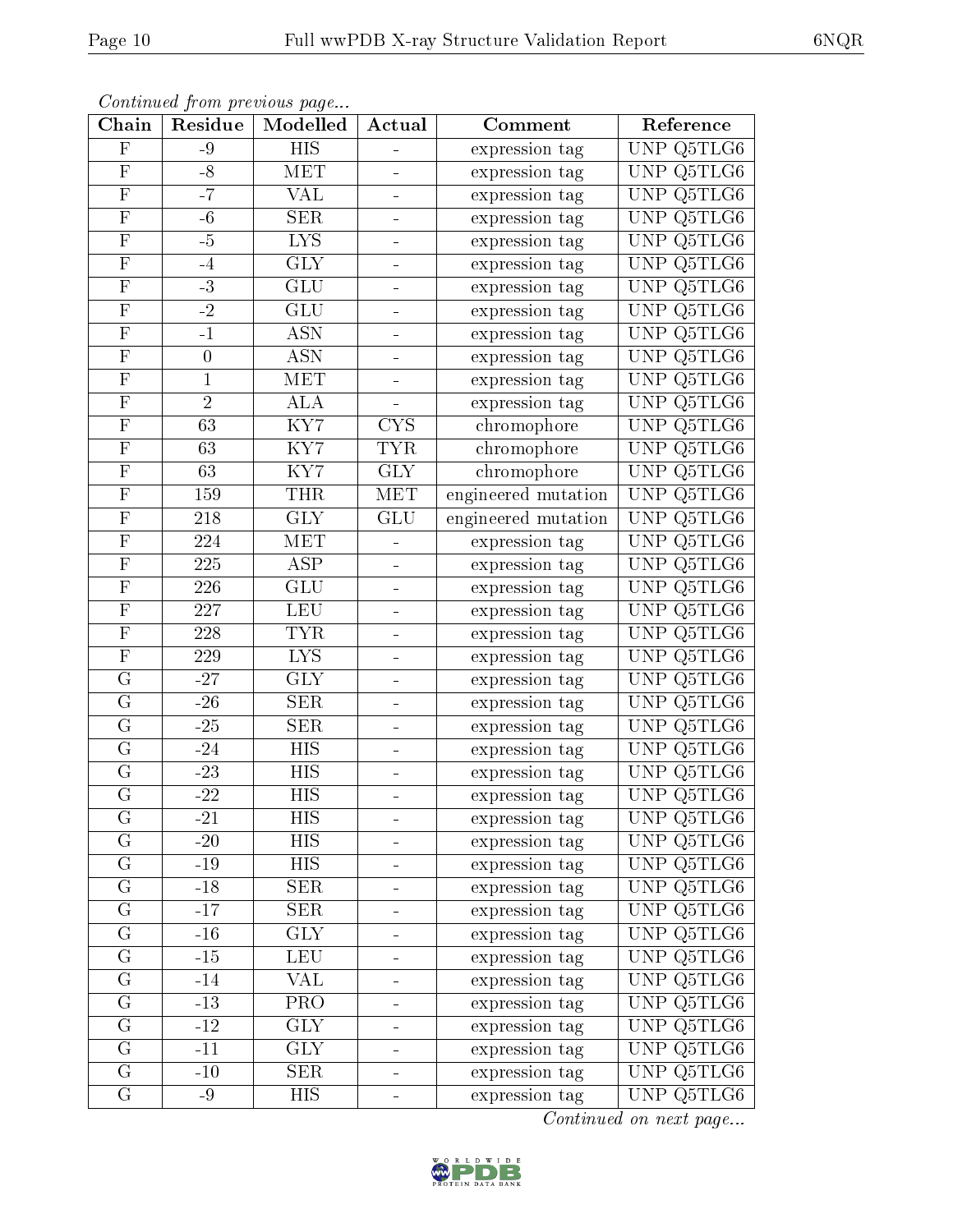|--|--|

| Chain                   | Residue          | Commune from previous page<br>Modelled | Actual                       | Comment                            | Reference  |
|-------------------------|------------------|----------------------------------------|------------------------------|------------------------------------|------------|
| $\overline{\mathrm{F}}$ | $-9$             | <b>HIS</b>                             |                              | expression tag                     | UNP Q5TLG6 |
| ${\bf F}$               | $-8$             | MET                                    | -                            | expression tag                     | UNP Q5TLG6 |
| $\overline{\mathrm{F}}$ | $-7$             | $\overline{\text{VAL}}$                |                              | expression tag                     | UNP Q5TLG6 |
| ${\bf F}$               | $-6$             | <b>SER</b>                             | $\frac{1}{\sqrt{2}}$         | expression tag                     | UNP Q5TLG6 |
| $\overline{\mathrm{F}}$ | $-5$             | $\overline{\text{LYS}}$                |                              | expression tag                     | UNP Q5TLG6 |
| $\mathbf F$             | $-4$             | <b>GLY</b>                             | -                            | expression tag                     | UNP Q5TLG6 |
| $\overline{\mathrm{F}}$ | $-3$             | $\overline{\mathrm{GLU}}$              |                              | expression tag                     | UNP Q5TLG6 |
| $\overline{\mathrm{F}}$ | $-2$             | <b>GLU</b>                             | $\frac{1}{\sqrt{2}}$         | expression tag                     | UNP Q5TLG6 |
| $\mathbf F$             | $-1$             | <b>ASN</b>                             |                              | expression tag                     | UNP Q5TLG6 |
| $\overline{\mathrm{F}}$ | $\boldsymbol{0}$ | ASN                                    | ۳                            | expression tag                     | UNP Q5TLG6 |
| ${\bf F}$               | $\mathbf{1}$     | MET                                    | $\equiv$                     | expression tag                     | UNP Q5TLG6 |
| $\overline{\mathrm{F}}$ | $\overline{2}$   | <b>ALA</b>                             |                              | expression tag                     | UNP Q5TLG6 |
| $\overline{\mathrm{F}}$ | 63               | KY7                                    | <b>CYS</b>                   | chromophore                        | UNP Q5TLG6 |
| $\overline{F}$          | 63               | KY7                                    | <b>TYR</b>                   | chromophore                        | UNP Q5TLG6 |
| $\overline{F}$          | 63               | $\overline{\text{KY7}}$                | $\overline{\text{GLY}}$      | chromophore                        | UNP Q5TLG6 |
| $\mathbf F$             | 159              | <b>THR</b>                             | <b>MET</b>                   | engineered mutation                | UNP Q5TLG6 |
| $\overline{\mathrm{F}}$ | 218              | $\overline{\text{GLY}}$                | GLU                          | engineered mutation                | UNP Q5TLG6 |
| $\mathbf F$             | 224              | <b>MET</b>                             |                              | expression tag                     | UNP Q5TLG6 |
| $\overline{\mathrm{F}}$ | 225              | <b>ASP</b>                             | $\equiv$                     | expression tag                     | UNP Q5TLG6 |
| $\overline{\mathrm{F}}$ | 226              | <b>GLU</b>                             |                              | expression tag                     | UNP Q5TLG6 |
| $\overline{F}$          | 227              | <b>LEU</b>                             | $\qquad \qquad \blacksquare$ | expression tag                     | UNP Q5TLG6 |
| $\overline{\mathrm{F}}$ | $\overline{228}$ | <b>TYR</b>                             |                              | expression tag                     | UNP Q5TLG6 |
| $\mathbf F$             | 229              | <b>LYS</b>                             | $\blacksquare$               | expression tag                     | UNP Q5TLG6 |
| $\overline{G}$          | $-27$            | $\overline{\text{GLY}}$                |                              | expression tag                     | UNP Q5TLG6 |
| $\overline{G}$          | $-26$            | <b>SER</b>                             | $\blacksquare$               | expression tag                     | UNP Q5TLG6 |
| G                       | $-25$            | <b>SER</b>                             | ÷                            | expression tag                     | UNP Q5TLG6 |
| $\overline{G}$          | $-24$            | <b>HIS</b>                             | -                            | expression tag                     | UNP Q5TLG6 |
| G                       | $-23$            | <b>HIS</b>                             |                              | expression tag                     | UNP Q5TLG6 |
| $\overline{\mathrm{G}}$ | $\overline{-22}$ | $\overline{HIS}$                       | $\equiv$                     | expression tag                     | UNP Q5TLG6 |
| G                       | $-21$            | HIS                                    |                              | expression tag                     | UNP Q5TLG6 |
| G                       | $-20$            | <b>HIS</b>                             | $\equiv$                     | expression tag                     | UNP Q5TLG6 |
| G                       | $-19$            | <b>HIS</b>                             |                              | expression tag                     | UNP Q5TLG6 |
| ${\bf G}$               | $-18$            | <b>SER</b>                             |                              | expression tag                     | UNP Q5TLG6 |
| ${\bf G}$               | $-17$            | <b>SER</b>                             |                              | expression tag                     | UNP Q5TLG6 |
| G                       | $-16$            | <b>GLY</b>                             | $\equiv$                     | expression tag                     | UNP Q5TLG6 |
| G                       | $-15$            | <b>LEU</b>                             |                              | expression tag                     | UNP Q5TLG6 |
| $\overline{G}$          | $-14$            | <b>VAL</b>                             |                              | expression tag                     | UNP Q5TLG6 |
| ${\bf G}$               | $-13$            | PRO                                    | $\equiv$                     | expression tag                     | UNP Q5TLG6 |
| $\overline{G}$          | $-12$            | $\overline{\text{GLY}}$                |                              | expression $\overline{\text{tag}}$ | UNP Q5TLG6 |
| $\mathbf G$             | $-11$            | GLY                                    | ÷                            | expression tag                     | UNP Q5TLG6 |
| $\overline{G}$          | $-10$            | SER                                    |                              | expression tag                     | UNP Q5TLG6 |
| G                       | $-9$             | HIS                                    | $\blacksquare$               | expression tag                     | UNP Q5TLG6 |

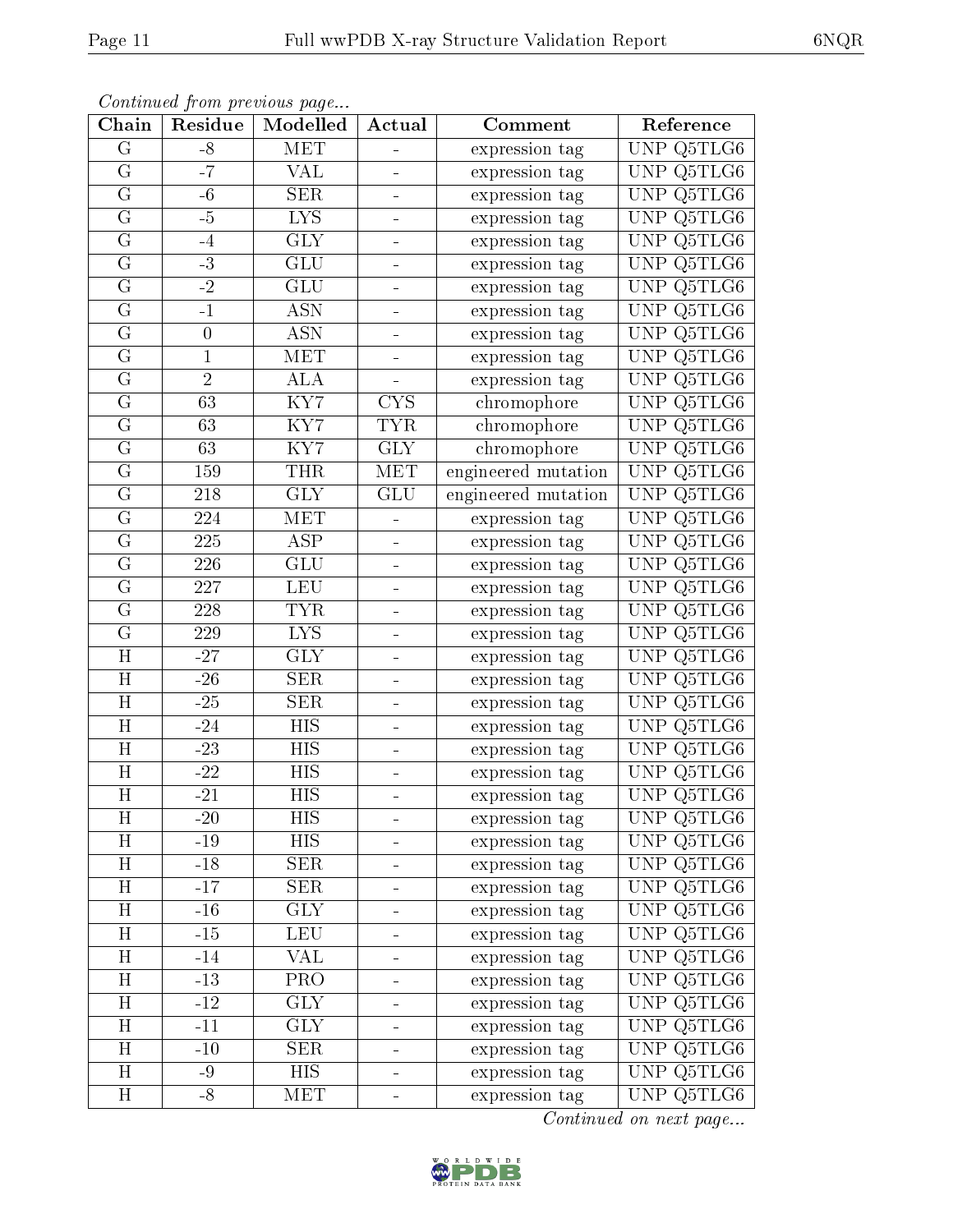| Chain                   | Residue          | Commune from previous page<br>Modelled | Actual                   | Comment             | Reference                      |
|-------------------------|------------------|----------------------------------------|--------------------------|---------------------|--------------------------------|
| G                       | $-8$             | <b>MET</b>                             |                          | expression tag      | UNP Q5TLG6                     |
| $\mathbf G$             | $-7$             | <b>VAL</b>                             | ÷                        | expression tag      | UNP Q5TLG6                     |
| G                       | $-6$             | SER                                    |                          | expression tag      | UNP Q5TLG6                     |
| ${\bf G}$               | $-5$             | <b>LYS</b>                             | $\frac{1}{2}$            | expression tag      | UNP $Q5TLG6$                   |
| $\overline{G}$          | $-4$             | $\overline{\text{GLY}}$                | -                        | expression tag      | UNP Q5TLG6                     |
| G                       | $-3$             | GLU                                    | -                        | expression tag      | Q5TLG6<br>UNP                  |
| G                       | $-2$             | <b>GLU</b>                             |                          | expression tag      | UNP Q5TLG6                     |
| G                       | $-1$             | <b>ASN</b>                             | ÷                        | expression tag      | UNP Q5TLG6                     |
| G                       | $\boldsymbol{0}$ | <b>ASN</b>                             |                          | expression tag      | UNP Q5TLG6                     |
| $\overline{G}$          | $\mathbf 1$      | MET                                    | ÷                        | expression tag      | UNP Q5TLG6                     |
| $\mathbf G$             | $\overline{2}$   | <b>ALA</b>                             | $\overline{\phantom{0}}$ | expression tag      | UNP Q5TLG6                     |
| G                       | $\overline{63}$  | $\overline{\text{KY7}}$                | <b>CYS</b>               | chromophore         | UNP Q5TLG6                     |
| G                       | 63               | KY7                                    | <b>TYR</b>               | chromophore         | UNP Q5TLG6                     |
| G                       | 63               | KY7                                    | <b>GLY</b>               | chromophore         | UNP Q5TLG6                     |
| $\overline{G}$          | 159              | <b>THR</b>                             | <b>MET</b>               | engineered mutation | UNP Q5TLG6                     |
| G                       | 218              | <b>GLY</b>                             | <b>GLU</b>               | engineered mutation | UNP Q5TLG6                     |
| G                       | 224              | MET                                    |                          | expression tag      | UNP Q5TLG6                     |
| G                       | 225              | <b>ASP</b>                             |                          | expression tag      | UNP Q5TLG6                     |
| G                       | 226              | GLU                                    | $\equiv$                 | expression tag      | $\overline{\text{UNP Q5TLG6}}$ |
| $\overline{G}$          | 227              | <b>LEU</b>                             |                          | expression tag      | UNP Q5TLG6                     |
| G                       | 228              | <b>TYR</b>                             | $\blacksquare$           | expression tag      | UNP Q5TLG6                     |
| $\overline{G}$          | 229              | $\overline{LYS}$                       |                          | expression tag      | UNP Q5TLG6                     |
| H                       | $-27$            | <b>GLY</b>                             | $\blacksquare$           | expression tag      | UNP Q5TLG6                     |
| $\overline{\rm H}$      | $-26$            | SER                                    | ÷                        | expression tag      | UNP Q5TLG6                     |
| H                       | $-25$            | <b>SER</b>                             | $\blacksquare$           | expression tag      | UNP Q5TLG6                     |
| H                       | $-24$            | <b>HIS</b>                             | -                        | expression tag      | Q5TLG6<br><b>UNP</b>           |
| H                       | $-23$            | HIS                                    |                          | expression tag      | Q5TLG6<br><b>UNP</b>           |
| H                       | $-22$            | <b>HIS</b>                             |                          | expression tag      | UNP Q5TLG6                     |
| $\overline{\mathrm{H}}$ | $-21$            | $\overline{HIS}$                       | $\equiv$                 | expression tag      | UNP Q5TLG6                     |
| $H_{\rm}$               | $-20$            | HIS                                    |                          | expression tag      | UNP Q5TLG6                     |
| H                       | $-19$            | <b>HIS</b>                             | $\equiv$                 | expression tag      | UNP Q5TLG6                     |
| H                       | $-18$            | <b>SER</b>                             |                          | expression tag      | UNP Q5TLG6                     |
| H                       | $-17$            | <b>SER</b>                             |                          | expression tag      | UNP Q5TLG6                     |
| H                       | $-16$            | <b>GLY</b>                             |                          | expression tag      | UNP Q5TLG6                     |
| $H_{\rm}$               | $-15$            | <b>LEU</b>                             | $\blacksquare$           | expression tag      | UNP Q5TLG6                     |
| H                       | $-14$            | VAL                                    |                          | expression tag      | UNP Q5TLG6                     |
| H                       | $-13$            | <b>PRO</b>                             |                          | expression tag      | UNP Q5TLG6                     |
| $H_{\rm}$               | $-12$            | <b>GLY</b>                             |                          | expression tag      | UNP Q5TLG6                     |
| $\overline{H}$          | $-11$            | $\overline{GIY}$                       |                          | expression tag      | UNP Q5TLG6                     |
| H                       | $-10$            | <b>SER</b>                             | -                        | expression tag      | UNP Q5TLG6                     |
| $\overline{\rm H}$      | $-9$             | <b>HIS</b>                             |                          | expression tag      | UNP Q5TLG6                     |
| H                       | $-8$             | <b>MET</b>                             | $\frac{1}{2}$            | expression tag      | UNP Q5TLG6                     |

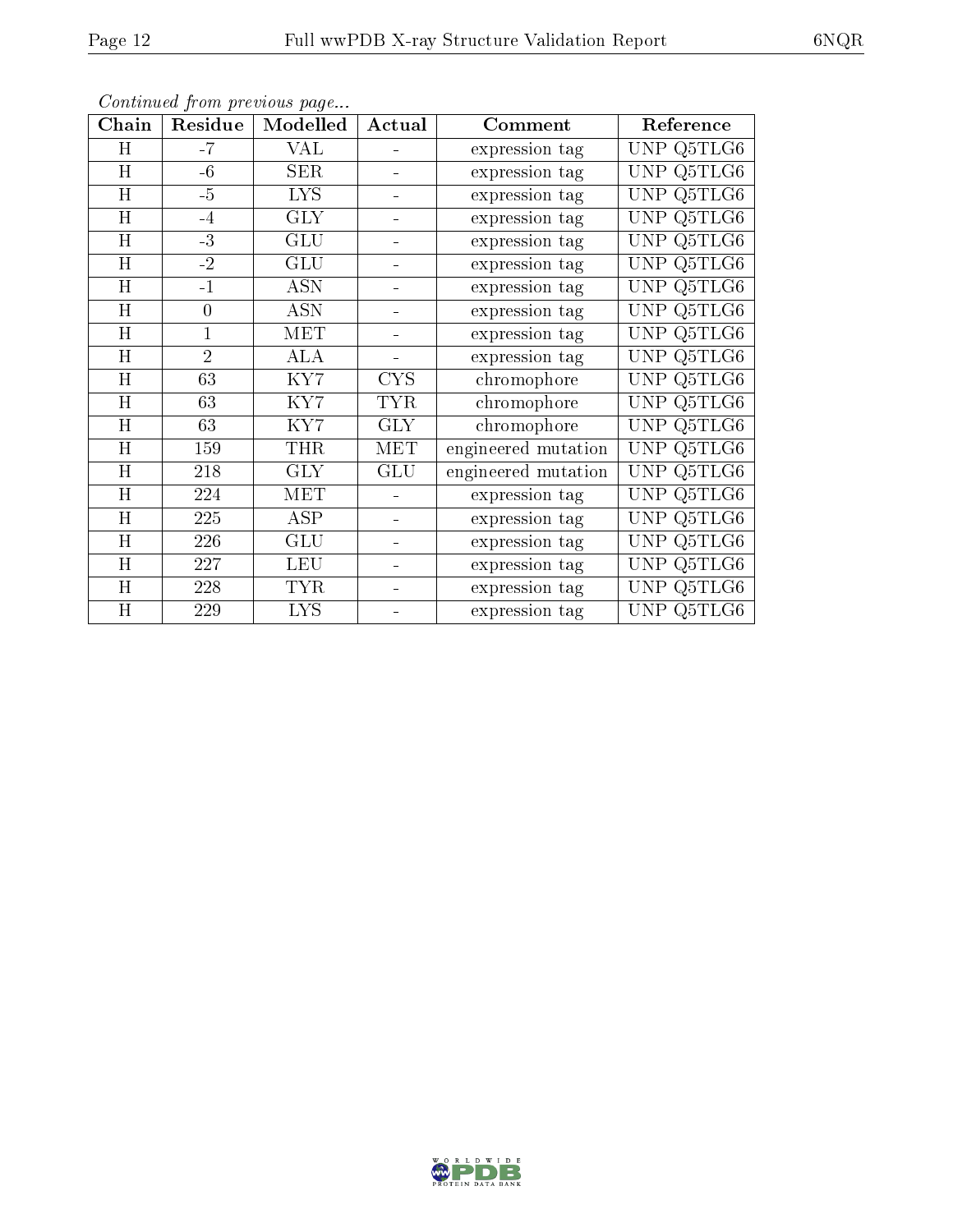| Chain           | Residue          | Modelled   | Actual     | Comment             | Reference                                 |
|-----------------|------------------|------------|------------|---------------------|-------------------------------------------|
| H               | $-7$             | VAL        |            | expression tag      | UNP Q5TLG6                                |
| H               | $-6$             | <b>SER</b> |            | expression tag      | UNP Q5TLG6                                |
| H               | $-5$             | <b>LYS</b> |            | expression tag      | Q5TLG6<br>UNP                             |
| H               | $-4$             | $\rm GLY$  |            | expression tag      | Q5TLG6<br><b>UNP</b>                      |
| H               | $-3$             | GLU        | -          | expression tag      | Q5TLG6<br><b>UNP</b>                      |
| $H_{\parallel}$ | $-2$             | <b>GLU</b> |            | expression tag      | Q5TLG6<br><b>UNP</b>                      |
| H               | $-1$             | <b>ASN</b> |            | expression tag      | <b>UNP</b><br>Q5TLG6                      |
| H               | $\boldsymbol{0}$ | <b>ASN</b> |            | expression tag      | Q5TLG6<br>UNP                             |
| H               | 1                | <b>MET</b> |            | expression tag      | Q5TLG6<br><b>UNP</b>                      |
| H               | $\overline{2}$   | <b>ALA</b> |            | expression tag      | Q5TLG6<br><b>UNP</b>                      |
| H               | 63               | KY7        | <b>CYS</b> | chromophore         | Q5TLG6<br>UNP                             |
| $H_{\parallel}$ | 63               | KY7        | <b>TYR</b> | chromophore         | $\overline{\text{Q5T}}$ LG6<br><b>UNP</b> |
| H               | 63               | KY7        | GLY        | chromophore         | Q5TLG6<br><b>UNP</b>                      |
| H               | 159              | <b>THR</b> | <b>MET</b> | engineered mutation | UNP<br>Q5TLG6                             |
| H               | 218              | <b>GLY</b> | <b>GLU</b> | engineered mutation | Q5TLG6<br><b>UNP</b>                      |
| H               | 224              | <b>MET</b> |            | expression tag      | Q5TLG6<br><b>UNP</b>                      |
| H               | 225              | ASP        |            | expression tag      | <b>UNP</b><br>Q5TLG6                      |
| H               | 226              | <b>GLU</b> |            | expression tag      | Q5TLG6<br><b>UNP</b>                      |
| H               | 227              | <b>LEU</b> |            | expression tag      | Q5TLG6<br><b>UNP</b>                      |
| H               | 228              | <b>TYR</b> |            | expression tag      | <b>UNP</b><br>Q5TLG6                      |
| H               | 229              | <b>LYS</b> |            | expression tag      | UNP<br>Q5TLG6                             |

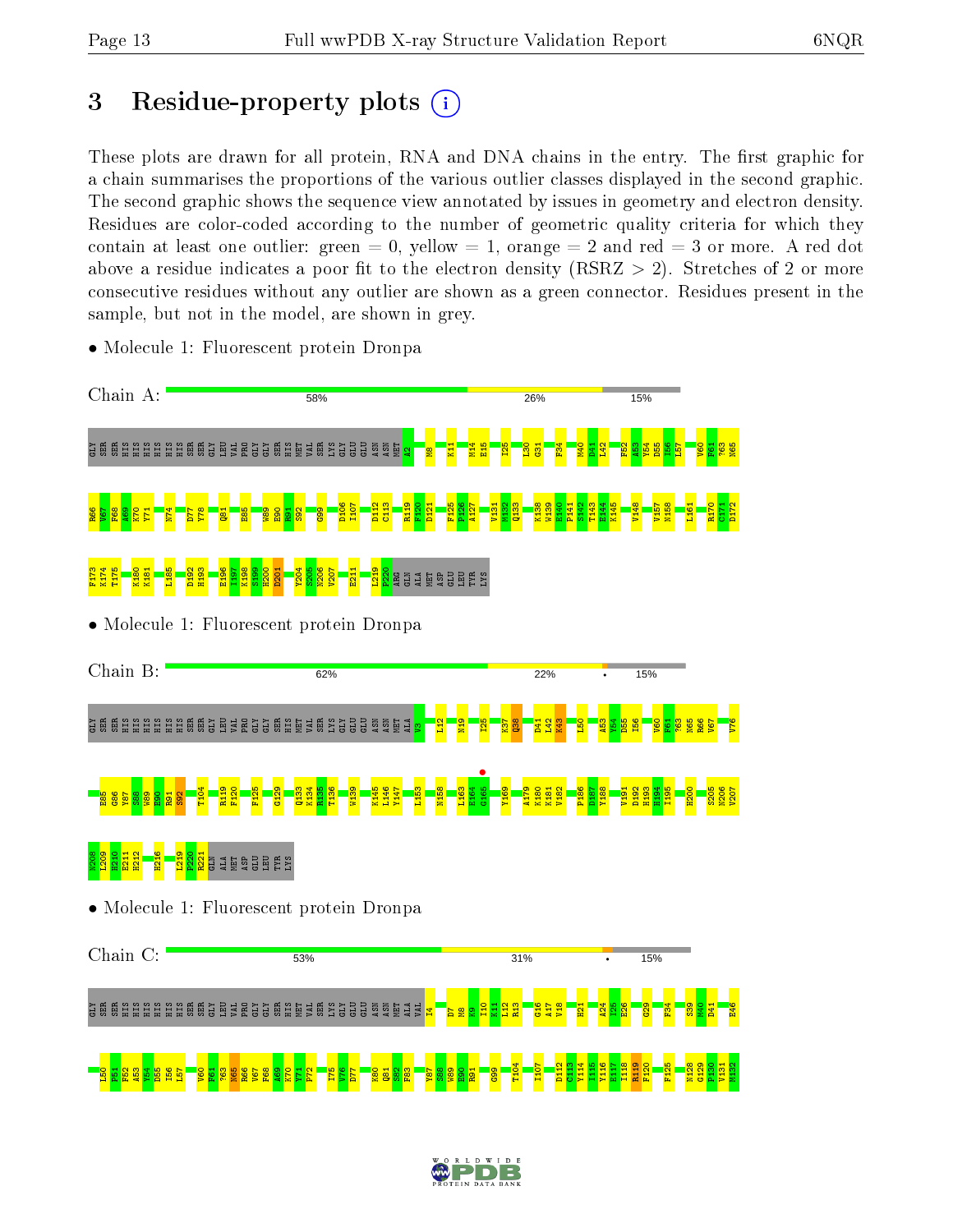# 3 Residue-property plots  $(i)$

These plots are drawn for all protein, RNA and DNA chains in the entry. The first graphic for a chain summarises the proportions of the various outlier classes displayed in the second graphic. The second graphic shows the sequence view annotated by issues in geometry and electron density. Residues are color-coded according to the number of geometric quality criteria for which they contain at least one outlier: green  $= 0$ , yellow  $= 1$ , orange  $= 2$  and red  $= 3$  or more. A red dot above a residue indicates a poor fit to the electron density (RSRZ  $> 2$ ). Stretches of 2 or more consecutive residues without any outlier are shown as a green connector. Residues present in the sample, but not in the model, are shown in grey.



• Molecule 1: Fluorescent protein Dronpa

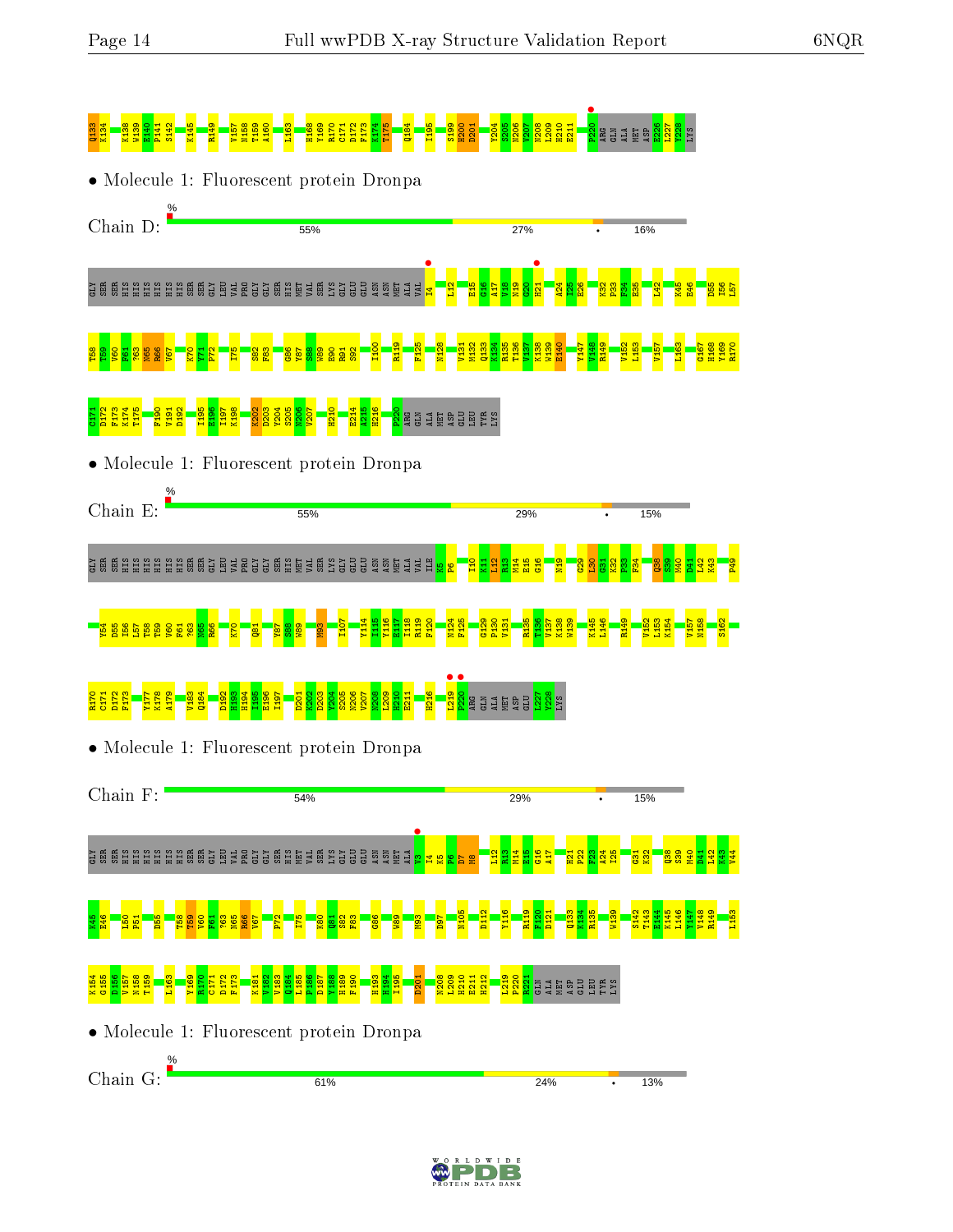

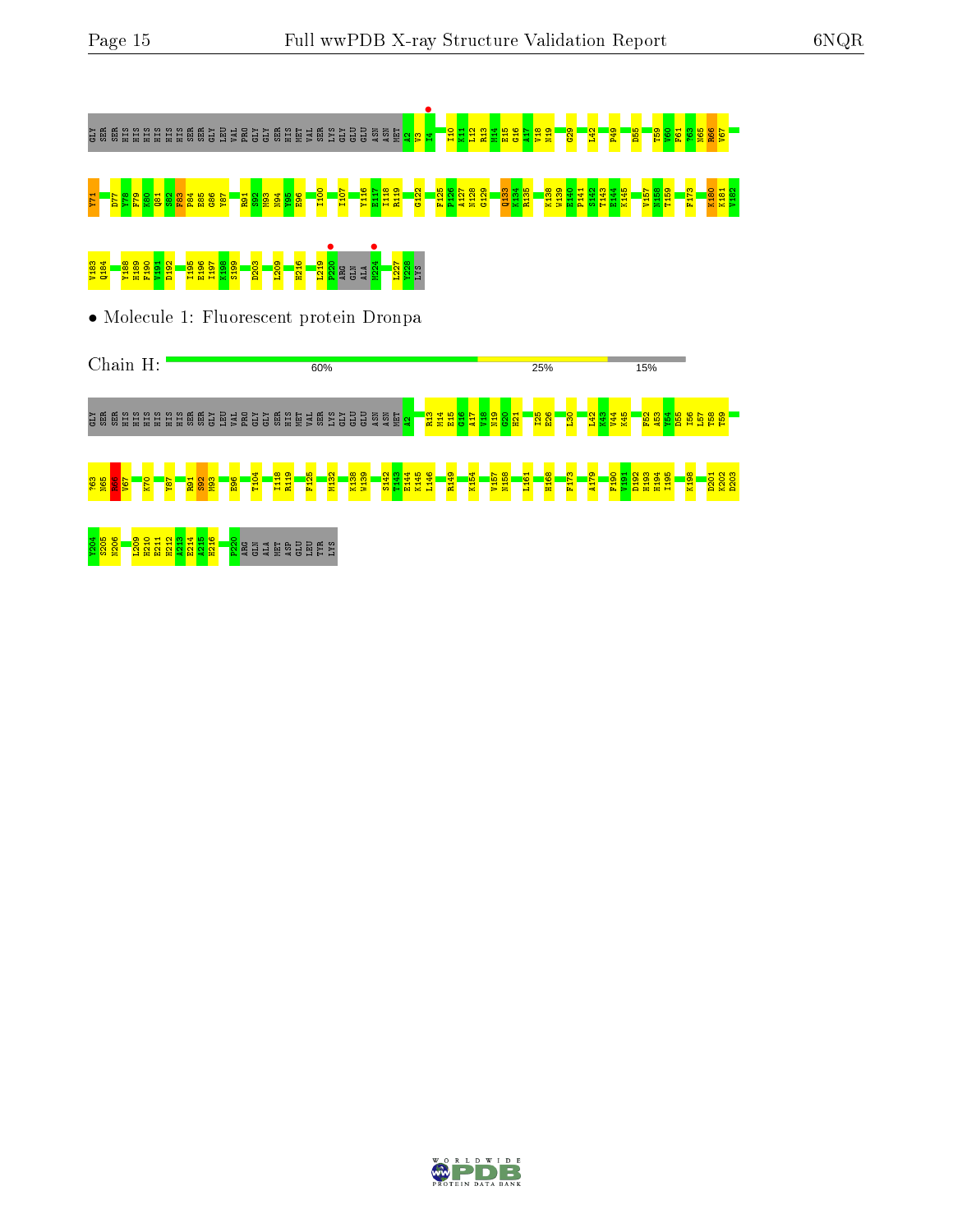



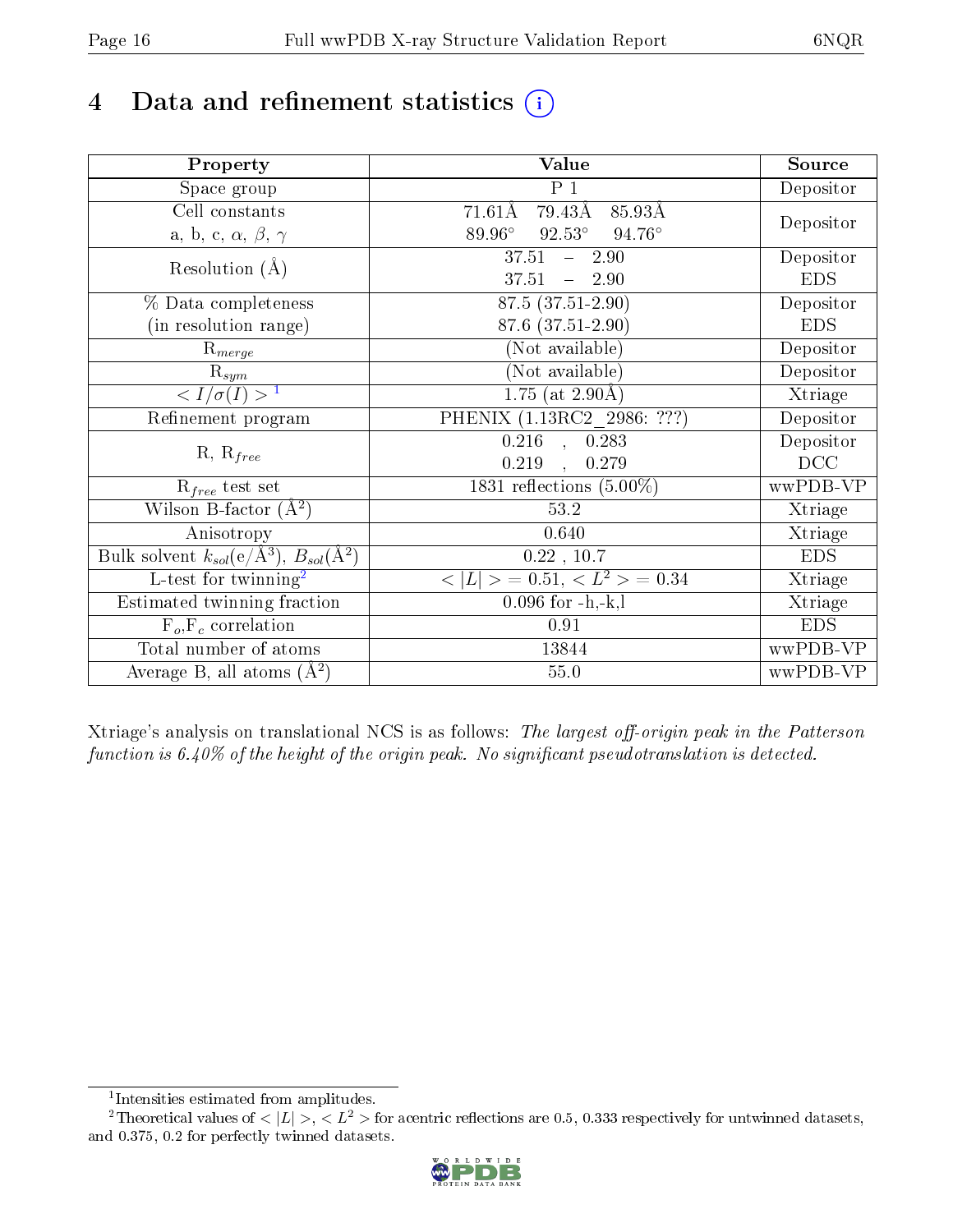# 4 Data and refinement statistics  $(i)$

| Property                                                             | Value                                    | Source     |
|----------------------------------------------------------------------|------------------------------------------|------------|
| Space group                                                          | $P_1$                                    | Depositor  |
| Cell constants                                                       | 79.43Å<br>$71.61\text{\AA}$<br>85.93Å    |            |
| a, b, c, $\alpha$ , $\beta$ , $\gamma$                               | $92.53^\circ$<br>89.96°<br>$94.76^\circ$ | Depositor  |
| Resolution $(A)$                                                     | 37.51<br>$-2.90$                         | Depositor  |
|                                                                      | 37.51<br>$-2.90$                         | <b>EDS</b> |
| % Data completeness                                                  | 87.5 (37.51-2.90)                        | Depositor  |
| (in resolution range)                                                | 87.6 (37.51-2.90)                        | <b>EDS</b> |
| $R_{merge}$                                                          | (Not available)                          | Depositor  |
| $\mathrm{R}_{sym}$                                                   | (Not available)                          | Depositor  |
| $\sqrt{I/\sigma}(I) > 1$                                             | 1.75 (at $2.90\text{\AA}$ )              | Xtriage    |
| Refinement program                                                   | PHENIX (1.13RC2 2986: ???)               | Depositor  |
|                                                                      | $0.216$ , $0.283$                        | Depositor  |
| $R, R_{free}$                                                        | 0.219<br>0.279                           | DCC        |
| $R_{free}$ test set                                                  | 1831 reflections $(5.00\%)$              | wwPDB-VP   |
| Wilson B-factor $(A^2)$                                              | 53.2                                     | Xtriage    |
| Anisotropy                                                           | 0.640                                    | Xtriage    |
| Bulk solvent $k_{sol}(e/\mathring{A}^3)$ , $B_{sol}(\mathring{A}^2)$ | 0.22, 10.7                               | <b>EDS</b> |
| L-test for twinning <sup>2</sup>                                     | $< L >$ = 0.51, $< L2 >$ = 0.34          | Xtriage    |
| Estimated twinning fraction                                          | $0.096$ for $-h,-k,l$                    | Xtriage    |
| $F_o, F_c$ correlation                                               | 0.91                                     | <b>EDS</b> |
| Total number of atoms                                                | 13844                                    | wwPDB-VP   |
| Average B, all atoms $(A^2)$                                         | $55.0\,$                                 | wwPDB-VP   |

Xtriage's analysis on translational NCS is as follows: The largest off-origin peak in the Patterson function is  $6.40\%$  of the height of the origin peak. No significant pseudotranslation is detected.

<sup>&</sup>lt;sup>2</sup>Theoretical values of  $\langle |L| \rangle$ ,  $\langle L^2 \rangle$  for acentric reflections are 0.5, 0.333 respectively for untwinned datasets, and 0.375, 0.2 for perfectly twinned datasets.



<span id="page-15-1"></span><span id="page-15-0"></span><sup>1</sup> Intensities estimated from amplitudes.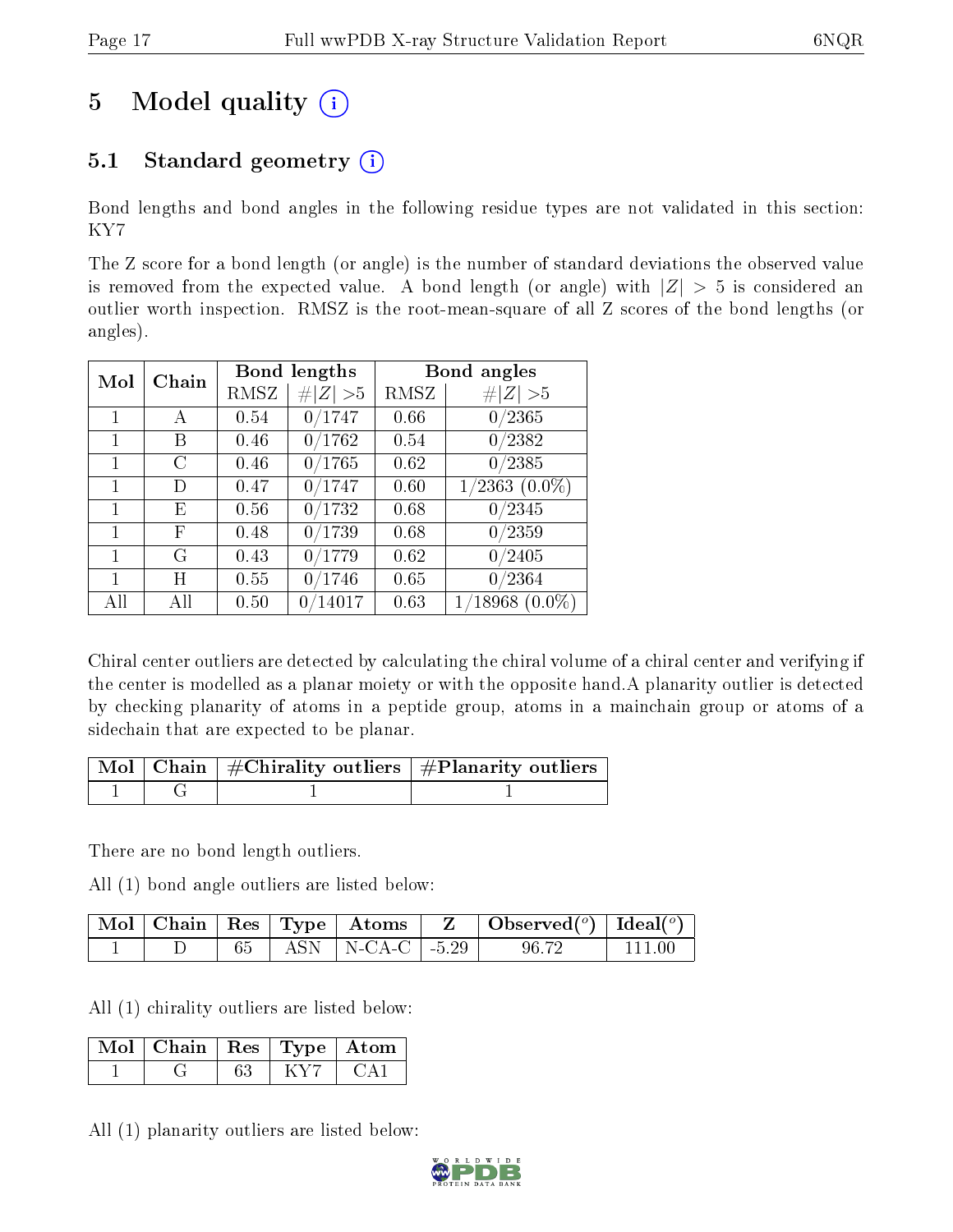# 5 Model quality  $(i)$

## 5.1 Standard geometry  $(i)$

Bond lengths and bond angles in the following residue types are not validated in this section: KY7

The Z score for a bond length (or angle) is the number of standard deviations the observed value is removed from the expected value. A bond length (or angle) with  $|Z| > 5$  is considered an outlier worth inspection. RMSZ is the root-mean-square of all Z scores of the bond lengths (or angles).

| Mol | Chain |      | Bond lengths          |      | Bond angles         |
|-----|-------|------|-----------------------|------|---------------------|
|     |       | RMSZ | Z   > 5               | RMSZ | # $ Z  > 5$         |
| 1   | А     | 0.54 | 0/1747                | 0.66 | 0/2365              |
| 1   | В     | 0.46 | 0/1762                | 0.54 | 0/2382              |
| 1   | C     | 0.46 | 0/1765                | 0.62 | 0/2385              |
| 1   | D     | 0.47 | 0/1747                | 0.60 | $1/2363$ $(0.0\%)$  |
| 1   | Ε     | 0.56 | 0/1732                | 0.68 | 0/2345              |
| 1   | F     | 0.48 | 0/1739                | 0.68 | 0/2359              |
| 1   | G     | 0.43 | 0/1779                | 0.62 | 0/2405              |
| 1   | Η     | 0.55 | 0/1746                | 0.65 | 0/2364              |
| All | All   | 0.50 | $^{\prime}14017$<br>0 | 0.63 | $1/18968$ $(0.0\%)$ |

Chiral center outliers are detected by calculating the chiral volume of a chiral center and verifying if the center is modelled as a planar moiety or with the opposite hand.A planarity outlier is detected by checking planarity of atoms in a peptide group, atoms in a mainchain group or atoms of a sidechain that are expected to be planar.

|  | $\lceil \, \text{Mol} \, \rceil$ Chain $\mid \# \text{Chirality outliers} \mid \# \text{Planarity outliers} \mid$ |
|--|-------------------------------------------------------------------------------------------------------------------|
|  |                                                                                                                   |

There are no bond length outliers.

All (1) bond angle outliers are listed below:

|  |  |                           | $\mid$ Mol $\mid$ Chain $\mid$ Res $\mid$ Type $\mid$ Atoms $\mid$ Z $\mid$ Observed( <sup>o</sup> ) $\mid$ Ideal( <sup>o</sup> ) |        |
|--|--|---------------------------|-----------------------------------------------------------------------------------------------------------------------------------|--------|
|  |  | 65   ASN   N-CA-C   -5.29 | 96.72                                                                                                                             | 111 00 |

All (1) chirality outliers are listed below:

| $\mid$ Mol $\mid$ Chain $\mid$ Res $\mid$ Type $\mid$ Atom |  |  |
|------------------------------------------------------------|--|--|
|                                                            |  |  |

All (1) planarity outliers are listed below:

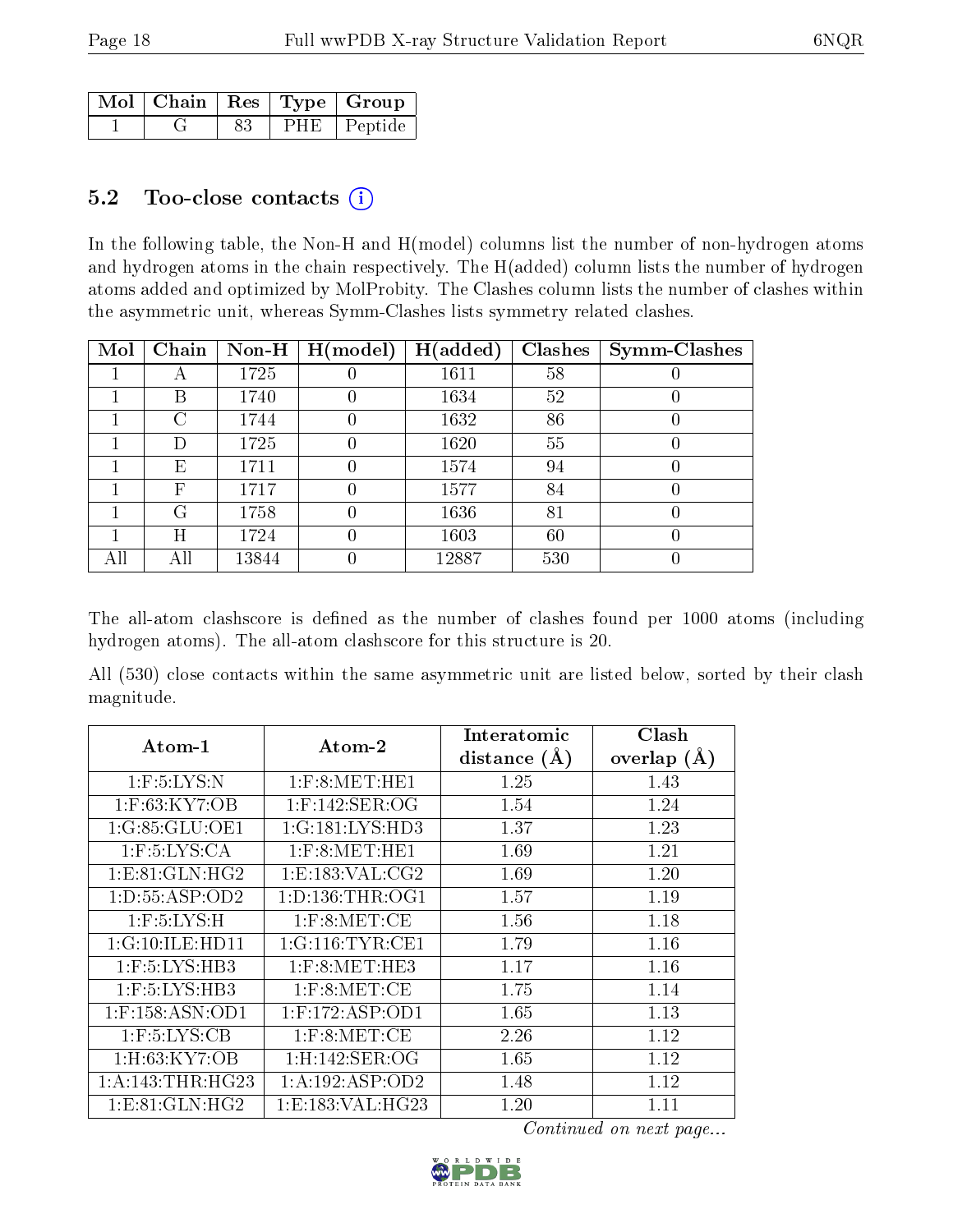|  |  | , Mol $\mid$ Chain $\mid$ Res $\mid$ Type $\mid$ Group $\mid$ |
|--|--|---------------------------------------------------------------|
|  |  | PHE Peptide                                                   |

#### 5.2 Too-close contacts  $(i)$

In the following table, the Non-H and H(model) columns list the number of non-hydrogen atoms and hydrogen atoms in the chain respectively. The H(added) column lists the number of hydrogen atoms added and optimized by MolProbity. The Clashes column lists the number of clashes within the asymmetric unit, whereas Symm-Clashes lists symmetry related clashes.

| Mol | Chain | $Non-H$ | H (model) | H(added) | <b>Clashes</b> | Symm-Clashes |
|-----|-------|---------|-----------|----------|----------------|--------------|
|     | A     | 1725    |           | 1611     | 58             |              |
|     | В     | 1740    |           | 1634     | 52             |              |
|     | C     | 1744    | 0         | 1632     | 86             |              |
|     | D     | 1725    | 0         | 1620     | 55             |              |
|     | Е     | 1711    | 0         | 1574     | 94             |              |
|     | F     | 1717    | 0         | 1577     | 84             |              |
|     | G     | 1758    | 0         | 1636     | 81             |              |
|     | Η     | 1724    | 0         | 1603     | 60             |              |
| All | All   | 13844   | 0         | 12887    | 530            |              |

The all-atom clashscore is defined as the number of clashes found per 1000 atoms (including hydrogen atoms). The all-atom clashscore for this structure is 20.

All (530) close contacts within the same asymmetric unit are listed below, sorted by their clash magnitude.

| $Atom-1$             | $\boldsymbol{\mathrm{Atom}\text{-}2}$ | Interatomic     | Clash          |
|----------------------|---------------------------------------|-----------------|----------------|
|                      |                                       | distance<br>(A) | overlap<br>(A) |
| $1:$ F:5:LYS:N       | $1:$ F:8:MET:HE1                      | 1.25            | 1.43           |
| $1:$ F:63:KY7:OB     | $1:$ F:142:SER:OG                     | 1.54            | 1.24           |
| 1:G:85:GLU:OE1       | 1:G:181:LYS:HD3                       | 1.37            | 1.23           |
| $1:$ F:5:LYS:CA      | $1:$ F:8:MET:HE1                      | 1.69            | 1.21           |
| 1: E: 81: GLN: HG2   | 1: E: 183: VAL: CG2                   | 1.69            | 1.20           |
| 1: D: 55: ASP: OD2   | 1: D: 136: THR: OG1                   | 1.57            | 1.19           |
| $1:$ F:5:LYS:H       | $1:$ F:8:MET:CE                       | 1.56            | 1.18           |
| 1:G:10:ILE:HD11      | 1:G:116:TYR:CE1                       | 1.79            | 1.16           |
| $1:$ F:5:LYS:HB3     | $1:$ F:8:MET:HE3                      | 1.17            | 1.16           |
| $1:$ F:5:LYS:HB3     | $1:$ F:8:MET:CE                       | 1.75            | 1.14           |
| $1:$ F:158:ASN:OD1   | $1:$ F:172:ASP:OD1                    | 1.65            | 1.13           |
| $1:$ F:5:LYS:CB      | $1:$ F:8:MET:CE                       | 2.26            | 1.12           |
| $1:$ H $:$ 63:KY7:OB | 1: H: 142: SER: OG                    | 1.65            | 1.12           |
| 1: A:143:THR:HG23    | 1:A:192:ASP:OD2                       | 1.48            | 1.12           |
| 1: E:81: GLN: HG2    | 1:E:183:VAL:HG23                      | 1.20            | 1.11           |

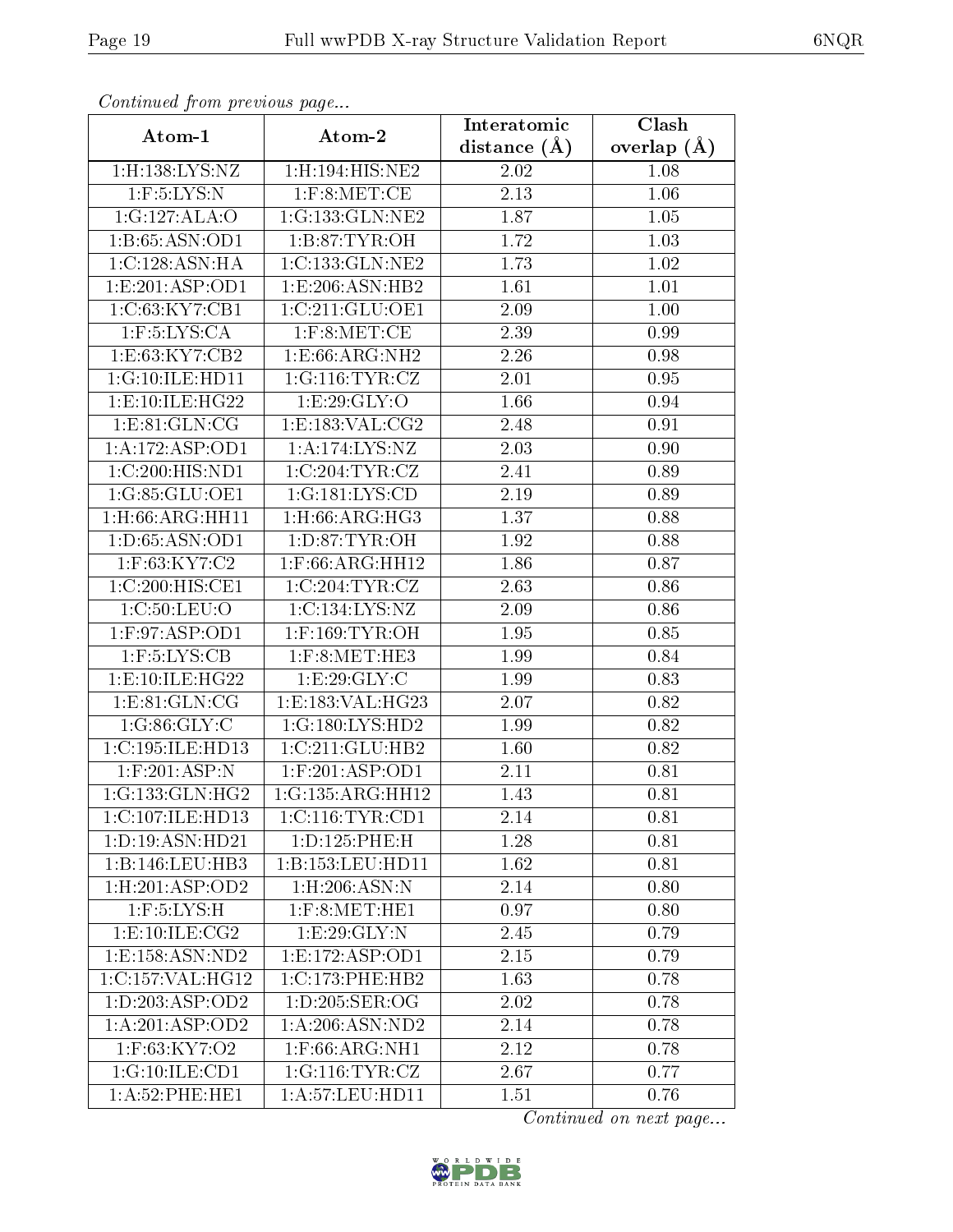| оонынаса јют ртоново раде |                               | Interatomic       | Clash           |
|---------------------------|-------------------------------|-------------------|-----------------|
| Atom-1                    | Atom-2                        | distance $(\AA)$  | overlap $(\AA)$ |
| 1:H:138:LYS:NZ            | 1:H:194:HIS:NE2               | 2.02              | 1.08            |
| $1:$ F:5:LYS:N            | $1:$ F:8:MET:CE               | 2.13              | 1.06            |
| 1:G:127:ALA:O             | 1:G:133:GLN:NE2               | 1.87              | 1.05            |
| 1:B:65:ASN:OD1            | 1: B:87: TYR:OH               | 1.72              | 1.03            |
| 1:C:128:ASN:HA            | 1:C:133:GLN:NE2               | 1.73              | $1.02\,$        |
| 1: E: 201: ASP: OD1       | 1:E:206:ASN:HB2               | 1.61              | 1.01            |
| 1:C:63:KY7:CB1            | 1:C:211:GLU:OE1               | 2.09              | $1.00\,$        |
| $1:$ F:5:LYS:CA           | $1:$ F:8:MET:CE               | 2.39              | 0.99            |
| 1:E:63:KY7:CB2            | 1: E:66: ARG: NH2             | $\overline{2}.26$ | 0.98            |
| 1:G:10:ILE:HD11           | 1:G:116:TYR:CZ                | 2.01              | 0.95            |
| 1:E:10:ILE:HG22           | 1:E:29:GLY:O                  | 1.66              | 0.94            |
| 1: E: 81: GLN: CG         | 1:E:183:VAL:CG2               | 2.48              | 0.91            |
| 1:A:172:ASP:OD1           | 1:A:174:LYS:NZ                | 2.03              | 0.90            |
| 1:C:200:HIS:ND1           | 1:C:204:TYR:CZ                | 2.41              | 0.89            |
| 1:G:85:GLU:OE1            | 1:G:181:LYS:CD                | 2.19              | 0.89            |
| $1:$ H $:66:$ ARG:HH $11$ | 1:H:66:ARG:HG3                | 1.37              | 0.88            |
| 1:D:65:ASN:OD1            | 1: D:87: TYR: OH              | 1.92              | 0.88            |
| 1:F:63:KY7:C2             | $1:$ F:66:ARG:HH $12$         | 1.86              | 0.87            |
| 1:C:200:HIS:CE1           | 1:C:204:TYR:CZ                | 2.63              | 0.86            |
| 1:C:50:LEU:O              | 1:C:134:LYS:NZ                | 2.09              | 0.86            |
| 1:F:97:ASP:OD1            | $1:$ F:169:TYR:OH             | 1.95              | 0.85            |
| $1:$ F:5:LYS:CB           | $1:$ F:8:MET:HE3              | 1.99              | 0.84            |
| 1: E:10: ILE: HG22        | 1: E: 29: GLY: C              | 1.99              | 0.83            |
| 1: E: 81: GLN: CG         | 1:E:183:VAL:HG23              | 2.07              | 0.82            |
| 1:G:86:GLY:C              | 1:G:180:LYS:HD2               | 1.99              | 0.82            |
| 1:C:195:ILE:HD13          | 1:C:211:GLU:HB2               | 1.60              | 0.82            |
| $1:$ F:201:ASP:N          | $1:$ F:201:ASP:OD1            | 2.11              | 0.81            |
| 1:G:133:GLN:HG2           | $1:G:135:A\overline{RG:HH12}$ | 1.43              | 0.81            |
| 1:C:107:ILE:HD13          | 1:C:116:TYR:CD1               | 2.14              | 0.81            |
| 1:D:19:ASN:HD21           | 1:D:125:PHE:H                 | 1.28              | 0.81            |
| 1:B:146:LEU:HB3           | 1:B:153:LEU:HD11              | 1.62              | 0.81            |
| 1: H:201: ASP:OD2         | $1:$ H $:206:$ ASN:N          | 2.14              | 0.80            |
| $1:$ F:5:LYS:H            | $1:$ F:8:MET:HE $1$           | 0.97              | 0.80            |
| 1:E:10:ILE:CG2            | 1:E:29:GLY:N                  | 2.45              | 0.79            |
| 1: E: 158: ASN: ND2       | 1: E: 172: ASP: OD1           | 2.15              | 0.79            |
| 1:C:157:VAL:HG12          | 1:C:173:PHE:HB2               | 1.63              | 0.78            |
| 1:D:203:ASP:OD2           | 1: D: 205: SER: OG            | 2.02              | 0.78            |
| 1:A:201:ASP:OD2           | 1:A:206:ASN:ND2               | 2.14              | 0.78            |
| 1:F:63:KY7:O2             | $1:$ F:66: $ARG:NH1$          | 2.12              | 0.78            |
| 1:G:10:ILE:CD1            | 1:G:116:TYR:CZ                | 2.67              | 0.77            |
| 1:A:52:PHE:HE1            | 1: A: 57: LEU: HD11           | 1.51              | 0.76            |

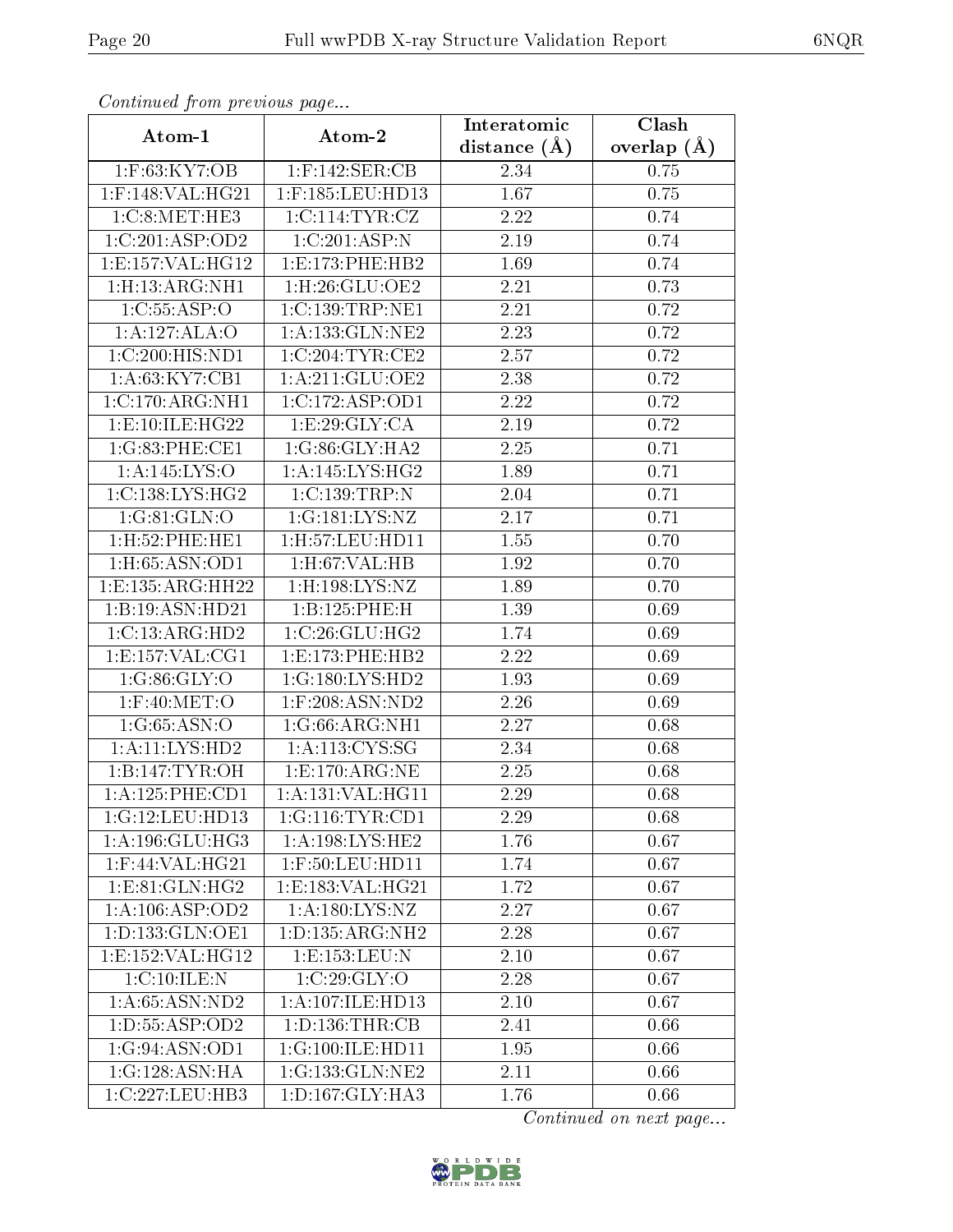| Communica from precious page |                                                    | Interatomic    | Clash         |
|------------------------------|----------------------------------------------------|----------------|---------------|
| Atom-1                       | Atom-2                                             | distance $(A)$ | overlap $(A)$ |
| 1:F:63:KY7:OB                | $1:$ F:142:SER:CB                                  | 2.34           | 0.75          |
| $1:$ F:148:VAL:HG21          | $1:$ F:185:LEU:HD13                                | 1.67           | 0.75          |
| 1:C:8:MET:HE3                | 1:C:114:TYR:CZ                                     | 2.22           | 0.74          |
| 1:C:201:ASP:OD2              | 1:C:201:ASP:N                                      | 2.19           | 0.74          |
| 1: E: 157: VAL:HG12          | 1: E: 173: PHE: HB2                                | 1.69           | 0.74          |
| 1:H:13:ARG:NH1               | 1:H:26:GLU:OE2                                     | 2.21           | 0.73          |
| 1:C:55:ASP:O                 | 1:C:139:TRP:NE1                                    | 2.21           | 0.72          |
| 1:A:127:ALA:O                | 1: A: 133: GLN: NE2                                | 2.23           | 0.72          |
| 1:C:200:HIS:ND1              | 1:C:204:TYR:CE2                                    | 2.57           | 0.72          |
| 1:A:63:KY7:CB1               | 1: A:211: GLU:OE2                                  | 2.38           | 0.72          |
| 1:C:170:ARG:NH1              | 1:C:172:ASP:OD1                                    | 2.22           | 0.72          |
| 1: E:10: ILE: HG22           | 1: E:29: GLY:CA                                    | 2.19           | 0.72          |
| 1:G:83:PHE:CE1               | 1:G:86:GLY:HA2                                     | 2.25           | 0.71          |
| 1: A:145: LYS:O              | 1:A:145:LYS:HG2                                    | 1.89           | 0.71          |
| 1:C:138:LYS:HG2              | 1:C:139:TRP:N                                      | 2.04           | 0.71          |
| 1:G:81:GLN:O                 | 1:G:181:LYS:NZ                                     | 2.17           | 0.71          |
| 1:H:52:PHE:HE1               | 1:H:57:LEU:HD11                                    | 1.55           | 0.70          |
| 1:H:65:ASN:OD1               | 1:H:67:VAL:HB                                      | 1.92           | 0.70          |
| 1: E: 135: ARG: HH22         | $1:$ H $:198:LYS:NZ$                               | 1.89           | 0.70          |
| 1:B:19:ASN:HD21              | 1:B:125:PHE:H                                      | 1.39           | 0.69          |
| 1:C:13:ARG:HD2               | 1:C:26:GLU:HG2                                     | 1.74           | 0.69          |
| 1: E: 157: VAL: CG1          | 1: E: 173: PHE: HB2                                | 2.22           | 0.69          |
| 1:G:86:GLY:O                 | 1:G:180:LYS:HD2                                    | 1.93           | 0.69          |
| $1:$ F:40:MET:O              | $1:$ F:208:ASN:ND2                                 | 2.26           | 0.69          |
| 1:G:65:ASN:O                 | 1:G:66:ARG:NH1                                     | 2.27           | 0.68          |
| 1: A: 11: LYS: HD2           | 1: A:113:CYS:SG                                    | 2.34           | 0.68          |
| 1:B:147:TYR:OH               | 1: E: 170: ARG: NE                                 | 2.25           | 0.68          |
| 1:A:125:PHE:CD1              | 1:A:131:VAL:HG11                                   | 2.29           | 0.68          |
| 1:G:12:LEU:HD13              | 1:G:116:TYR:CD1                                    | 2.29           | 0.68          |
| 1:A:196:GLU:HG3              | 1:A:198:LYS:HE2                                    | 1.76           | 0.67          |
| $1:$ F:44:VAL:HG21           | 1:F:50:LEU:HD11                                    | 1.74           | 0.67          |
| 1: E: 81: GLN: HG2           | $1: E: 183: V\overline{\mathrm{AL}:H\mathrm{G}21}$ | 1.72           | 0.67          |
| 1:A:106:ASP:OD2              | 1: A: 180: LYS: NZ                                 | 2.27           | 0.67          |
| 1: D: 133: GLN: OE1          | 1: D: 135: ARG: NH2                                | 2.28           | 0.67          |
| 1:E:152:VAL:HG12             | 1:E:153:EEU:N                                      | 2.10           | 0.67          |
| 1:C:10:ILE:N                 | 1:C:29:GLY:O                                       | 2.28           | 0.67          |
| 1: A:65: ASN:ND2             | 1:A:107:ILE:HD13                                   | 2.10           | 0.67          |
| 1: D: 55: ASP: OD2           | 1: D: 136: THR: CB                                 | 2.41           | 0.66          |
| 1:G:94:ASN:OD1               | 1:G:100:ILE:HD11                                   | 1.95           | 0.66          |
| 1:G:128:ASN:HA               | 1:G:133:GLN:NE2                                    | 2.11           | 0.66          |
| $1:C:227:LE\overline{U:HB3}$ | $1: D: 167: \overline{GLY:HA3}$                    | 1.76           | 0.66          |

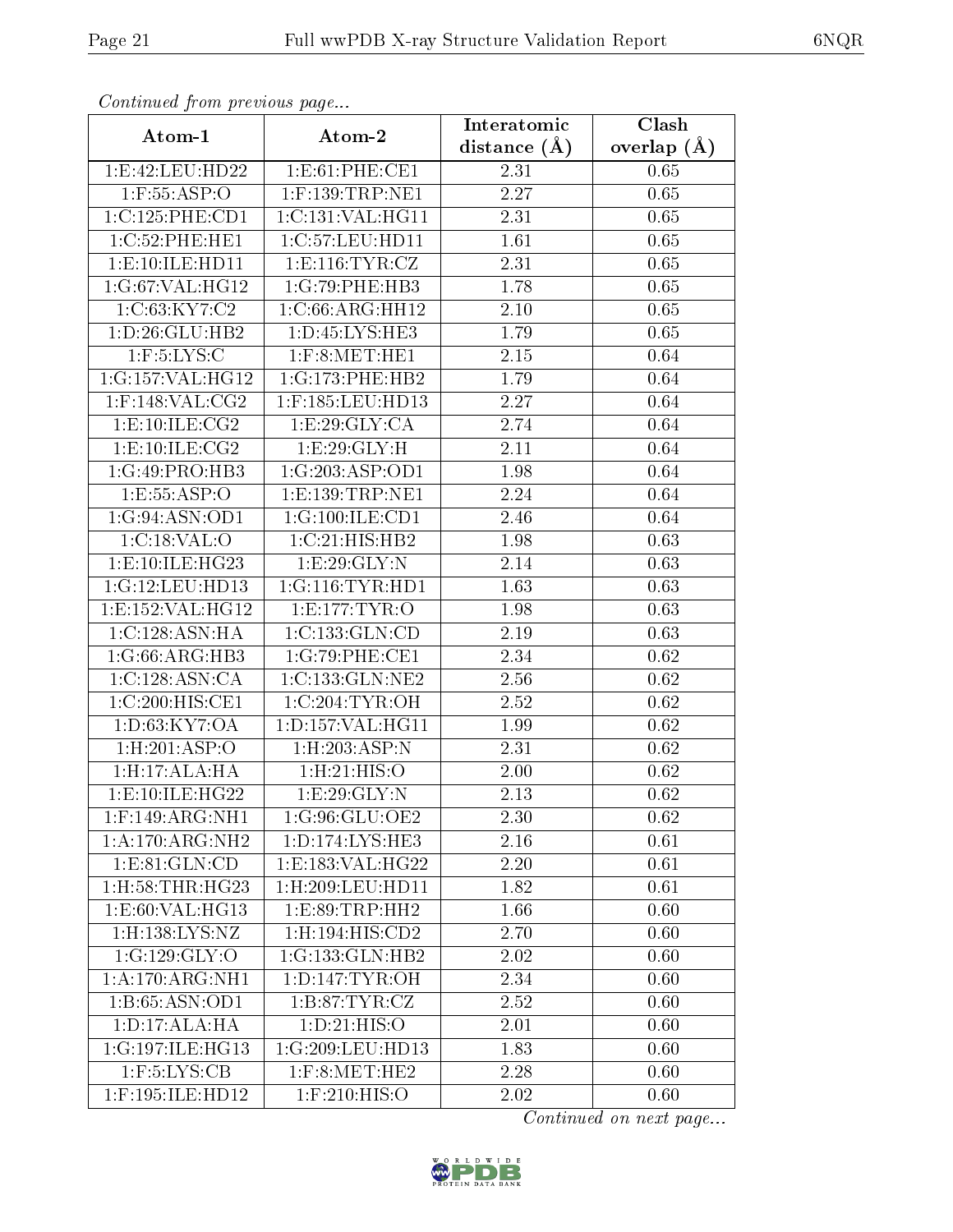| Commaca jibin previous page    |                               | Interatomic       | Clash         |
|--------------------------------|-------------------------------|-------------------|---------------|
| Atom-1                         | Atom-2                        | distance $(A)$    | overlap $(A)$ |
| 1:E:42:LEU:HD22                | 1: E:61: PHE:CE1              | 2.31              | 0.65          |
| $1:$ F:55:ASP:O                | $1:$ F:139:TRP:NE1            | 2.27              | 0.65          |
| 1:C:125:PHE:CD1                | 1:C:131:VAL:HG11              | 2.31              | 0.65          |
| 1:C:52:PHE:HE1                 | 1:C:57:LEU:HD11               | 1.61              | 0.65          |
| 1:E:10:ILE:HD11                | 1: E: 116: TYR: CZ            | 2.31              | 0.65          |
| 1:G:67:VAL:HG12                | 1:G:79:PHE:HB3                | 1.78              | 0.65          |
| 1:C:63:KY7:C2                  | 1:C:66:ARG:HH12               | 2.10              | 0.65          |
| 1: D:26: GLU:HB2               | 1: D: 45: LYS: HE3            | 1.79              | 0.65          |
| $1:$ F:5:LYS:C                 | $1:$ F:8:MET:HE $1$           | 2.15              | 0.64          |
| 1:G:157:VAL:HG12               | 1:G:173:PHE:HB2               | 1.79              | 0.64          |
| $1:$ F:148:VAL:CG2             | 1:F:185:LEU:HD13              | 2.27              | 0.64          |
| 1:E:10:ILE:CG2                 | 1:E:29:GLY:CA                 | 2.74              | 0.64          |
| 1: E: 10: ILE: CG2             | 1:E:29:GLY:H                  | 2.11              | 0.64          |
| 1:G:49:PRO:HB3                 | 1:G:203:ASP:OD1               | 1.98              | 0.64          |
| 1:E:55:ASP:O                   | 1:E:139:TRP:NE1               | 2.24              | 0.64          |
| 1:G:94:ASN:OD1                 | 1:G:100:ILE:CD1               | 2.46              | 0.64          |
| 1:C:18:VAL:O                   | 1:C:21:HIS:HB2                | 1.98              | 0.63          |
| 1: E:10: ILE: HG <sub>23</sub> | 1:E:29:GLY:N                  | 2.14              | 0.63          |
| 1:G:12:LEU:HD13                | 1:G:116:TYR:HD1               | 1.63              | 0.63          |
| 1:E:152:VAL:HG12               | 1: E: 177: TYR: O             | 1.98              | 0.63          |
| 1:C:128:ASN:HA                 | 1:C:133:GLN:CD                | 2.19              | 0.63          |
| 1:G:66:ARG:HB3                 | 1:G:79:PHE:CE1                | 2.34              | 0.62          |
| 1:C:128:ASN:CA                 | 1:C:133:GLN:NE2               | 2.56              | 0.62          |
| 1:C:200:HIS:CE1                | 1:C:204:TYR:OH                | $\overline{2.52}$ | 0.62          |
| 1:D:63:KY7:OA                  | 1:D:157:VAL:HG11              | 1.99              | 0.62          |
| 1:H:201:ASP:O                  | $1:$ H $:203:$ ASP $:$ N      | $\overline{2}.31$ | 0.62          |
| 1:H:17:ALA:HA                  | 1:H:21:HIS:O                  | 2.00              | 0.62          |
| 1: E:10: ILE: HG22             | 1:E:29:GLY:N                  | 2.13              | 0.62          |
| $1:$ F:149:ARG:NH1             | 1:G:96:GLU:OE2                | 2.30              | 0.62          |
| 1:A:170:ARG:NH2                | 1: D: 174: LYS: HE3           | 2.16              | 0.61          |
| 1: E:81: GLN:CD                | 1:E:183:VAL:HG22              | 2.20              | 0.61          |
| $1:$ H $:58:$ THR $:$ H $G23$  | 1:H:209:LEU:HD11              | 1.82              | 0.61          |
| 1: E:60: VAL:HG13              | 1: E:89: TRP: HH2             | 1.66              | 0.60          |
| $1:$ H $:138:LYS:NZ$           | $1:$ H $:194:$ HIS $:$ CD $2$ | 2.70              | 0.60          |
| 1:G:129:GLY:O                  | 1:G:133:GLN:HB2               | 2.02              | 0.60          |
| 1:A:170:ARG:NH1                | 1: D: 147: TYR: OH            | 2.34              | 0.60          |
| 1:B:65:ASN:OD1                 | 1: B:87: TYR: CZ              | 2.52              | 0.60          |
| 1:D:17:ALA:HA                  | 1: D:21: HIS:O                | 2.01              | 0.60          |
| 1:G:197:ILE:HG13               | 1:G:209:LEU:HD13              | 1.83              | 0.60          |
| $1:$ F:5:LYS:CB                | $1:$ F:8:MET:HE2              | 2.28              | 0.60          |
| 1:F:195:ILE:HD12               | $1:$ F:210:HIS:O              | 2.02              | 0.60          |

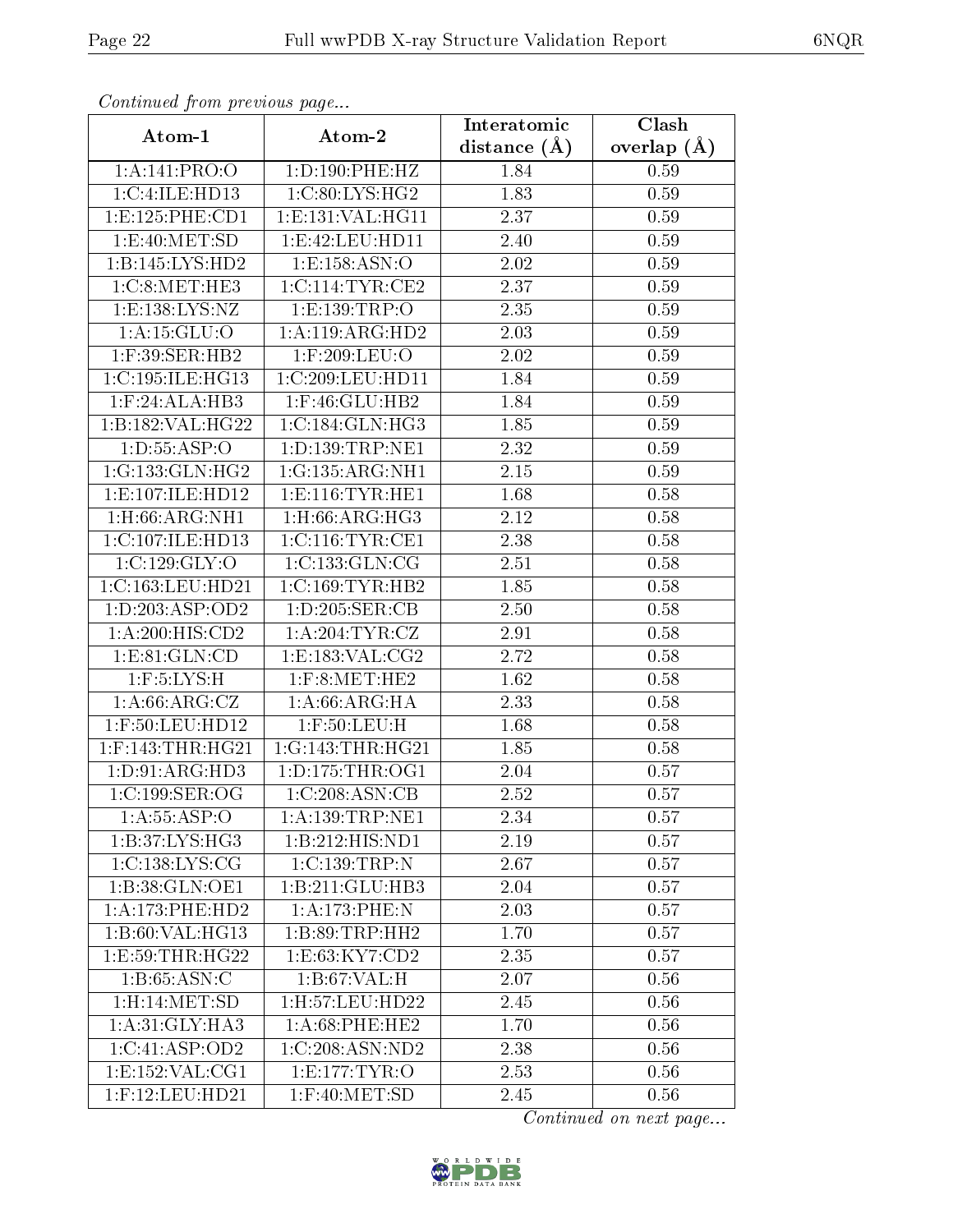| Communa from previous page |                              | Interatomic    | Clash           |
|----------------------------|------------------------------|----------------|-----------------|
| Atom-1                     | Atom-2                       | distance $(A)$ | overlap $(\AA)$ |
| 1:A:141:PRO:O              | 1: D: 190: PHE: HZ           | 1.84           | 0.59            |
| 1:C:4:ILE:HD13             | 1:C:80:LYS:HG2               | 1.83           | 0.59            |
| 1: E: 125: PHE: CD1        | 1: E: 131: VAL: HG11         | 2.37           | 0.59            |
| 1: E:40: MET:SD            | 1: E: 42: LEU: HD11          | 2.40           | 0.59            |
| 1:B:145:LYS:HD2            | 1:E:158:ASN:O                | $2.02\,$       | 0.59            |
| 1:C:8:NET:HE3              | 1:C:114:TYR:CE2              | 2.37           | 0.59            |
| 1:E:138:LYS:NZ             | 1:E:139:TRP:O                | 2.35           | 0.59            |
| 1: A:15: GLU:O             | 1: A:119: ARG:HD2            | 2.03           | 0.59            |
| 1:F:39:SER:HB2             | 1:F:209:LEU:O                | 2.02           | 0.59            |
| 1:C:195:ILE:HG13           | 1:C:209:LEU:HD11             | 1.84           | 0.59            |
| 1:F:24:ALA:HB3             | $1:$ F:46:GLU:HB2            | 1.84           | 0.59            |
| 1:B:182:VAL:HG22           | 1:C:184:GLN:HG3              | 1.85           | 0.59            |
| 1: D: 55: ASP: O           | 1:D:139:TRP:NE1              | 2.32           | 0.59            |
| 1:G:133:GLN:HG2            | 1:G:135:ARG:NH1              | 2.15           | 0.59            |
| 1:E:107:ILE:HD12           | 1: E: 116: TYR: HE1          | 1.68           | 0.58            |
| 1:H:66:ARG:NH1             | $1:$ H $:66:$ ARG $:$ H $G3$ | 2.12           | 0.58            |
| 1:C:107:ILE:HD13           | 1:C:116:TYR:CE1              | 2.38           | 0.58            |
| 1:C:129:GLY:O              | 1:C:133:GLN:CG               | 2.51           | 0.58            |
| 1:C:163:LEU:HD21           | 1:C:169:TYR:HB2              | 1.85           | 0.58            |
| 1:D:203:ASP:OD2            | 1: D: 205: SER: CB           | 2.50           | 0.58            |
| 1: A:200: HIS: CD2         | 1: A:204:TYR:CZ              | 2.91           | 0.58            |
| 1: E:81: GLN:CD            | 1:E:183:VAL:CG2              | 2.72           | 0.58            |
| $1:$ F:5:LYS:H             | $1:$ F:8:MET:HE2             | 1.62           | 0.58            |
| 1:A:66:ARG:CZ              | 1: A:66: ARG: HA             | 2.33           | 0.58            |
| $1:$ F:50:LEU:HD12         | $1:$ F:50:LEU:H              | 1.68           | 0.58            |
| $1:$ F:143:THR:HG21        | 1:G:143:THR:HG21             | 1.85           | 0.58            |
| 1: D: 91: ARG: HD3         | 1: D: 175: THR: OG1          | 2.04           | 0.57            |
| 1:C:199:SER:OG             | 1:C:208:ASN:CB               | 2.52           | 0.57            |
| 1: A: 55: ASP:O            | 1: A: 139: TRP: NE1          | 2.34           | 0.57            |
| 1:B:37:LYS:HG3             | 1:B:212:HIS:ND1              | 2.19           | 0.57            |
| 1:C:138:LYS:CG             | 1:C:139:TRP:N                | 2.67           | 0.57            |
| 1:B:38:GLN:OE1             | 1:B:211:GLU:HB3              | 2.04           | 0.57            |
| 1:A:173:PHE:HD2            | 1:A:173:PHE:N                | 2.03           | 0.57            |
| 1:B:60:VAL:HG13            | 1:B:89:TRP:HH2               | 1.70           | 0.57            |
| 1:E:59:THR:HG22            | 1:E:63:KY7:CD2               | 2.35           | 0.57            |
| 1:B:65:ASN:C               | 1:B:67:VAL:H                 | 2.07           | 0.56            |
| 1:H:14:MET:SD              | 1:H:57:LEU:HD22              | 2.45           | 0.56            |
| 1: A:31: GLY: HA3          | 1: A:68:PHE:HE2              | 1.70           | 0.56            |
| 1:C:41:ASP:OD2             | 1:C:208:ASN:ND2              | 2.38           | 0.56            |
| 1: E: 152: VAL: CG1        | 1: E: 177: TYR: O            | 2.53           | 0.56            |
| $1:$ F:12:LEU:HD21         | $1:$ F:40:MET:SD             | 2.45           | 0.56            |

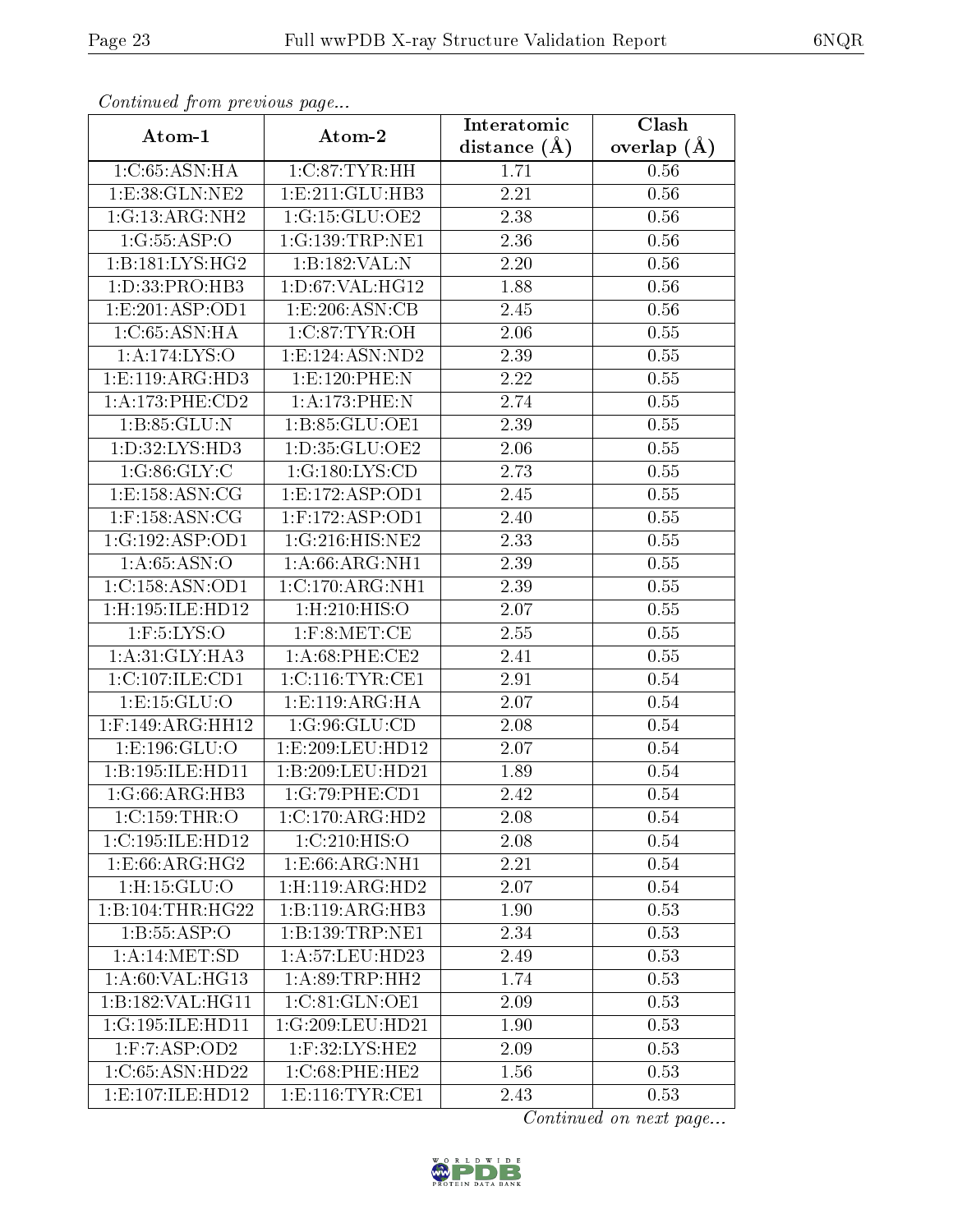| Continuation provided page |                       | Interatomic    | Clash           |
|----------------------------|-----------------------|----------------|-----------------|
| Atom-1                     | Atom-2                | distance $(A)$ | overlap $(\AA)$ |
| 1:C:65:ASN:HA              | 1: C:87: TYR: HH      | 1.71           | 0.56            |
| 1: E:38: GLN: NE2          | 1: E: 211: GLU: HB3   | 2.21           | 0.56            |
| 1:G:13:ARG:NH2             | 1:G:15:GLU:OE2        | 2.38           | 0.56            |
| 1:G:55:ASP:O               | 1:G:139:TRP:NE1       | 2.36           | 0.56            |
| 1:B:181:LYS:HG2            | 1:B:182:VAL:N         | 2.20           | 0.56            |
| 1: D: 33: PRO: HB3         | 1: D:67: VAL:HG12     | 1.88           | 0.56            |
| 1: E: 201: ASP: OD1        | 1: E: 206: ASN: CB    | 2.45           | 0.56            |
| 1:C:65:ASN:HA              | 1:C:87:TYR:OH         | 2.06           | 0.55            |
| 1:A:174:LYS:O              | 1: E: 124: ASN: ND2   | 2.39           | 0.55            |
| 1: E: 119: ARG: HD3        | 1:E:120:PHE:N         | 2.22           | 0.55            |
| 1: A:173: PHE:CD2          | 1:A:173:PHE:N         | 2.74           | 0.55            |
| 1: B:85: GLU:N             | 1:B:85:GLU:OE1        | 2.39           | 0.55            |
| 1: D: 32: LYS: HD3         | 1:D:35:GLU:OE2        | 2.06           | 0.55            |
| 1:G:86:GLY:C               | 1:G:180:LYS:CD        | 2.73           | 0.55            |
| 1:E:158:ASN:CG             | 1:E:172:ASP:OD1       | 2.45           | 0.55            |
| $1:$ F:158:ASN:CG          | $1:$ F:172:ASP:OD1    | 2.40           | 0.55            |
| 1:G:192:ASP:OD1            | 1:G:216:HIS:NE2       | 2.33           | 0.55            |
| 1: A:65: ASN:O             | 1: A:66: ARG: NH1     | 2.39           | 0.55            |
| 1:C:158:ASN:OD1            | 1:C:170:ARG:NH1       | 2.39           | 0.55            |
| $1:$ H:195:ILE:HD $12$     | $1:$ H $:210:$ HIS:O  | 2.07           | 0.55            |
| $1:$ F:5:LYS:O             | $1:$ F:8:MET:CE       | 2.55           | 0.55            |
| 1: A:31: GLY: HA3          | $1: A:68:$ PHE: $CE2$ | 2.41           | 0.55            |
| 1:C:107:ILE:CD1            | 1:C:116:TYR:CE1       | 2.91           | 0.54            |
| 1: E: 15: GLU: O           | 1: E: 119: ARG: HA    | 2.07           | 0.54            |
| $1:$ F:149:ARG:HH12        | 1:G:96:GLU:CD         | 2.08           | 0.54            |
| 1:E:196:GLU:O              | 1: E: 209: LEU: HD12  | 2.07           | 0.54            |
| 1:B:195:ILE:HD11           | 1:B:209:LEU:HD21      | 1.89           | 0.54            |
| 1:G:66:ARG:HB3             | 1:G:79:PHE:CD1        | 2.42           | 0.54            |
| 1:C:159:THR:O              | 1:C:170:ARG:HD2       | 2.08           | 0.54            |
| 1:C:195:ILE:HD12           | 1:C:210:HIS:O         | 2.08           | 0.54            |
| 1: E:66: ARG: HG2          | 1:E:66:ARG:NH1        | 2.21           | 0.54            |
| 1:H:15:GLU:O               | 1:H:119:ARG:HD2       | 2.07           | 0.54            |
| 1:B:104:THR:HG22           | 1:B:119:ARG:HB3       | 1.90           | 0.53            |
| 1:B:55:ASP:O               | 1:B:139:TRP:NE1       | 2.34           | 0.53            |
| 1: A:14: MET:SD            | 1: A:57:LEU:HD23      | 2.49           | 0.53            |
| 1: A:60: VAL: HG13         | 1: A:89:TRP:HH2       | 1.74           | 0.53            |
| 1:B:182:VAL:HG11           | 1:C:81:GLN:OE1        | 2.09           | 0.53            |
| 1:G:195:ILE:HD11           | 1:G:209:LEU:HD21      | 1.90           | 0.53            |
| 1: F: 7: ASP: OD2          | $1:$ F:32:LYS:HE2     | 2.09           | 0.53            |
| 1:C:65:ASN:HD22            | 1:C:68:PHE:HE2        | 1.56           | 0.53            |
| 1: E: 107: ILE: HD12       | 1: E: 116: TYR: CE1   | 2.43           | 0.53            |

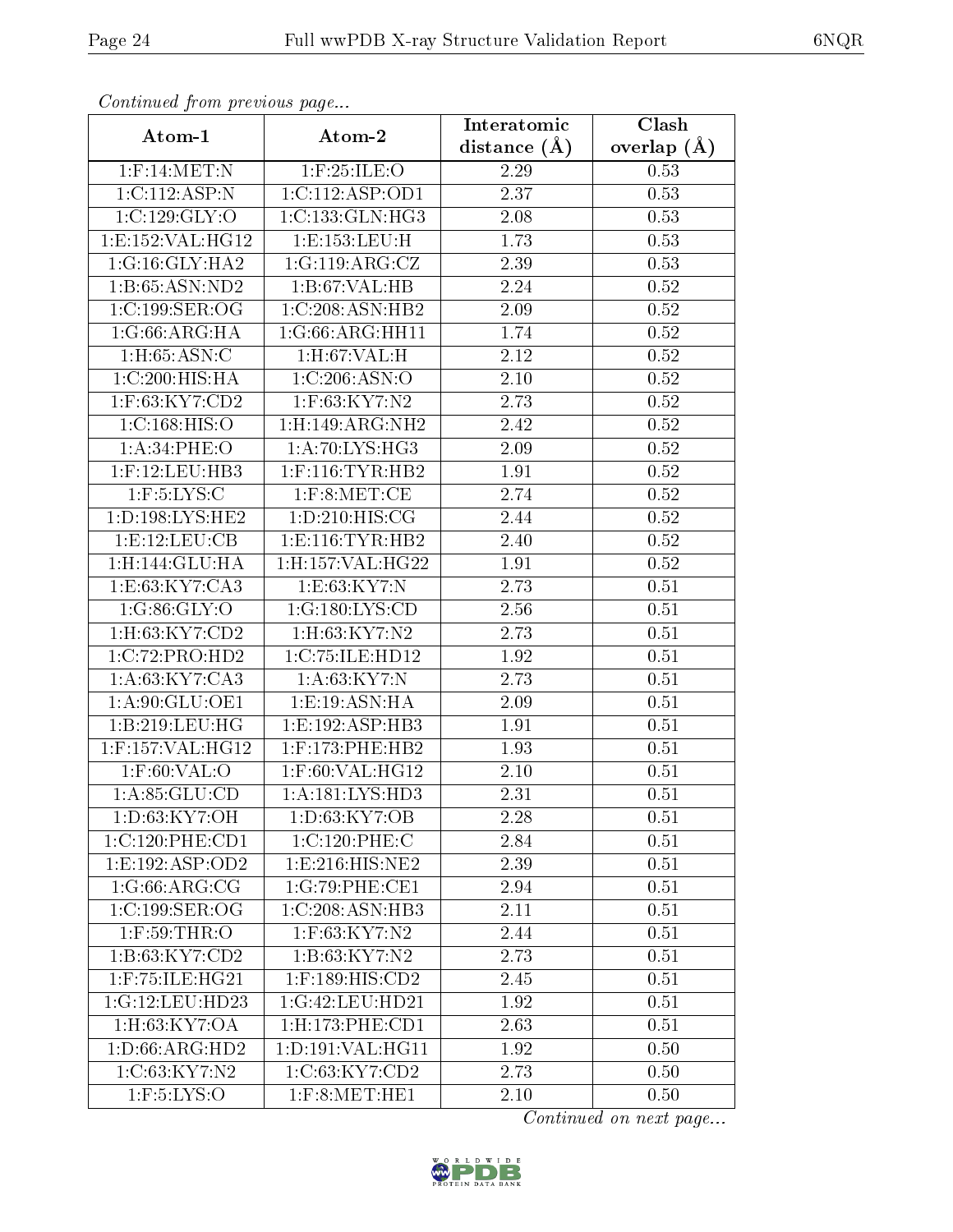| Continuea from previous page |                               | Interatomic       | Clash           |  |
|------------------------------|-------------------------------|-------------------|-----------------|--|
| Atom-1                       | Atom-2                        | distance $(A)$    | overlap $(\AA)$ |  |
| $1:$ F:14:MET:N              | $1:$ F:25:ILE:O               | 2.29              | 0.53            |  |
| 1:C:112:ASP:N                | 1:C:112:ASP:OD1               | $\overline{2.37}$ | 0.53            |  |
| 1:C:129:GLY:O                | 1:C:133:GLN:HG3               | $2.08\,$          | 0.53            |  |
| 1: E: 152: VAL:HG12          | 1:E:153:EU:H                  | 1.73              | 0.53            |  |
| 1:G:16:GLY:HA2               | 1:G:119:ARG:CZ                | 2.39              | 0.53            |  |
| 1:B:65:ASN:ND2               | 1:B:67:VAL:HB                 | 2.24              | 0.52            |  |
| 1:C:199:SER:OG               | 1:C:208:ASN:HB2               | 2.09              | $0.52\,$        |  |
| 1:G:66:ARG:HA                | 1:G:66:ARG:HH11               | 1.74              | 0.52            |  |
| 1: H: 65: ASN: C             | 1: H:67: VAL:H                | 2.12              | 0.52            |  |
| 1:C:200:HIS:HA               | 1:C:206:ASN:O                 | 2.10              | 0.52            |  |
| 1:F:63:KY7:CD2               | 1:F:63:KY7:N2                 | 2.73              | 0.52            |  |
| 1:C:168:HIS:O                | 1:H:149:ARG:NH2               | 2.42              | 0.52            |  |
| 1:A:34:PHE:O                 | 1:A:70:LYS:HG3                | 2.09              | $0.52\,$        |  |
| $1:$ F:12:LEU:HB3            | $1:$ F:116:TYR:HB2            | 1.91              | 0.52            |  |
| $1:$ F:5:LYS:C               | $1:$ F:8:MET:CE               | 2.74              | 0.52            |  |
| 1: D: 198: LYS: HE2          | 1: D:210:HIS:CG               | 2.44              | 0.52            |  |
| 1:E:12:LEU:CB                | 1: E: 116: TYR: HB2           | 2.40              | 0.52            |  |
| 1:H:144:GLU:HA               | 1:H:157:VAL:HG22              | 1.91              | 0.52            |  |
| 1:E:63:KY7:CA3               | 1: E:63: KY7:N                | 2.73              | 0.51            |  |
| 1:G:86:GLY:O                 | 1:G:180:LYS:CD                | 2.56              | 0.51            |  |
| 1:H:63:KY7:CD2               | 1:H:63:KY7:N2                 | 2.73              | 0.51            |  |
| 1:C:72:PRO:HD2               | 1:C:75:ILE:HD12               | 1.92              | 0.51            |  |
| 1:A:63:KY7:CA3               | 1: A:63:KY7:N                 | 2.73              | 0.51            |  |
| 1:A:90:GLU:OE1               | 1: E: 19: ASN: HA             | 2.09              | 0.51            |  |
| 1:B:219:LEU:HG               | 1:E:192:ASP:HB3               | 1.91              | 0.51            |  |
| 1:F:157:VAL:HG12             | $1:$ F:173:PHE:HB2            | 1.93              | 0.51            |  |
| $1:$ F:60:VAL:O              | $1:$ F:60:VAL:HG $12$         | 2.10              | 0.51            |  |
| 1: A:85: GLU:CD              | 1: A: 181: LYS: HD3           | 2.31              | 0.51            |  |
| 1:D:63:KY7:OH                | 1:D:63:KY7:OB                 | 2.28              | 0.51            |  |
| 1:C:120:PHE:CD1              | 1:C:120:PHE:C                 | 2.84              | 0.51            |  |
| 1: E: 192: ASP: OD2          | $1: E:216:HI\overline{S:NE2}$ | 2.39              | 0.51            |  |
| 1:G:66:ARG:CG                | 1:G:79:PHE:CE1                | 2.94              | 0.51            |  |
| 1:C:199:SER:OG               | 1:C:208:ASN:HB3               | 2.11              | 0.51            |  |
| $1:$ F:59:THR:O              | 1:F:63:KY7:N2                 | 2.44              | 0.51            |  |
| 1:B:63:KY7:CD2               | 1:B:63:KY7:N2                 | 2.73              | 0.51            |  |
| 1:F:75:ILE:HG21              | 1:F:189:HIS:CD2               | 2.45              | 0.51            |  |
| 1:G:12:LEU:HD23              | 1:G:42:LEU:HD21               | 1.92              | 0.51            |  |
| 1:H:63:KY7:OA                | 1: H: 173: PHE: CD1           | 2.63              | 0.51            |  |
| 1: D:66: ARG:HD2             | 1:D:191:VAL:HG11              | 1.92              | 0.50            |  |
| 1:C:63:KY7:N2                | 1:C:63:KY7:CD2                | 2.73              | 0.50            |  |
| $1:$ F:5:LYS:O               | $1:$ F:8:MET:HE $1$           | 2.10              | 0.50            |  |

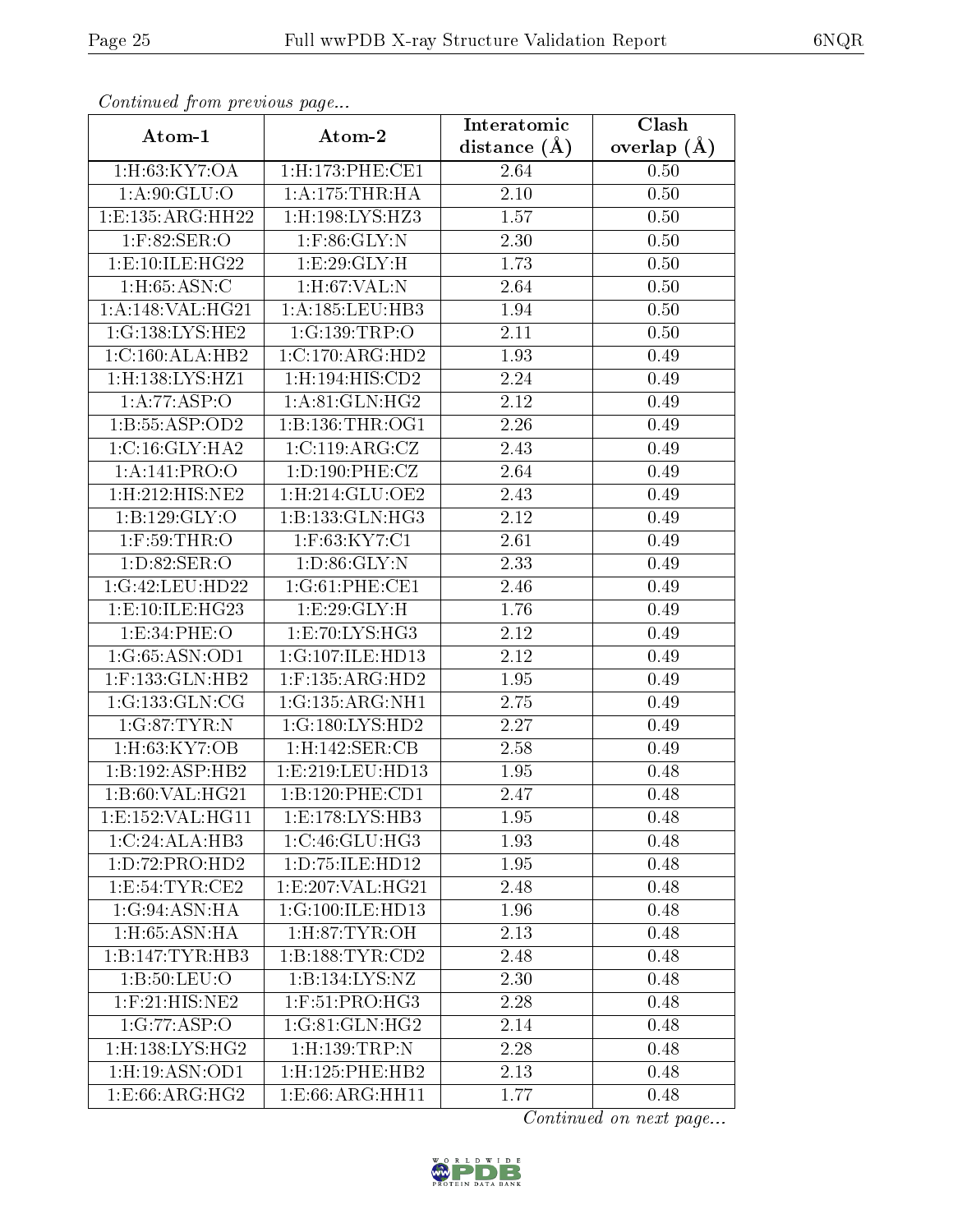| Continuea from previous page |                          | Interatomic       | $\overline{\text{Clash}}$ |  |  |
|------------------------------|--------------------------|-------------------|---------------------------|--|--|
| Atom-1                       | Atom-2                   | distance $(A)$    | overlap $(A)$             |  |  |
| 1:H:63:KY7:OA                | 1:H:173:PHE:CE1          | 2.64              | 0.50                      |  |  |
| 1: A.90: GLU:O               | 1: A:175:THR:HA          | $2.10\,$          | 0.50                      |  |  |
| 1:E:135:ARG:HH22             | $1:$ H:198:LYS:HZ3       | 1.57              | 0.50                      |  |  |
| $1:$ F:82:SER:O              | $1:$ F:86:GLY:N          | 2.30              | 0.50                      |  |  |
| 1:E:10:ILE:HG22              | 1:E:29:GLY:H             | 1.73              | 0.50                      |  |  |
| 1: H: 65: ASN: C             | $1:$ H $:$ 67:VAL $:$ N  | 2.64              | 0.50                      |  |  |
| 1:A:148:VAL:HG21             | 1: A: 185: LEU: HB3      | 1.94              | 0.50                      |  |  |
| 1:G:138:LYS:HE2              | 1:G:139:TRP:O            | 2.11              | 0.50                      |  |  |
| 1:C:160:ALA:HB2              | 1:C:170:ARG:HD2          | 1.93              | 0.49                      |  |  |
| $1:$ H $:138:LYS:$ HZ $1$    | 1:H:194:HIS:CD2          | 2.24              | 0.49                      |  |  |
| 1:A:77:ASP:O                 | 1: A:81: GLN: HG2        | 2.12              | 0.49                      |  |  |
| 1:B:55:ASP:OD2               | 1: B: 136: THR: OG1      | 2.26              | 0.49                      |  |  |
| 1: C:16: GLY: HA2            | 1:C:119:ARG:CZ           | 2.43              | 0.49                      |  |  |
| 1:A:141:PRO:O                | 1: D: 190: PHE: CZ       | 2.64              | 0.49                      |  |  |
| 1:H:212:HIS:NE2              | 1:H:214:GLU:OE2          | 2.43              | 0.49                      |  |  |
| 1:B:129:GLY:O                | 1: B: 133: GLN: HG3      | 2.12              | 0.49                      |  |  |
| $1:$ F:59:THR:O              | 1:F:63:KY7:C1            | 2.61              | 0.49                      |  |  |
| 1: D:82: SER:O               | 1: D:86: GLY:N           | 2.33              | 0.49                      |  |  |
| 1:G:42:LEU:HD22              | 1:G:61:PHE:CE1           | $\overline{2.46}$ | 0.49                      |  |  |
| 1: E:10: ILE: HG23           | 1: E: 29: GLY: H         | 1.76              | 0.49                      |  |  |
| 1:E:34:PHE:O                 | 1: E: 70: LYS: HG3       | 2.12              | 0.49                      |  |  |
| 1:G:65:ASN:OD1               | 1:G:107:ILE:HD13         | 2.12              | 0.49                      |  |  |
| $1:$ F:133:GLN:HB2           | $1:$ F:135:ARG:HD2       | 1.95              | 0.49                      |  |  |
| 1:G:133:GLN:CG               | 1:G:135:ARG:NH1          | 2.75              | 0.49                      |  |  |
| 1:G:87:TYR:N                 | 1:G:180:LYS:HD2          | 2.27              | 0.49                      |  |  |
| 1:H:63:KY7:OB                | 1:H:142:SER:CB           | 2.58              | 0.49                      |  |  |
| 1:B:192:ASP:HB2              | 1: E: 219: LEU: HD13     | 1.95              | 0.48                      |  |  |
| 1:B:60:VAL:HG21              | 1:B:120:PHE:CD1          | 2.47              | 0.48                      |  |  |
| 1:E:152:VAL:HG11             | 1: E: 178: LYS: HB3      | 1.95              | 0.48                      |  |  |
| 1:C:24:ALA:HB3               | 1: C:46: GLU:HG3         | 1.93              | 0.48                      |  |  |
| 1: D: 72: PRO: HD2           | 1: D: 75: ILE: HD12      | 1.95              | 0.48                      |  |  |
| 1: E: 54: TYR: CE2           | 1: E:207: VAL:HG21       | 2.48              | 0.48                      |  |  |
| 1:G:94:ASN:HA                | 1:G:100:ILE:HD13         | 1.96              | 0.48                      |  |  |
| $1:$ H:65:ASN:HA             | 1: H:87: TYR:OH          | 2.13              | 0.48                      |  |  |
| 1:B:147:TYR:HB3              | 1:B:188:TYR:CD2          | 2.48              | 0.48                      |  |  |
| 1:B:50:LEU:O                 | 1:B:134:LYS:NZ           | 2.30              | 0.48                      |  |  |
| $1:$ F: $21:$ HIS:NE2        | $1:$ F:51:PRO:HG3        | 2.28              | 0.48                      |  |  |
| 1:G:77:ASP:O                 | 1:G:81:GLN:HG2           | 2.14              | 0.48                      |  |  |
| $1:$ H:138:LYS:HG2           | $1:$ H $:139:$ TRP $:$ N | 2.28              | 0.48                      |  |  |
| 1:H:19:ASN:OD1               | 1:H:125:PHE:HB2          | 2.13              | 0.48                      |  |  |
| 1: E:66: ARG: HG2            | 1: E:66: ARG: HH11       | 1.77              | 0.48                      |  |  |

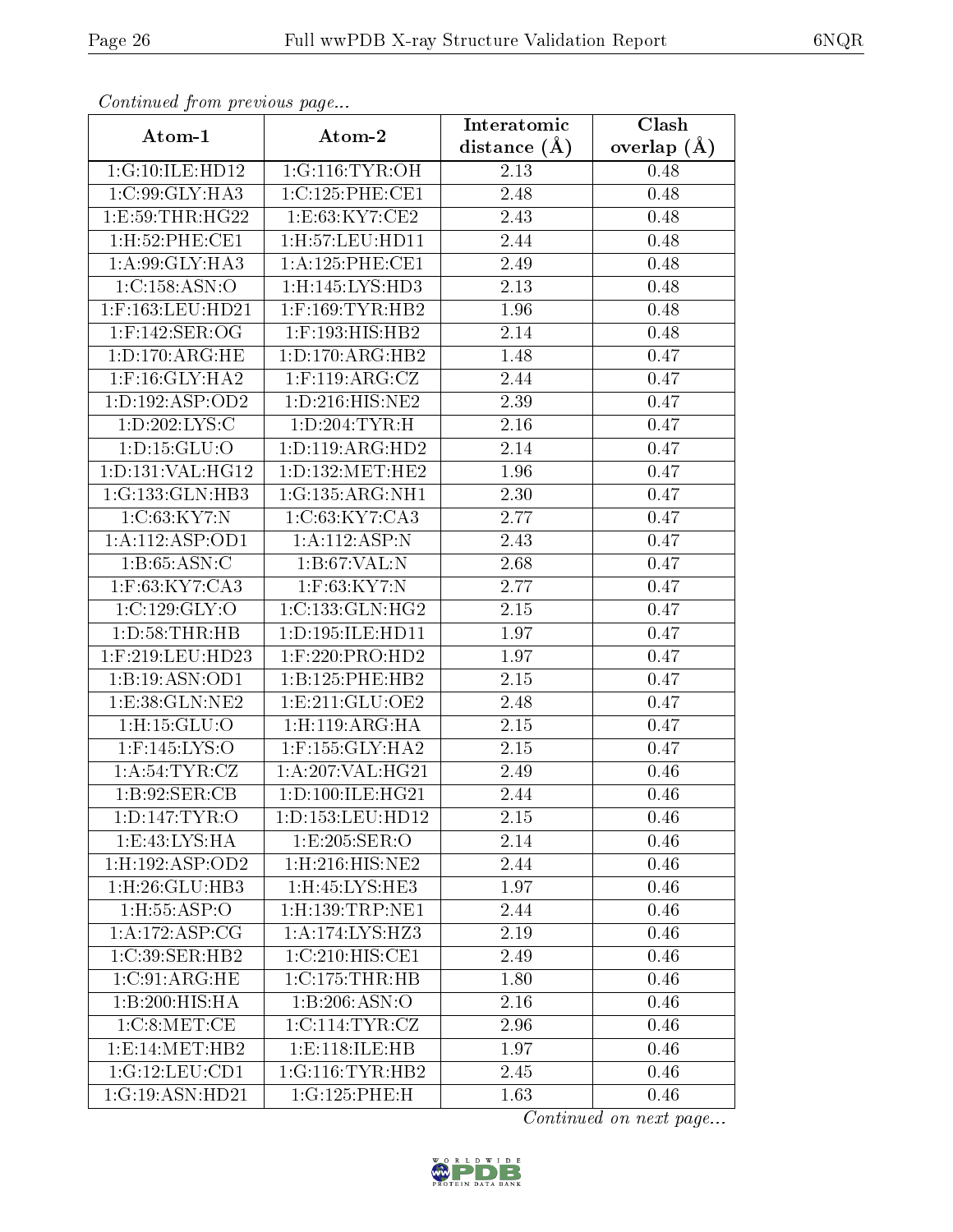| Continuea from previous page |                              | Interatomic       | Clash         |  |
|------------------------------|------------------------------|-------------------|---------------|--|
| Atom-1                       | Atom-2                       | distance $(\AA)$  | overlap $(A)$ |  |
| 1:G:10:ILE:HD12              | 1:G:116:TYR:OH               | 2.13              | 0.48          |  |
| 1:C:99:GLY:HA3               | 1:C:125:PHE:CE1              | 2.48              | 0.48          |  |
| 1:E:59:THR:HG22              | 1:E:63:KY7:CE2               | 2.43              | 0.48          |  |
| 1:H:52:PHE:CE1               | 1:H:57:LEU:HD11              | 2.44              | 0.48          |  |
| 1:A:99:GLY:HA3               | 1: A:125:PHE:CE1             | 2.49              | 0.48          |  |
| 1:C:158:ASN:O                | 1:H:145:LYS:HD3              | 2.13              | 0.48          |  |
| $1:$ F:163:LEU:HD21          | $1:$ F:169:TYR:HB2           | 1.96              | 0.48          |  |
| $1:$ F:142:SER:OG            | 1:F:193:HIS:HB2              | $\overline{2.14}$ | 0.48          |  |
| 1: D: 170: ARG: HE           | 1: D: 170: ARG: HB2          | 1.48              | 0.47          |  |
| $1:$ F:16:GLY:HA2            | $1:$ F:119:ARG:CZ            | 2.44              | 0.47          |  |
| 1: D: 192: ASP: OD2          | 1: D: 216: HIS: NE2          | 2.39              | 0.47          |  |
| 1: D: 202: LYS: C            | 1: D:204: TYR:H              | 2.16              | 0.47          |  |
| 1: D: 15: GLU: O             | 1: D: 119: ARG: HD2          | 2.14              | 0.47          |  |
| 1: D: 131: VAL: HG12         | 1:D:132:MET:HE2              | 1.96              | 0.47          |  |
| 1:G:133:GLN:HB3              | 1:G:135:ARG:NH1              | 2.30              | 0.47          |  |
| 1:C:63:KY7:N                 | 1:C:63:KY7:CA3               | 2.77              | 0.47          |  |
| 1:A:112:ASP:OD1              | 1:A:112:ASP:N                | 2.43              | 0.47          |  |
| $1:B:65:ASN:\overline{C}$    | 1:B:67:VAL:N                 | 2.68              | 0.47          |  |
| 1:F:63:KY7:CA3               | 1:F:63:KY7:N                 | 2.77              | 0.47          |  |
| 1:C:129:GLY:O                | $1:C:133:GLN:H\overline{G2}$ | 2.15              | 0.47          |  |
| 1: D:58:THR:HB               | 1:D:195:ILE:HD11             | 1.97              | 0.47          |  |
| 1:F:219:LEU:HD23             | $1:$ F:220:PRO:HD2           | 1.97              | 0.47          |  |
| 1:B:19:ASN:OD1               | 1:B:125:PHE:HB2              | 2.15              | 0.47          |  |
| 1:E:38:GLN:NE2               | 1: E: 211: GLU: OE2          | 2.48              | 0.47          |  |
| 1:H:15:GLU:O                 | 1: H: 119: ARG: HA           | 2.15              | 0.47          |  |
| 1:F:145:LYS:O                | $1:$ F:155: $GLY:HA2$        | 2.15              | 0.47          |  |
| 1: A:54:TYR:CZ               | 1:A:207:VAL:HG21             | 2.49              | 0.46          |  |
| 1: B:92: SER:CB              | 1: D: 100: ILE: HG21         | 2.44              | 0.46          |  |
| 1: D: 147: TYR: O            | 1:D:153:LEU:HD12             | 2.15              | 0.46          |  |
| 1: E:43: LYS: HA             | 1:E:205:SER:O                | 2.14              | 0.46          |  |
| 1: H: 192: ASP: OD2          | 1:H:216:HIS:NE2              | 2.44              | 0.46          |  |
| $1:$ H $:26:$ GLU $:$ HB $3$ | $1:$ H $:45:LYS:$ HE3        | 1.97              | 0.46          |  |
| 1: H: 55: ASP: O             | $1:$ H:139:TRP:NE1           | 2.44              | 0.46          |  |
| 1:A:172:ASP:CG               | 1:A:174:LYS:HZ3              | 2.19              | 0.46          |  |
| 1:C:39:SER:HB2               | 1:C:210:HIS:CE1              | 2.49              | 0.46          |  |
| 1:C:91:ARG:HE                | 1:C:175:THR:HB               | 1.80              | $0.46\,$      |  |
| 1:B:200:HIS:HA               | 1:B:206:ASN:O                | 2.16              | 0.46          |  |
| 1:C:8:MET:CE                 | 1:C:114:TYR:CZ               | 2.96              | 0.46          |  |
| 1: E:14: MET:HB2             | 1:E:118:ILE:HB               | 1.97              | 0.46          |  |
| 1:G:12:LEU:CD1               | 1:G:116:TYR:HB2              | 2.45              | 0.46          |  |
| 1:G:19:ASN:HD21              | 1:G:125:PHE:H                | 1.63              | 0.46          |  |

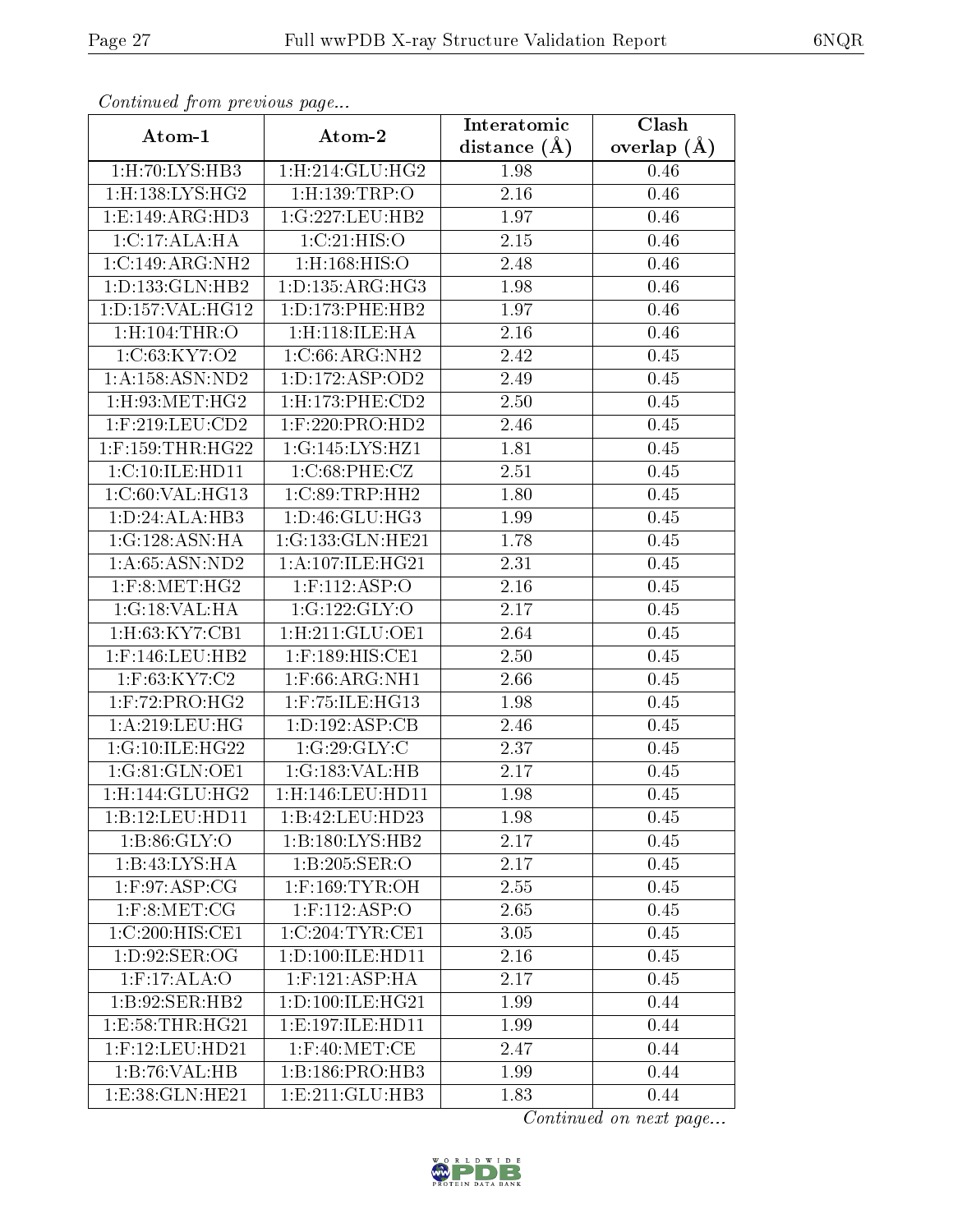| Commuca from previous page   |                          | Interatomic       | Clash           |  |
|------------------------------|--------------------------|-------------------|-----------------|--|
| Atom-1                       | Atom-2                   | distance $(\AA)$  | overlap $(\AA)$ |  |
| 1:H:70:LYS:HB3               | 1: H:214: GLU: HG2       | 1.98              | 0.46            |  |
| 1:H:138:LYS:HG2              | $1:$ H:139:TRP:O         | 2.16              | 0.46            |  |
| 1: E: 149: ARG: HD3          | 1:G:227:LEU:HB2          | 1.97              | 0.46            |  |
| 1:C:17:ALA:HA                | 1:C:21:HIS:O             | 2.15              | 0.46            |  |
| 1:C:149:ARG:NH2              | $1:$ H $:168:$ HIS $:$ O | 2.48              | 0.46            |  |
| 1: D: 133: GLN: HB2          | 1: D: 135: ARG: HG3      | 1.98              | 0.46            |  |
| 1:D:157:VAL:HG12             | 1: D: 173: PHE: HB2      | 1.97              | 0.46            |  |
| $1:$ H $:104:$ THR $:$ O     | 1:H:118:ILE:HA           | 2.16              | 0.46            |  |
| 1:C:63:KY7:O2                | 1:C:66:ARG:NH2           | 2.42              | 0.45            |  |
| 1: A: 158: ASN: ND2          | 1: D: 172: ASP: OD2      | 2.49              | 0.45            |  |
| $1:$ H $:93:$ MET $:$ H $G2$ | 1:H:173:PHE:CD2          | 2.50              | 0.45            |  |
| $1:$ F:219:LEU:CD2           | $1:$ F:220:PRO:HD2       | 2.46              | 0.45            |  |
| $1:$ F:159:THR:HG22          | 1:G:145:LYS:HZ1          | 1.81              | 0.45            |  |
| 1:C:10:ILE:HD11              | 1:C:68:PHE:CZ            | 2.51              | 0.45            |  |
| 1:C:60:VAL:HG13              | 1:C:89:TRP:HH2           | 1.80              | 0.45            |  |
| $1:D:24:A\overline{LA:HB3}$  | 1:D:46:GLU:HG3           | 1.99              | 0.45            |  |
| 1:G:128:ASN:HA               | 1:G:133:GLN:HE21         | 1.78              | 0.45            |  |
| 1: A:65: ASN:ND2             | 1:A:107:ILE:HG21         | 2.31              | 0.45            |  |
| $1:$ F:8:MET:HG2             | $1:$ F:112:ASP:O         | 2.16              | 0.45            |  |
| 1:G:18:VAL:HA                | 1:G:122:GLY:O            | 2.17              | 0.45            |  |
| 1:H:63:KY7:CB1               | 1: H:211: GLU:OE1        | 2.64              | 0.45            |  |
| $1:$ F:146:LEU:HB2           | 1:F:189:HIS:CE1          | 2.50              | 0.45            |  |
| 1:F:63:KY7:C2                | $1:$ F:66:ARG:NH $1$     | 2.66              | 0.45            |  |
| $1:$ F:72:PRO:HG2            | $1:$ F:75:ILE:HG13       | 1.98              | 0.45            |  |
| 1:A:219:LEU:HG               | 1: D: 192: ASP: CB       | 2.46              | 0.45            |  |
| 1:G:10:IE:HG22               | 1:G:29:GLY:C             | $\overline{2}.37$ | 0.45            |  |
| 1:G:81:GLN:OE1               | 1:G:183:VAL:HB           | 2.17              | 0.45            |  |
| 1: H: 144: GLU: HG2          | $1:$ H:146:LEU:HD11      | 1.98              | 0.45            |  |
| 1:B:12:LEU:HD11              | 1:B:42:LEU:HD23          | 1.98              | 0.45            |  |
| 1: B:86: GLY:O               | 1:B:180:LYS:HB2          | 2.17              | 0.45            |  |
| 1: B: 43: LYS: HA            | 1:B:205:SER:O            | 2.17              | 0.45            |  |
| $1:$ F:97:ASP:CG             | $1:$ F:169:TYR:OH        | 2.55              | 0.45            |  |
| $1:$ F:8:MET:CG              | $1:$ F:112:ASP:O         | 2.65              | 0.45            |  |
| 1:C:200:HIS:CE1              | 1:C:204:TYR:CE1          | 3.05              | 0.45            |  |
| 1: D:92: SER:OG              | 1:D:100:ILE:HD11         | 2.16              | 0.45            |  |
| $1:$ F:17:ALA:O              | $1:$ F:121:ASP:HA        | 2.17              | 0.45            |  |
| 1:B:92:SER:HB2               | 1: D: 100: ILE: HG21     | 1.99              | 0.44            |  |
| 1: E: 58: THR: HG21          | 1: E: 197: ILE: HD11     | 1.99              | 0.44            |  |
| $1:$ F:12:LEU:HD21           | $1:$ F:40:MET:CE         | 2.47              | 0.44            |  |
| 1:B:76:VAL:HB                | 1:B:186:PRO:HB3          | 1.99              | 0.44            |  |
| 1: E: 38: GLN: HE21          | 1:E:211:GLU:HB3          | 1.83              | 0.44            |  |

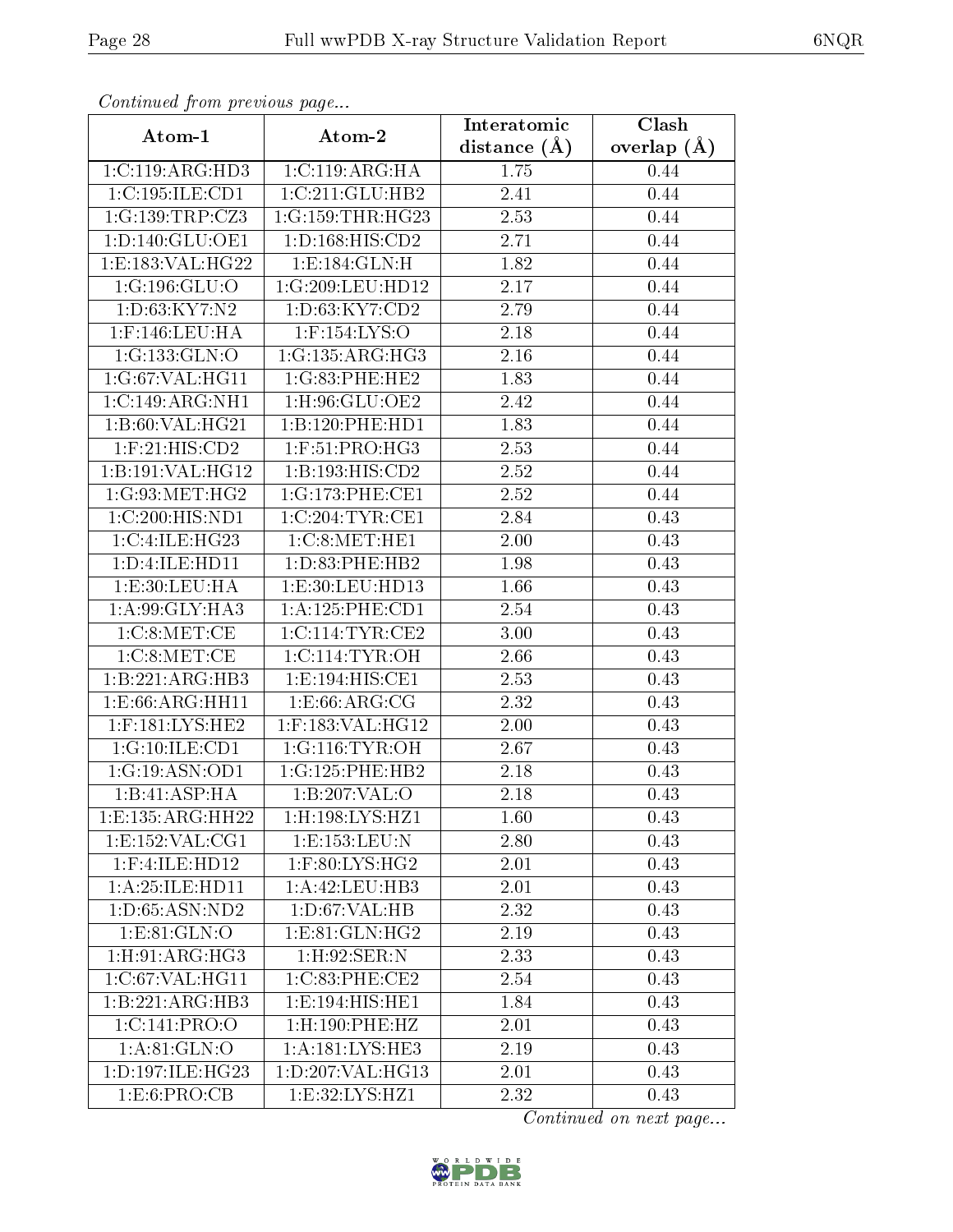| Commaca from previous page     |                                        | Interatomic       | Clash         |
|--------------------------------|----------------------------------------|-------------------|---------------|
| Atom-1                         | Atom-2                                 | distance $(A)$    | overlap $(A)$ |
| 1:C:119:ARG:HD3                | 1:C:119:ARG:HA                         | 1.75              | 0.44          |
| 1:C:195:ILE:CD1                | 1:C:211:GLU:HB2                        | 2.41              | 0.44          |
| 1:G:139:TRP:CZ3                | 1:G:159:THR:HG23                       | 2.53              | 0.44          |
| 1: D: 140: GLU: OE1            | 1:D:168:HIS:CD2                        | 2.71              | 0.44          |
| 1:E:183:VAL:HG22               | 1: E: 184: GLN: H                      | 1.82              | 0.44          |
| 1:G:196:GLU:O                  | 1:G:209:LEU:HD12                       | 2.17              | 0.44          |
| 1: D:63: KY7: N2               | 1: D: 63: KY7:CD2                      | 2.79              | 0.44          |
| $1:$ F:146:LEU:HA              | $1:$ F:154:LYS:O                       | 2.18              | 0.44          |
| 1:G:133:GLN:O                  | 1:G:135:ARG:HG3                        | 2.16              | 0.44          |
| 1:G:67:VAL:HG11                | 1:G:83:PHE:HE2                         | 1.83              | 0.44          |
| 1:C:149:ARG:NH1                | 1:H:96:GLU:OE2                         | 2.42              | 0.44          |
| 1:B:60:VAL:HG21                | 1:B:120:PHE:HD1                        | 1.83              | 0.44          |
| $1:$ F:21:HIS:CD2              | 1:F:51:PRO:HG3                         | 2.53              | 0.44          |
| 1:B:191:VAL:HG12               | 1:B:193:HIS:CD2                        | 2.52              | 0.44          |
| 1:G:93:MET:HG2                 | 1:G:173:PHE:CE1                        | 2.52              | 0.44          |
| 1:C:200:HIS:ND1                | 1:C:204:TYR:CE1                        | 2.84              | 0.43          |
| 1:C:4:ILE:HG23                 | 1:C:8:NET:HE1                          | 2.00              | 0.43          |
| 1: D: 4: ILE: HD11             | 1: D: 83: PHE: HB2                     | 1.98              | 0.43          |
| 1:E:30:LEU:HA                  | 1:E:30:LEU:HD13                        | 1.66              | 0.43          |
| 1:A:99:GLY:HA3                 | 1:A:125:PHE:CD1                        | 2.54              | 0.43          |
| 1:C:8:NET:CE                   | 1:C:114:TYR:CE2                        | $\overline{3}.00$ | 0.43          |
| 1:C:8:MET:CE                   | 1:C:114:TYR:OH                         | 2.66              | 0.43          |
| 1:B:221:ARG:HB3                | 1:E:194:HIS:CE1                        | 2.53              | 0.43          |
| $1: E:66: \overline{ARG:HH11}$ | $1: E:66: ARG: \overline{CG}$          | 2.32              | 0.43          |
| $1:$ F:181:LYS:HE2             | $1:$ F:183:VAL:HG12                    | 2.00              | 0.43          |
| 1:G:10:ILE:CD1                 | 1:G:116:TYR:OH                         | 2.67              | 0.43          |
| 1:G:19:ASN:OD1                 | 1:G:125:PHE:HB2                        | 2.18              | 0.43          |
| 1:B:41:ASP:HA                  | 1:B:207:VAL:0                          | 2.18              | 0.43          |
| 1:E:135:ARG:HH22               | $1:$ H:198:LYS:HZ1                     | 1.60              | 0.43          |
| 1: E: 152: VAL: CG1            | 1: E: 153: LEU: N                      | 2.80              | 0.43          |
| $1:$ F:4:ILE:HD12              | $1:$ F:80:L $\overline{\text{YS:HG2}}$ | 2.01              | 0.43          |
| 1:A:25:ILE:HD11                | 1:A:42:LEU:HB3                         | 2.01              | 0.43          |
| 1: D: 65: ASN: ND2             | 1: D:67: VAL:HB                        | 2.32              | 0.43          |
| 1:E:81:GLN:O                   | 1: E: 81: GLN: HG2                     | 2.19              | 0.43          |
| 1: H:91: ARG:HG3               | 1: H:92: SER: N                        | 2.33              | 0.43          |
| 1:C:67:VAL:HG11                | 1:C:83:PHE:CE2                         | 2.54              | 0.43          |
| 1:B:221:ARG:HB3                | 1:E:194:HIS:HE1                        | 1.84              | 0.43          |
| 1:C:141:PRO:O                  | $1:$ H $:190:$ PHE $:$ HZ              | 2.01              | 0.43          |
| 1: A:81: GLN:O                 | 1:A:181:LYS:HE3                        | 2.19              | 0.43          |
| 1:D:197:ILE:HG23               | 1:D:207:VAL:HG13                       | 2.01              | 0.43          |
| 1: E:6: PRO:CB                 | 1:E:32:LYS:HZ1                         | 2.32              | 0.43          |

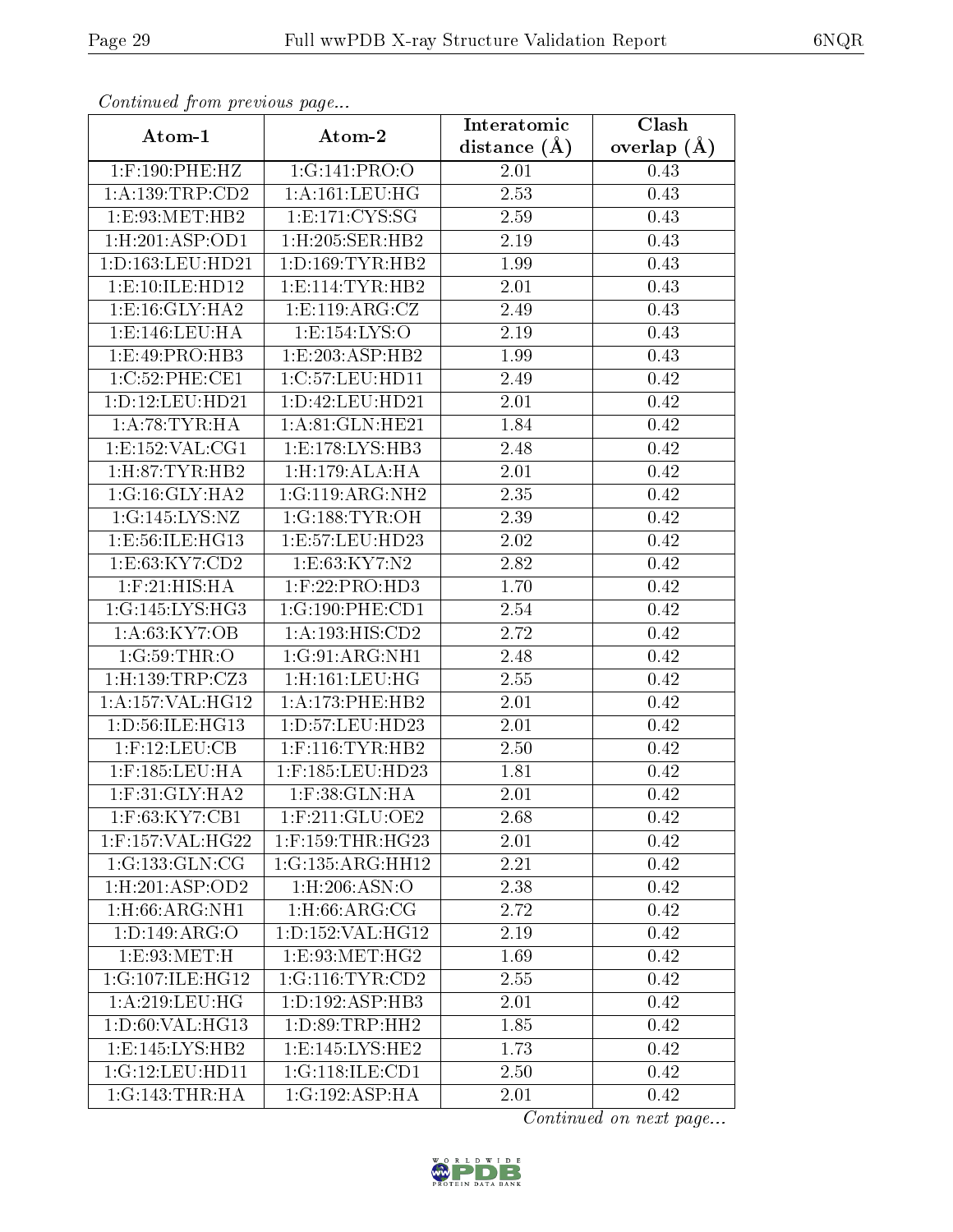| Continuea from pretious page |                           | Interatomic    | Clash         |  |
|------------------------------|---------------------------|----------------|---------------|--|
| Atom-1                       | Atom-2                    | distance $(A)$ | overlap $(A)$ |  |
| $1:$ F:190:PHE:HZ            | 1:G:141:PRO:O             | 2.01           | 0.43          |  |
| 1:A:139:TRP:CD2              | $1:$ A:161:LEU:HG         | 2.53           | 0.43          |  |
| 1: E: 93: MET: HB2           | 1: E: 171: CYS: SG        | 2.59           | 0.43          |  |
| 1: H:201: ASP:OD1            | 1:H:205:SER:HB2           | 2.19           | 0.43          |  |
| 1: D: 163: LEU: HD21         | 1: D: 169: TYR: HB2       | 1.99           | 0.43          |  |
| 1: E: 10: ILE: HD12          | 1: E: 114: TYR: HB2       | 2.01           | 0.43          |  |
| 1: E: 16: GLY: HA2           | 1: E: 119: ARG: CZ        | 2.49           | 0.43          |  |
| 1: E: 146: LEU: HA           | 1:E:154:LYS:O             | 2.19           | 0.43          |  |
| 1:E:49:PRO:HB3               | 1: E: 203: ASP: HB2       | 1.99           | 0.43          |  |
| 1:C:52:PHE:CE1               | 1:C:57:LEU:HD11           | 2.49           | 0.42          |  |
| 1:D:12:LEU:HD21              | 1: D: 42: LEU: HD21       | 2.01           | 0.42          |  |
| 1:A:78:TYR:HA                | 1: A:81: GLN: HE21        | 1.84           | 0.42          |  |
| 1: E: 152: VAL: CG1          | 1:E:178:LYS:HB3           | 2.48           | 0.42          |  |
| 1: H:87: TYR: HB2            | 1:H:179:ALA:HA            | 2.01           | 0.42          |  |
| 1:G:16:GLY:HA2               | 1:G:119:ARG:NH2           | 2.35           | 0.42          |  |
| 1:G:145:LYS:NZ               | 1:G:188:TYR:OH            | 2.39           | 0.42          |  |
| 1:E:56:ILE:HG13              | 1:E:57:LEU:HD23           | 2.02           | 0.42          |  |
| 1:E:63:KY7:CD2               | 1:E:63:KY7:N2             | 2.82           | 0.42          |  |
| $1:$ F:21:HIS:HA             | $1:$ F:22:PRO:HD3         | 1.70           | 0.42          |  |
| 1:G:145:LYS:HG3              | 1:G:190:PHE:CD1           | 2.54           | 0.42          |  |
| 1: A:63:KY7:OB               | 1:A:193:HIS:CD2           | 2.72           | 0.42          |  |
| 1:G:59:THR:O                 | 1:G:91:ARG:NH1            | 2.48           | 0.42          |  |
| $1:$ H:139:TRP:CZ3           | $1:$ H $:161:$ LEU $:$ HG | 2.55           | 0.42          |  |
| 1: A: 157: VAL: HG12         | 1: A:173:PHE:HB2          | 2.01           | 0.42          |  |
| 1: D: 56: ILE: HG13          | 1:D:57:LEU:HD23           | 2.01           | 0.42          |  |
| $1:$ F:12:LEU:CB             | $1:$ F:116:TYR:HB2        | 2.50           | 0.42          |  |
| $1:$ F:185:LEU:HA            | $1:$ F:185:LEU:HD23       | 1.81           | 0.42          |  |
| $1:$ F:31:GLY:HA2            | $1:$ F:38: $GLN:HA$       | 2.01           | 0.42          |  |
| 1:F:63:KY7:CB1               | $1:$ F:211:GLU:OE2        | 2.68           | 0.42          |  |
| 1:F:157:VAL:HG22             | $1:$ F:159:THR:HG23       | 2.01           | 0.42          |  |
| 1:G:133:GLN:CG               | 1:G:135:ARG:HH12          | 2.21           | 0.42          |  |
| 1: H:201: ASP:OD2            | $1:$ H $:206:$ ASN $:$ O  | 2.38           | 0.42          |  |
| 1:H:66:ARG:NH1               | $1:$ H $:66:$ ARG $:$ CG  | 2.72           | 0.42          |  |
| 1: D: 149: ARG: O            | 1:D:152:VAL:HG12          | 2.19           | 0.42          |  |
| 1:E:93:MET:H                 | 1:E:93:MET:HG2            | 1.69           | 0.42          |  |
| 1:G:107:ILE:HG12             | 1:G:116:TYR:CD2           | 2.55           | 0.42          |  |
| 1: A:219:LEU:HG              | 1: D: 192: ASP: HB3       | 2.01           | 0.42          |  |
| 1: D:60: VAL:HG13            | 1:D:89:TRP:HH2            | 1.85           | 0.42          |  |
| 1: E:145: LYS: HB2           | 1: E:145: LYS: HE2        | 1.73           | 0.42          |  |
| 1:G:12:LEU:HD11              | 1:G:118:ILE:CD1           | 2.50           | 0.42          |  |
| 1:G:143:THR:HA               | 1:G:192:ASP:HA            | 2.01           | 0.42          |  |

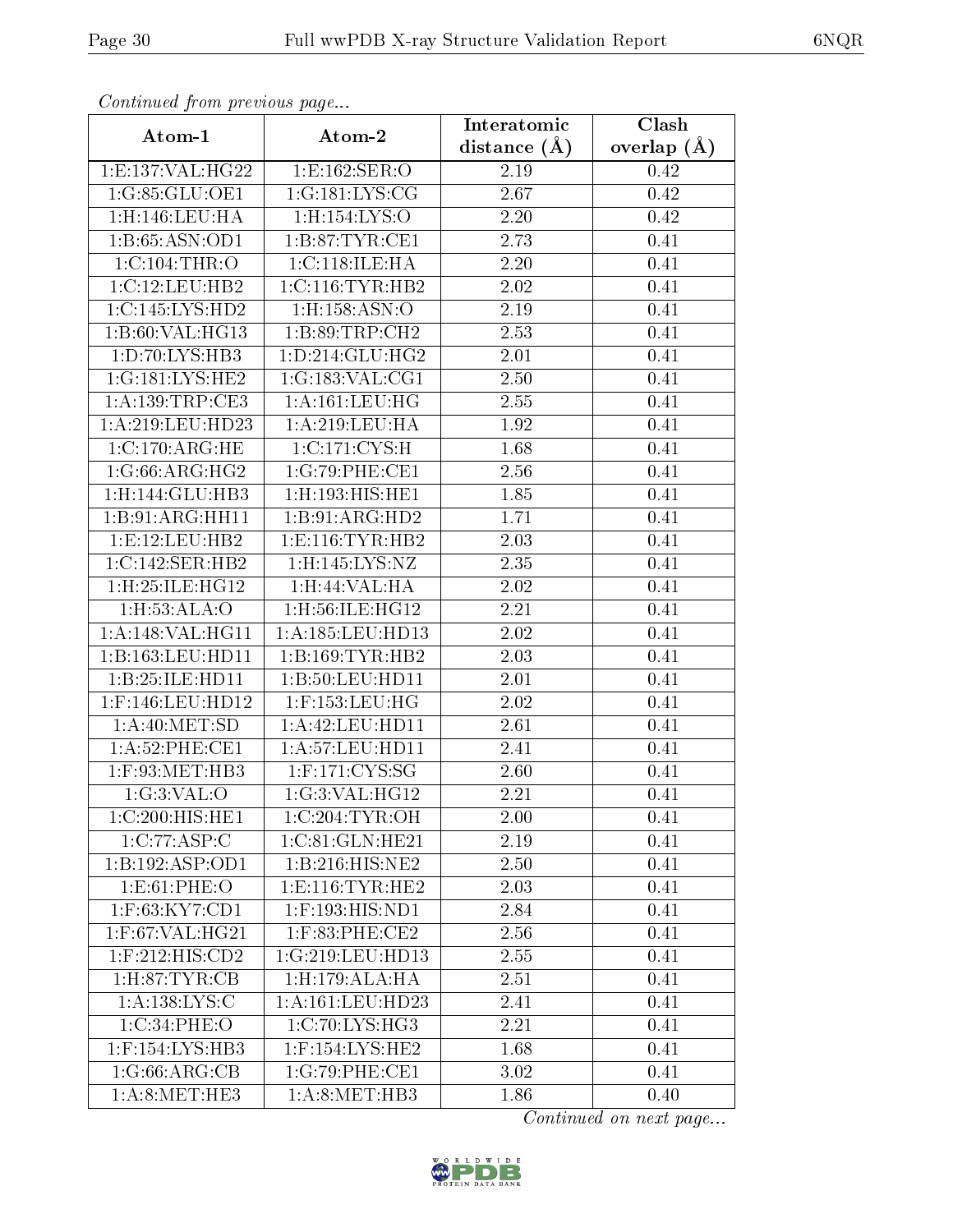| Continuati pom previous page |                                     | Interatomic    | Clash           |  |
|------------------------------|-------------------------------------|----------------|-----------------|--|
| Atom-1                       | Atom-2                              | distance $(A)$ | overlap $(\AA)$ |  |
| 1: E: 137: VAL:HG22          | 1:E:162:SER:O                       | 2.19           | 0.42            |  |
| 1:G:85:GLU:OE1               | 1:G:181:LYS:CG                      | 2.67           | 0.42            |  |
| 1:H:146:LEU:HA               | 1:H:154:LYS:O                       | 2.20           | 0.42            |  |
| 1:B:65:ASN:OD1               | 1: B:87:TYR:CE1                     | 2.73           | 0.41            |  |
| $1:C:104$ : THR: O           | 1:C:118:ILE:HA                      | 2.20           | 0.41            |  |
| 1:C:12:LEU:HB2               | 1:C:116:TYR:HB2                     | 2.02           | 0.41            |  |
| 1:C:145:LYS:HD2              | 1:H:158:ASN:O                       | 2.19           | 0.41            |  |
| 1:B:60:VAL:HG13              | 1:B:89:TRP:CH2                      | 2.53           | 0.41            |  |
| 1:D:70:LYS:HB3               | 1: D: 214: GLU: HG2                 | 2.01           | 0.41            |  |
| 1:G:181:LYS:HE2              | 1:G:183:VAL:CG1                     | 2.50           | 0.41            |  |
| 1: A: 139: TRP: CE3          | 1: A:161:LEU:HG                     | 2.55           | 0.41            |  |
| 1:A:219:LEU:HD23             | 1: A:219:LEU:HA                     | 1.92           | 0.41            |  |
| 1:C:170:ARG:HE               | 1:C:171:CYS:H                       | 1.68           | 0.41            |  |
| 1:G:66:ARG:HG2               | 1:G:79:PHE:CE1                      | 2.56           | 0.41            |  |
| 1:H:144:GLU:HB3              | 1:H:193:HIS:HE1                     | 1.85           | 0.41            |  |
| 1:B:91:ARG:HH11              | 1:B:91:ARG:HD2                      | 1.71           | 0.41            |  |
| 1:E:12:LEU:HB2               | 1: E: 116: TYR: HB2                 | 2.03           | 0.41            |  |
| 1:C:142:SER:HB2              | $1:$ H:145:LYS:NZ                   | 2.35           | 0.41            |  |
| 1:H:25:ILE:HG12              | 1:H:44:VAL:HA                       | 2.02           | 0.41            |  |
| 1:H:53:ALA:O                 | $1:$ H $:56:$ ILE $:$ H $G12$       | 2.21           | 0.41            |  |
| 1:A:148:VAL:HG11             | 1:A:185:LEU:HD13                    | 2.02           | 0.41            |  |
| 1:B:163:LEU:HD11             | 1:B:169:TYR:HB2                     | 2.03           | 0.41            |  |
| 1:B:25:ILE:HD11              | 1:B:50:LEU:HD11                     | 2.01           | 0.41            |  |
| $1:$ F:146:LEU:HD12          | $1:$ F:153:LEU:HG                   | 2.02           | 0.41            |  |
| 1:A:40:MET:5D                | 1: A: 42: LEU: HD11                 | $2.61\,$       | 0.41            |  |
| $1: A:52:$ PHE:CE1           | 1: A:57:LEU:HD11                    | 2.41           | 0.41            |  |
| $1:$ F:93:MET:HB3            | $1:$ F:171:CYS:SG                   | 2.60           | 0.41            |  |
| 1:G:3:VAL:O                  | 1:G:3:VAL:HG12                      | 2.21           | 0.41            |  |
| 1:C:200:HIS:HE1              | 1:C:204:TYR:OH                      | 2.00           | 0.41            |  |
| $1:C:77:\overline{ASP:C}$    | 1:C:81:GLN:HE21                     | 2.19           | 0.41            |  |
| 1:B:192:ASP:OD1              | $1:B:216:HIS:\overline{\text{NE2}}$ | 2.50           | 0.41            |  |
| 1:E:61:PHE:O                 | 1: E: 116: TYR: HE2                 | 2.03           | 0.41            |  |
| 1:F:63:KY7:CD1               | $1:$ F:193:HIS:ND1                  | 2.84           | 0.41            |  |
| $1:$ F:67:VAL:HG21           | 1:F:83:PHE:CE2                      | 2.56           | 0.41            |  |
| 1:F:212:HIS:CD2              | 1:G:219:LEU:HD13                    | 2.55           | 0.41            |  |
| 1: H:87: TYR: CB             | 1:H:179:ALA:HA                      | 2.51           | 0.41            |  |
| 1: A: 138: LYS: C            | 1: A: 161: LEU: HD23                | 2.41           | 0.41            |  |
| 1:C:34:PHE:O                 | 1:C:70:LYS:HG3                      | 2.21           | 0.41            |  |
| 1:F:154:LYS:HB3              | $1:$ F:154:LYS:HE2                  | 1.68           | 0.41            |  |
| 1:G:66:ARG:CB                | 1:G:79:PHE:CE1                      | 3.02           | 0.41            |  |
| 1: A:8: MET:HE3              | 1: A:8: MET:HB3                     | 1.86           | 0.40            |  |

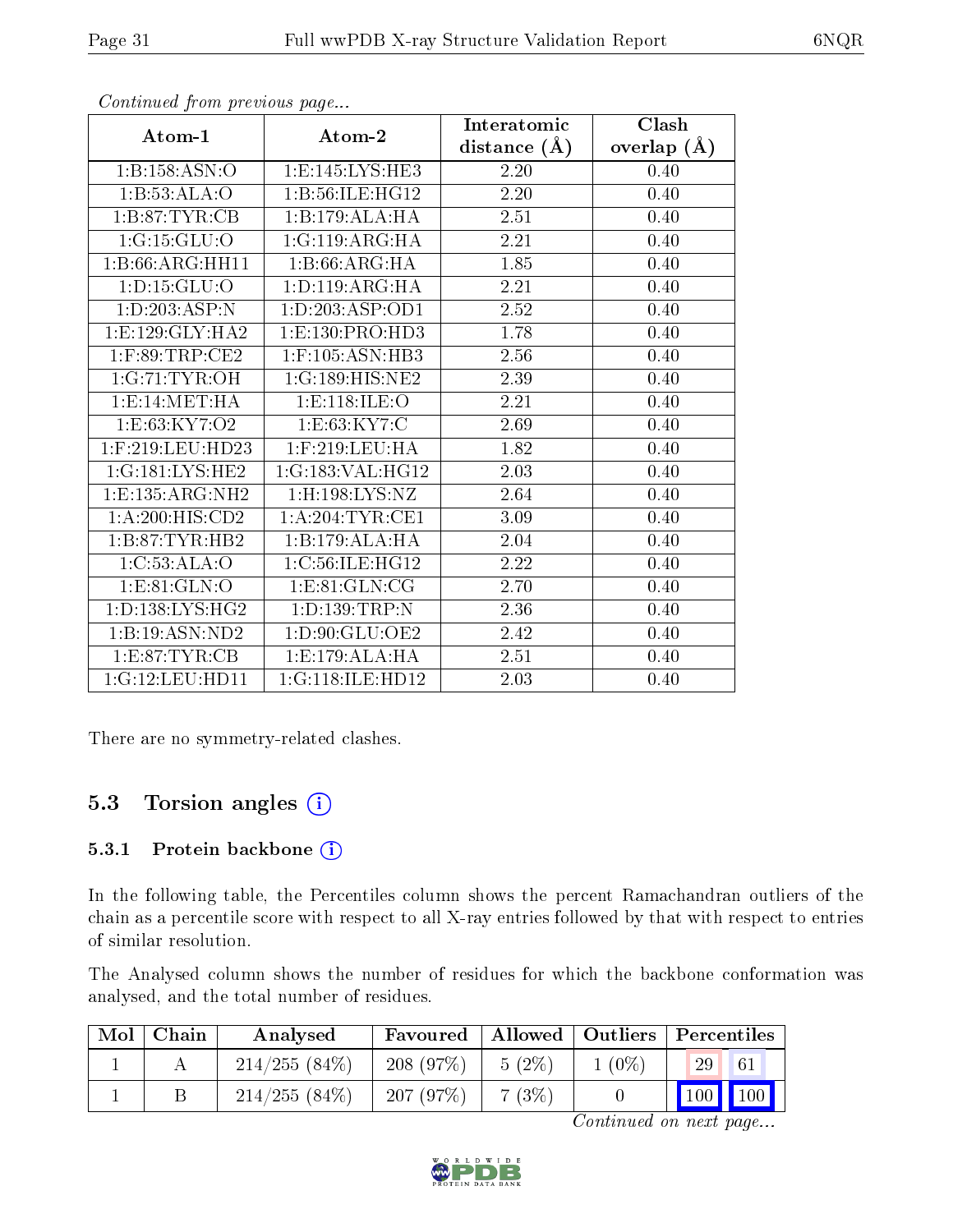|                             |                                  | Interatomic      | Clash         |
|-----------------------------|----------------------------------|------------------|---------------|
| Atom-1                      | Atom-2                           | distance $(\AA)$ | overlap $(A)$ |
| 1: B: 158: ASN: O           | 1:E:145:LYS:HE3                  | 2.20             | 0.40          |
| 1:B:53:ALA:O                | 1:B:56:ILE:HG12                  | 2.20             | 0.40          |
| 1: B:87: TYR:CB             | 1:B:179:ALA:HA                   | 2.51             | 0.40          |
| 1:G:15:GLU:O                | 1:G:119:ARG:HA                   | 2.21             | 0.40          |
| 1:B:66:ARG:HH11             | 1:B:66:ARG:HA                    | 1.85             | 0.40          |
| 1: D: 15: GLU: O            | 1: D: 119: ARG: HA               | 2.21             | 0.40          |
| 1:D:203:ASP:N               | 1:D:203:ASP:OD1                  | 2.52             | 0.40          |
| 1:E:129:GLY:HA2             | 1: E: 130: PRO: HD3              | 1.78             | 0.40          |
| $1:$ F:89:TRP:CE2           | $1:$ F:105:ASN:H $\overline{B3}$ | 2.56             | 0.40          |
| 1:G:71:TYR:OH               | 1:G:189:HIS:NE2                  | 2.39             | 0.40          |
| 1:E:14:MET:HA               | 1:E:118:ILE:O                    | 2.21             | 0.40          |
| 1:E:63:KY7:O2               | 1: E:63:KY7:C                    | 2.69             | 0.40          |
| $1:$ F:219:LEU:HD23         | $1:$ F:219:LEU:HA                | 1.82             | 0.40          |
| 1:G:181:LYS:HE2             | 1:G:183:VAL:HG12                 | 2.03             | 0.40          |
| 1:E:135:ARG:NH2             | $1:$ H:198:LYS:NZ                | 2.64             | 0.40          |
| 1:A:200:HIS:CD2             | 1: A:204:TYR:CE1                 | 3.09             | 0.40          |
| 1:B:87:TYR:HB2              | 1:B:179:ALA:HA                   | 2.04             | 0.40          |
| 1:C:53:ALA:O                | 1:C:56:ILE:HG12                  | 2.22             | 0.40          |
| 1:ES1:GLN:O                 | 1: E: 81: GLN: CG                | 2.70             | 0.40          |
| 1: D: 138: LYS: HG2         | 1: D: 139: TRP: N                | 2.36             | 0.40          |
| $1:B:19:A\overline{SN:ND2}$ | 1:D:90:GLU:OE2                   | 2.42             | 0.40          |
| 1: E:87: TYR: CB            | 1:E:179:ALA:HA                   | 2.51             | 0.40          |
| 1:G:12:LEU:HD11             | 1:G:118:ILE:HD12                 | 2.03             | 0.40          |

There are no symmetry-related clashes.

### 5.3 Torsion angles  $(i)$

#### 5.3.1 Protein backbone (i)

In the following table, the Percentiles column shows the percent Ramachandran outliers of the chain as a percentile score with respect to all X-ray entries followed by that with respect to entries of similar resolution.

The Analysed column shows the number of residues for which the backbone conformation was analysed, and the total number of residues.

| Mol | Chain | Analysed        | Favoured |          | Allowed   Outliers   Percentiles |    |                             |
|-----|-------|-----------------|----------|----------|----------------------------------|----|-----------------------------|
|     |       | $214/255(84\%)$ | 208(97%) | $5(2\%)$ | $1(0\%)$                         | 29 |                             |
|     |       | 214/255(84%)    | 207(97%) | 7(3%)    |                                  |    | $\boxed{100}$ $\boxed{100}$ |

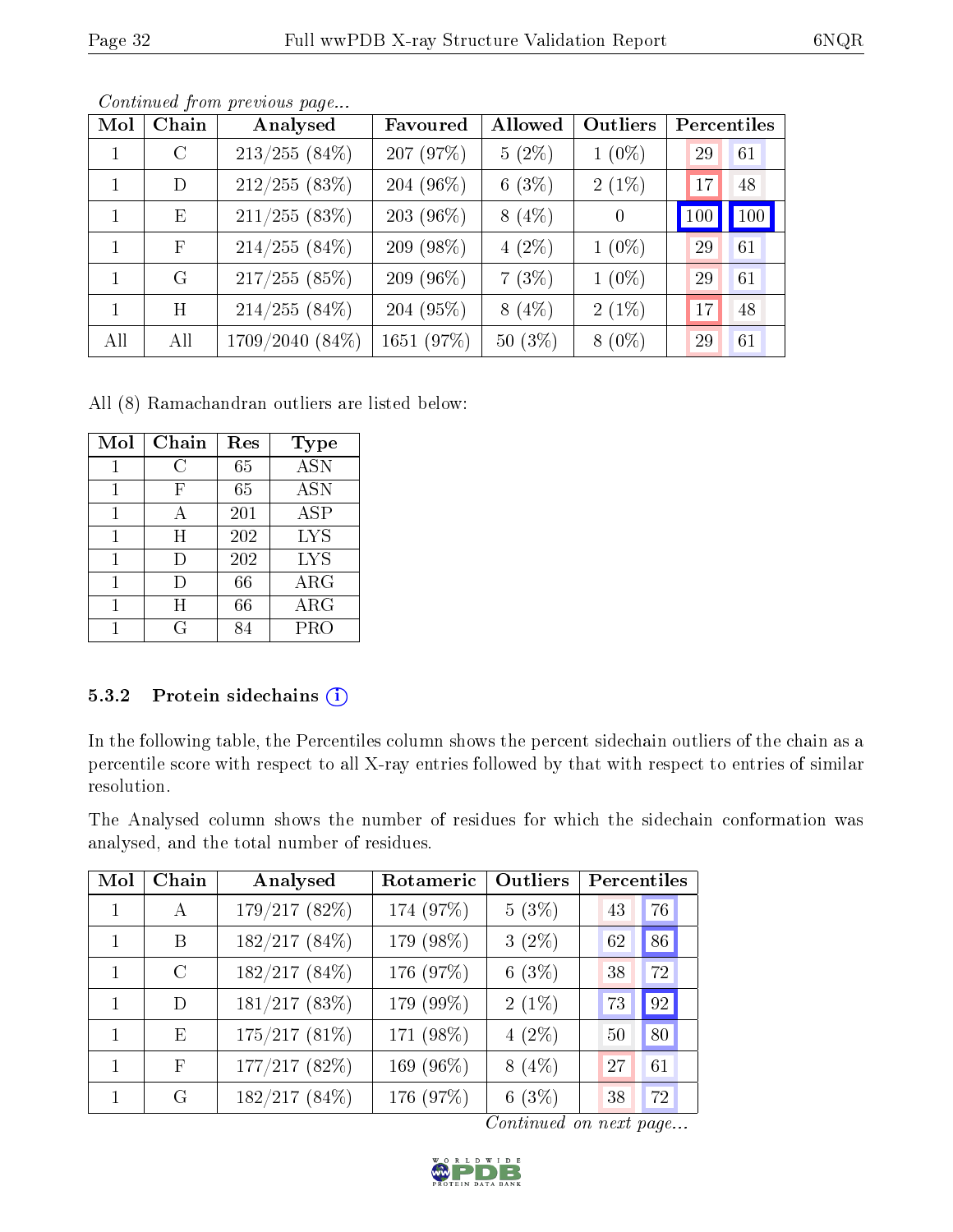| Mol | Chain                     | Analysed        | Favoured      | Allowed   | <b>Outliers</b> | Percentiles |               |
|-----|---------------------------|-----------------|---------------|-----------|-----------------|-------------|---------------|
|     | $\mathcal{C}$             | $213/255(84\%)$ | 207 (97%)     | $5(2\%)$  | $1(0\%)$        | 29          | 61            |
| 1   | D                         | 212/255(83%)    | 204 (96%)     | 6(3%)     | $2(1\%)$        | 17          | 48            |
|     | $\boldsymbol{\mathrm{E}}$ | $211/255$ (83%) | $203(96\%)$   | $8(4\%)$  | $\overline{0}$  | 100         | $ 100\rangle$ |
|     | F                         | $214/255(84\%)$ | 209 (98%)     | $4(2\%)$  | $1(0\%)$        | 29          | 61            |
|     | G                         | $217/255(85\%)$ | 209 (96 $%$ ) | 7(3%)     | $1(0\%)$        | 29          | 61            |
| 1   | H                         | $214/255(84\%)$ | 204 (95%)     | $8(4\%)$  | $2(1\%)$        | 17          | 48            |
| All | All                       | 1709/2040 (84%) | 1651 (97%)    | $50(3\%)$ | $8(0\%)$        | 29          | 61            |

All (8) Ramachandran outliers are listed below:

| Mol | Chain | Res | Type       |
|-----|-------|-----|------------|
| 1   | С     | 65  | <b>ASN</b> |
| 1   | F     | 65  | <b>ASN</b> |
| 1   | А     | 201 | <b>ASP</b> |
| 1   | H     | 202 | <b>LYS</b> |
| 1   | I)    | 202 | <b>LYS</b> |
| 1   | Ð     | 66  | ARG        |
| 1   | H     | 66  | $\rm{ARG}$ |
|     | G.    |     | PRO        |

#### 5.3.2 Protein sidechains (i)

In the following table, the Percentiles column shows the percent sidechain outliers of the chain as a percentile score with respect to all X-ray entries followed by that with respect to entries of similar resolution.

The Analysed column shows the number of residues for which the sidechain conformation was analysed, and the total number of residues.

| Mol          | Chain         | Analysed      | Rotameric | Outliers | Percentiles |    |
|--------------|---------------|---------------|-----------|----------|-------------|----|
| $\mathbf{1}$ | $\mathbf{A}$  | 179/217 (82%) | 174 (97%) | $5(3\%)$ | 43          | 76 |
| $\mathbf{1}$ | B             | 182/217 (84%) | 179 (98%) | $3(2\%)$ | 62          | 86 |
|              | $\mathcal{C}$ | 182/217 (84%) | 176 (97%) | 6(3%)    | 38          | 72 |
| 1            | D             | 181/217(83%)  | 179 (99%) | $2(1\%)$ | 73          | 92 |
| 1            | E             | 175/217(81%)  | 171 (98%) | $4(2\%)$ | 50          | 80 |
|              | F             | 177/217 (82%) | 169 (96%) | $8(4\%)$ | 27          | 61 |
|              | G             | 182/217(84%)  | 176 (97%) | 6(3%)    | 38          | 72 |

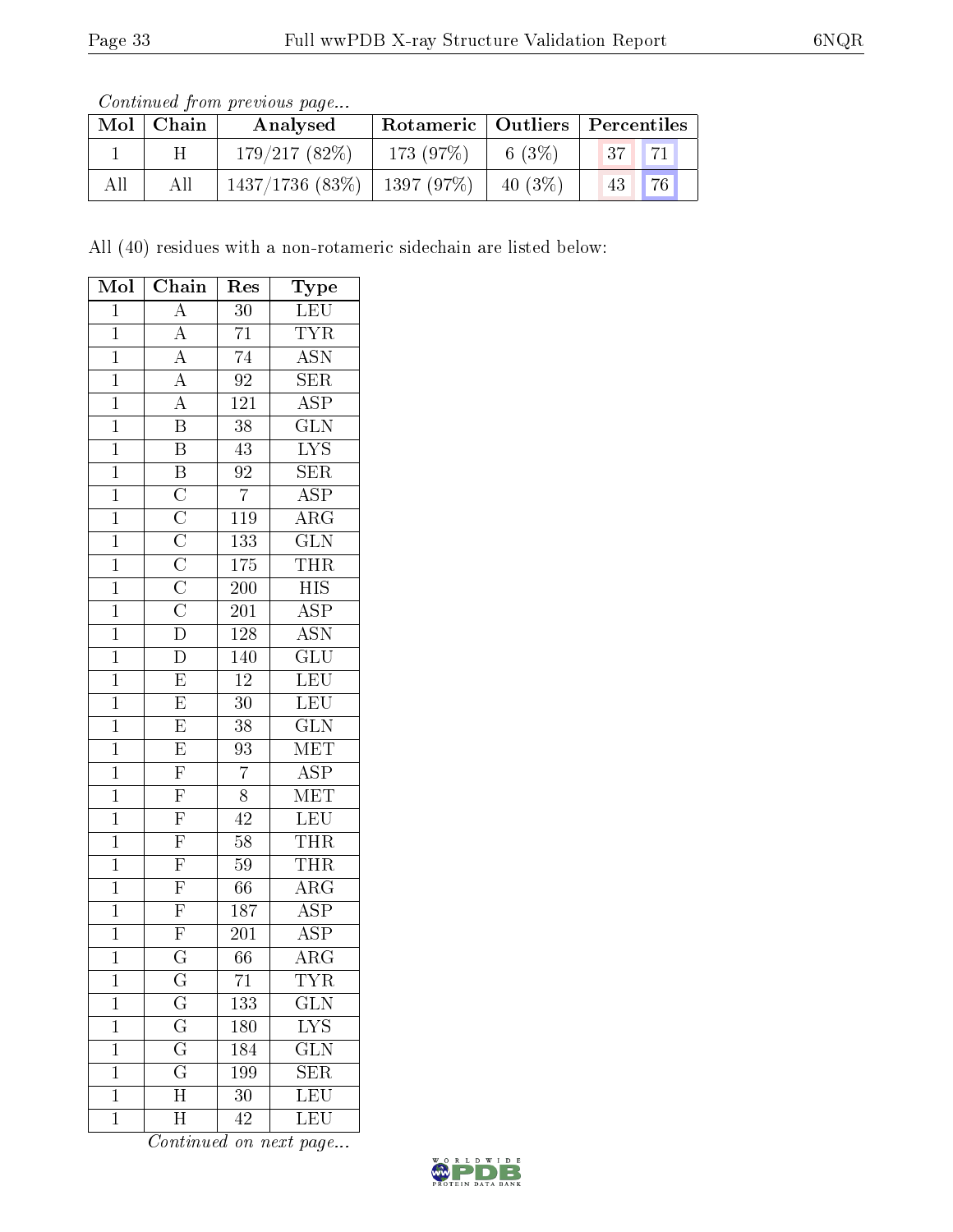| Continued from previous page |  |  |
|------------------------------|--|--|

| Mol | Chain | Analysed           | Rotameric   Outliers   Percentiles |            |       |             |
|-----|-------|--------------------|------------------------------------|------------|-------|-------------|
|     | H     | 179/217(82%)       | 173(97%)                           | 6 $(3%)$   | 37 71 |             |
| All | All   | $1437/1736$ (83\%) | 1397 (97%)                         | 40 $(3\%)$ | 43    | $\sqrt{76}$ |

All (40) residues with a non-rotameric sidechain are listed below:

| Mol            | Chain                                                                                                                   | $\operatorname{Res}% \left( \mathcal{N}\right) \simeq\operatorname{Res}(\mathcal{N}_{0})^{\ast}$ | <b>Type</b>                                |
|----------------|-------------------------------------------------------------------------------------------------------------------------|--------------------------------------------------------------------------------------------------|--------------------------------------------|
| $\overline{1}$ | $\overline{A}$                                                                                                          | $\overline{30}$                                                                                  | <b>LEU</b>                                 |
| $\mathbf{1}$   | $\frac{\overline{A}}{\overline{A}}$                                                                                     | $\overline{71}$                                                                                  | $\frac{\overline{\text{TYR}}}{\text{ASN}}$ |
| $\overline{1}$ |                                                                                                                         | $\overline{74}$                                                                                  |                                            |
| $\overline{1}$ | $\overline{A}$                                                                                                          | $\overline{92}$                                                                                  | $\overline{\text{SER}}$                    |
| $\overline{1}$ | $\overline{A}$                                                                                                          | $\overline{121}$                                                                                 | $\overline{\text{ASP}}$                    |
| $\overline{1}$ | $\overline{\mathbf{B}}$                                                                                                 | $\overline{38}$                                                                                  | $\overline{\text{GLN}}$                    |
| $\overline{1}$ | $\overline{\mathbf{B}}$                                                                                                 | $\overline{43}$                                                                                  | $\overline{\text{LYS}}$                    |
| $\overline{1}$ |                                                                                                                         | $\overline{92}$                                                                                  | $\overline{\text{SER}}$                    |
| $\overline{1}$ |                                                                                                                         | $\overline{7}$                                                                                   | $\overline{\text{ASP}}$                    |
| $\overline{1}$ |                                                                                                                         | $\overline{119}$                                                                                 | $\overline{\rm{ARG}}$                      |
| $\overline{1}$ |                                                                                                                         | 133                                                                                              | $\overline{\text{GLN}}$                    |
| $\mathbf{1}$   | $\overline{B}$ $\overline{C}$ $\overline{C}$ $\overline{C}$ $\overline{C}$ $\overline{C}$ $\overline{C}$ $\overline{D}$ | 175                                                                                              | THR                                        |
| $\overline{1}$ |                                                                                                                         | $\overline{200}$                                                                                 | <b>HIS</b>                                 |
| $\overline{1}$ |                                                                                                                         | $201\,$                                                                                          | $\overline{\text{ASP}}$                    |
| $\overline{1}$ |                                                                                                                         | $\overline{128}$                                                                                 | <b>ASN</b>                                 |
| $\overline{1}$ | $\overline{D}$                                                                                                          | 140                                                                                              | $\overline{\text{GLU}}$                    |
| $\mathbf{1}$   | $\overline{E}$                                                                                                          | $\overline{12}$                                                                                  | LEU                                        |
| $\overline{1}$ | $\overline{E}$                                                                                                          | $\overline{30}$                                                                                  | LEU                                        |
| $\overline{1}$ | $\overline{E}$                                                                                                          | $\overline{38}$                                                                                  | $\overline{\text{GLN}}$                    |
| $\overline{1}$ | $\overline{E}$                                                                                                          | $\overline{93}$                                                                                  | MET                                        |
| $\overline{1}$ | $\frac{\overline{F}}{\overline{F}}$                                                                                     | $\overline{7}$                                                                                   | $\frac{\text{ASP}}{\text{MET}}$            |
| $\mathbf{1}$   |                                                                                                                         | $\overline{8}$                                                                                   |                                            |
| $\overline{1}$ |                                                                                                                         | $\overline{42}$                                                                                  | LEU                                        |
| $\overline{1}$ | $\overline{\mathrm{F}}$                                                                                                 | 58                                                                                               | THR                                        |
| $\overline{1}$ | $\overline{\mathrm{F}}$                                                                                                 | 59                                                                                               | $\frac{\overline{\text{THR}}}{\text{ARG}}$ |
| $\mathbf{1}$   | $\overline{F}$                                                                                                          | 66                                                                                               |                                            |
| $\overline{1}$ | $\overline{F}$                                                                                                          | 187                                                                                              | $\overline{\text{ASP}}$                    |
| $\overline{1}$ | $\overline{F}$                                                                                                          | 201                                                                                              | $\overline{\text{ASP}}$                    |
| $\overline{1}$ | $\overline{\text{G}}$                                                                                                   | 66                                                                                               | $\overline{\rm{ARG}}$                      |
| $\mathbf 1$    | $\rm G$                                                                                                                 | 71                                                                                               | TYR                                        |
| $\mathbf 1$    | $\mathbf G$                                                                                                             | 133                                                                                              | $\widetilde{{\rm GLN}}$                    |
| $\mathbf 1$    | $\overline{\mathrm{G}}$                                                                                                 | 180                                                                                              | $LYS$                                      |
| $\mathbf{1}$   | $\overline{\mathrm{G}}$                                                                                                 | 184                                                                                              | $\overline{\text{GLN}}$                    |
| $\mathbf{1}$   | $\overline{\mathrm{G}}$                                                                                                 | 199                                                                                              | <b>SER</b>                                 |
| $\mathbf{1}$   | $\overline{\mathrm{H}}$                                                                                                 | 30                                                                                               | LEU                                        |
| $\mathbf 1$    | H                                                                                                                       | 42                                                                                               | LEU                                        |

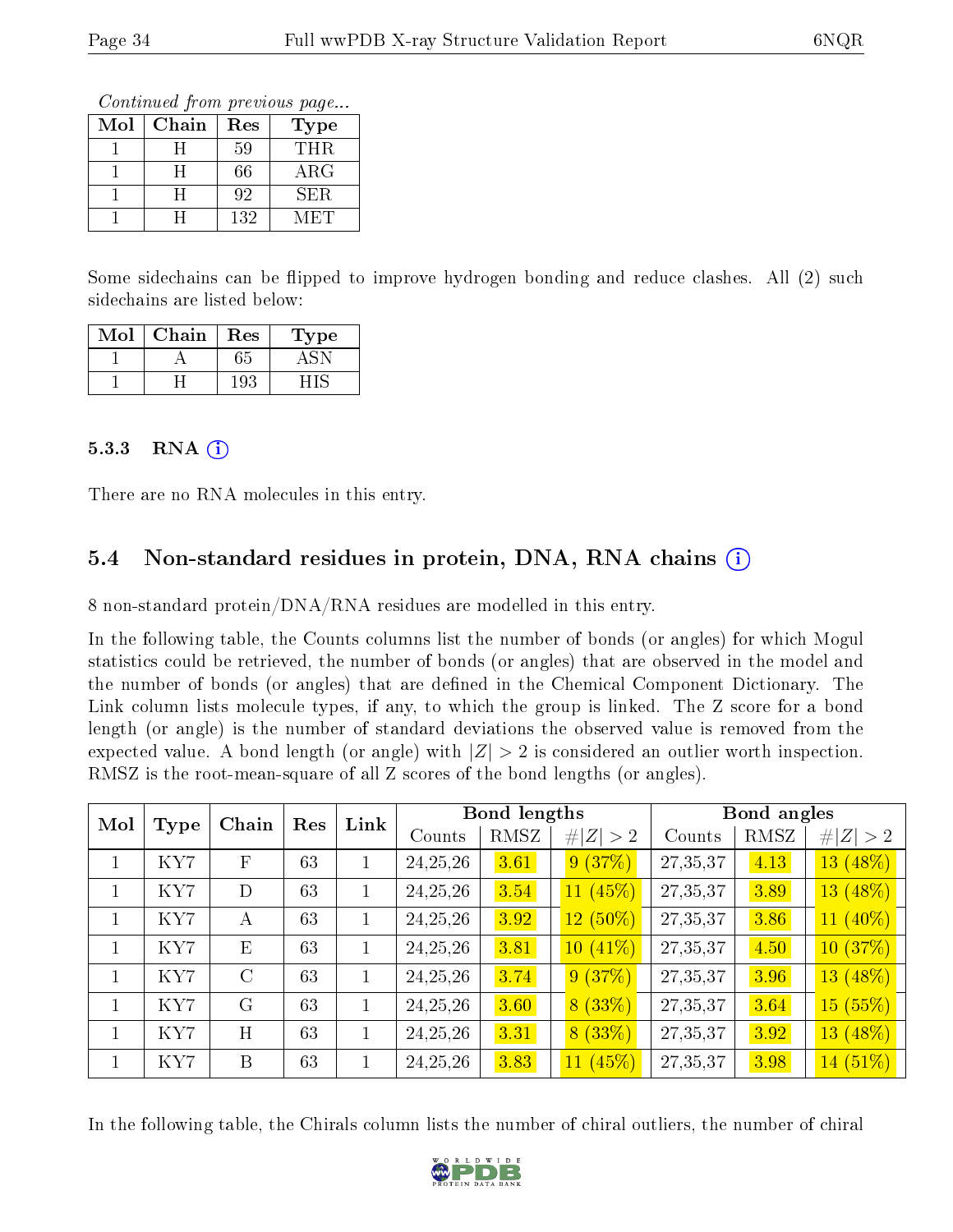Continued from previous page...

| Mol | Chain | Res | Type       |
|-----|-------|-----|------------|
|     |       | 59  | THR.       |
|     |       | 66  | $\rm{ARG}$ |
|     |       | 92  | SER.       |
|     |       | 132 | M ETE      |

Some sidechains can be flipped to improve hydrogen bonding and reduce clashes. All (2) such sidechains are listed below:

| Mol | Chain | Res | Type |
|-----|-------|-----|------|
|     |       | 65  |      |
|     |       | 193 |      |

#### $5.3.3$  RNA  $(i)$

There are no RNA molecules in this entry.

### 5.4 Non-standard residues in protein, DNA, RNA chains (i)

8 non-standard protein/DNA/RNA residues are modelled in this entry.

In the following table, the Counts columns list the number of bonds (or angles) for which Mogul statistics could be retrieved, the number of bonds (or angles) that are observed in the model and the number of bonds (or angles) that are defined in the Chemical Component Dictionary. The Link column lists molecule types, if any, to which the group is linked. The Z score for a bond length (or angle) is the number of standard deviations the observed value is removed from the expected value. A bond length (or angle) with  $|Z| > 2$  is considered an outlier worth inspection. RMSZ is the root-mean-square of all Z scores of the bond lengths (or angles).

| Mol          |      | Chain        | Res | Link         |            | Bond lengths |             |          | Bond angles |                          |
|--------------|------|--------------|-----|--------------|------------|--------------|-------------|----------|-------------|--------------------------|
|              | Type |              |     |              | Counts     | RMSZ         | # $ Z  > 2$ | Counts   | RMSZ        | # $ Z  > 2$              |
|              | KY7  | $\mathbf{F}$ | 63  | 1            | 24, 25, 26 | 3.61         | 9(37%)      | 27,35,37 | 4.13        | (48%)<br>13 <sup>°</sup> |
|              | KY7  | D            | 63  | $\mathbf{1}$ | 24, 25, 26 | 3.54         | 11(45%)     | 27,35,37 | 3.89        | $13(48\%)$               |
|              | KY7  | А            | 63  | 1            | 24, 25, 26 | 3.92         | $12(50\%)$  | 27,35,37 | 3.86        | $11(40\%)$               |
| $\mathbf{1}$ | KY7  | E            | 63  | $\mathbf 1$  | 24, 25, 26 | 3.81         | $10(41\%)$  | 27,35,37 | 4.50        | (37%)<br>10 <sup>°</sup> |
|              | KY7  | $\rm C$      | 63  | 1            | 24, 25, 26 | 3.74         | 9(37%)      | 27,35,37 | 3.96        | $13(48\%)$               |
|              | KY7  | $\rm G$      | 63  | $\mathbf 1$  | 24, 25, 26 | 3.60         | 8(33%)      | 27,35,37 | 3.64        | 15(55%)                  |
|              | KY7  | H            | 63  | $\mathbf{1}$ | 24, 25, 26 | 3.31         | 8(33%)      | 27,35,37 | 3.92        | 13 (48%)                 |
|              | KY7  | B            | 63  |              | 24, 25, 26 | 3.83         | 11(45%)     | 27,35,37 | 3.98        | $14(51\%)$               |

In the following table, the Chirals column lists the number of chiral outliers, the number of chiral

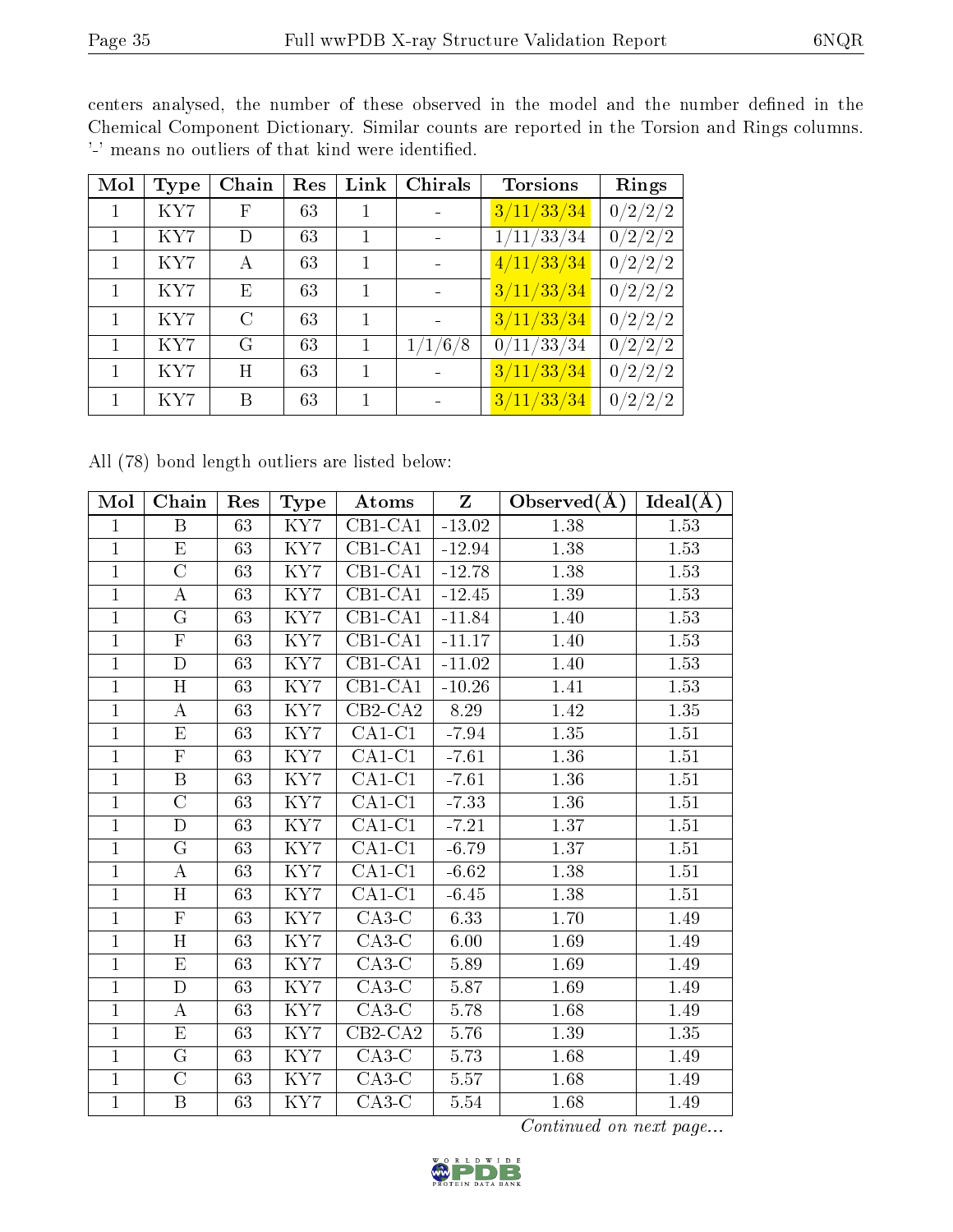centers analysed, the number of these observed in the model and the number defined in the Chemical Component Dictionary. Similar counts are reported in the Torsion and Rings columns. '-' means no outliers of that kind were identified.

| Mol | Type | Chain       | Res | Link | Chirals | <b>Torsions</b>      | Rings   |
|-----|------|-------------|-----|------|---------|----------------------|---------|
|     | KY7  | $\mathbf F$ | 63  |      |         | 3/11/33/34           | 0/2/2/2 |
|     | KY7  | D           | 63  |      |         | 1/11/33/34           | 0/2/2/2 |
|     | KY7  | А           | 63  |      |         | $\frac{4}{11/33/34}$ | 0/2/2/2 |
|     | KY7  | Ε           | 63  |      |         | 3/11/33/34           | 0/2/2/2 |
|     | KY7  | C           | 63  |      |         | 3/11/33/34           | 0/2/2/2 |
|     | KY7  | G           | 63  |      | 1/1/6/8 | 0/11/33/34           | 0/2/2/2 |
|     | KY7  | Η           | 63  |      |         | $\frac{3}{11/33/34}$ | 0/2/2/2 |
|     | KY7  | В           | 63  |      |         | 3/11/33/34           | 0/2/2/2 |

All (78) bond length outliers are listed below:

| Mol            | Chain                   | Res             | Type                    | Atoms                        | Z        | Observed $(A)$    | Ideal(A)          |
|----------------|-------------------------|-----------------|-------------------------|------------------------------|----------|-------------------|-------------------|
| $\mathbf{1}$   | B                       | 63              | KY7                     | $CB1-CA1$                    | $-13.02$ | 1.38              | 1.53              |
| $\mathbf{1}$   | ${\rm E}$               | 63              | KY7                     | CB1-CA1                      | $-12.94$ | 1.38              | 1.53              |
| $\mathbf{1}$   | $\overline{\rm C}$      | 63              | $\overline{\text{KY7}}$ | $CB1-CA1$                    | $-12.78$ | 1.38              | 1.53              |
| $\mathbf{1}$   | $\boldsymbol{A}$        | 63              | KY7                     | $CB1-CA1$                    | $-12.45$ | 1.39              | 1.53              |
| $\mathbf{1}$   | G                       | 63              | KY7                     | $CB1-CA1$                    | $-11.84$ | 1.40              | 1.53              |
| $\mathbf{1}$   | $\overline{F}$          | 63              | KY7                     | $CB1-CA1$                    | $-11.17$ | 1.40              | 1.53              |
| $\mathbf{1}$   | $\overline{D}$          | 63              | KY7                     | $\overline{\text{CB1}}$ -CA1 | $-11.02$ | 1.40              | 1.53              |
| $\mathbf{1}$   | $\overline{H}$          | 63              | $\overline{\text{KY7}}$ | $\overline{\text{CB1-CA1}}$  | $-10.26$ | 1.41              | 1.53              |
| $\mathbf{1}$   | $\boldsymbol{A}$        | 63              | KY7                     | $CB2-CA2$                    | 8.29     | 1.42              | 1.35              |
| $\mathbf{1}$   | $\overline{\mathrm{E}}$ | 63              | $\overline{\text{KY7}}$ | $CA1-C1$                     | $-7.94$  | 1.35              | $1.51\,$          |
| $\mathbf{1}$   | $\overline{F}$          | 63              | KY7                     | $CA1-C1$                     | $-7.61$  | 1.36              | $1.51\,$          |
| $\overline{1}$ | $\overline{B}$          | 63              | KY7                     | $CA1-C1$                     | $-7.61$  | 1.36              | 1.51              |
| $\mathbf 1$    | $\overline{C}$          | 63              | $\overline{\text{KY7}}$ | $\overline{\text{CA1-C1}}$   | $-7.33$  | 1.36              | $1.51\,$          |
| $\mathbf{1}$   | $\overline{D}$          | 63              | KY7                     | $CA1-C1$                     | $-7.21$  | 1.37              | 1.51              |
| $\overline{1}$ | $\overline{\mathrm{G}}$ | $\overline{63}$ | $\overline{\text{KY7}}$ | $\overline{CA1-C1}$          | $-6.79$  | $\overline{1.37}$ | $\overline{1.51}$ |
| $\mathbf{1}$   | $\bf{A}$                | 63              | KY7                     | $CA1-C1$                     | $-6.62$  | 1.38              | $1.51\,$          |
| $\mathbf{1}$   | H                       | 63              | KY7                     | $CA1-C1$                     | $-6.45$  | 1.38              | 1.51              |
| $\mathbf{1}$   | $\overline{\mathrm{F}}$ | 63              | KY7                     | $C A3-C$                     | 6.33     | 1.70              | 1.49              |
| $\mathbf{1}$   | H                       | 63              | KY7                     | $C A3-C$                     | 6.00     | 1.69              | 1.49              |
| $\overline{1}$ | $\overline{\mathrm{E}}$ | 63              | $\overline{\text{KY7}}$ | $C A3-C$                     | 5.89     | 1.69              | 1.49              |
| $\mathbf{1}$   | D                       | 63              | KY7                     | $C A3-C$                     | 5.87     | 1.69              | 1.49              |
| $\overline{1}$ | $\overline{A}$          | 63              | $\overline{\text{KY7}}$ | $C A3-C$                     | 5.78     | $\overline{1.68}$ | 1.49              |
| $\mathbf{1}$   | $\overline{E}$          | 63              | KY7                     | $\overline{\text{CB2-CA2}}$  | 5.76     | 1.39              | $1.35\,$          |
| $\mathbf{1}$   | G                       | 63              | KY7                     | $C A3-C$                     | 5.73     | 1.68              | $1.49\,$          |
| $\mathbf{1}$   | $\overline{C}$          | 63              | $\overline{\text{KY7}}$ | $C A3-C$                     | 5.57     | 1.68              | 1.49              |
| $\mathbf{1}$   | $\, {\bf B}$            | 63              | KY7                     | $C A3-C$                     | 5.54     | 1.68              | 1.49              |

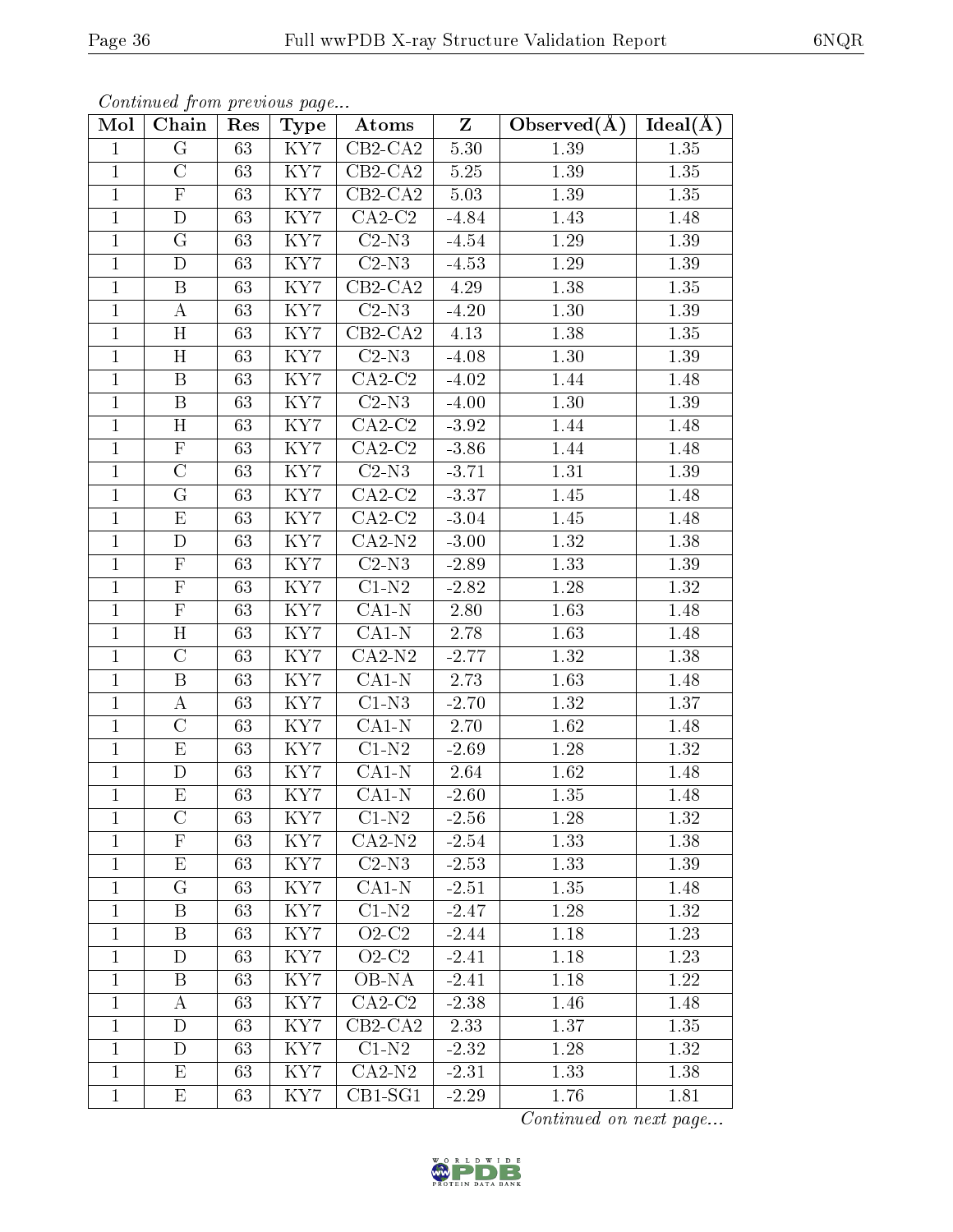| Mol          | Chain                     | Res | Type                    | Atoms                 | $\mathbf{Z}$ | Observed $(A)$    | $Ideal(\AA)$      |
|--------------|---------------------------|-----|-------------------------|-----------------------|--------------|-------------------|-------------------|
| $\mathbf{1}$ | G                         | 63  | KY7                     | $CB2-CA2$             | 5.30         | 1.39              | 1.35              |
| $\mathbf{1}$ | $\overline{C}$            | 63  | KY7                     | $CB2-CA2$             | 5.25         | 1.39              | 1.35              |
| $\mathbf{1}$ | $\overline{\mathrm{F}}$   | 63  | $\overline{\text{KY7}}$ | $CB2-CA2$             | 5.03         | 1.39              | 1.35              |
| $\mathbf{1}$ | $\mathbf D$               | 63  | KY7                     | $CA2-C2$              | $-4.84$      | 1.43              | 1.48              |
| $\mathbf{1}$ | G                         | 63  | KY7                     | $C2-N3$               | $-4.54$      | 1.29              | 1.39              |
| $\mathbf{1}$ | $\mathbf D$               | 63  | KY7                     | $C2-N3$               | $-4.53$      | 1.29              | 1.39              |
| $\mathbf{1}$ | $\boldsymbol{B}$          | 63  | KY7                     | $\overline{C}B2$ -CA2 | 4.29         | 1.38              | 1.35              |
| $\mathbf{1}$ | A                         | 63  | KY7                     | $C2-N3$               | $-4.20$      | 1.30              | 1.39              |
| $\mathbf{1}$ | H                         | 63  | KY7                     | $CB2-CA2$             | 4.13         | 1.38              | 1.35              |
| $\mathbf{1}$ | H                         | 63  | KY7                     | $C2-N3$               | $-4.08$      | 1.30              | 1.39              |
| $\mathbf{1}$ | B                         | 63  | KY7                     | $CA2-C2$              | $-4.02$      | 1.44              | 1.48              |
| $\mathbf{1}$ | $\boldsymbol{B}$          | 63  | KY7                     | $C2-N3$               | $-4.00$      | 1.30              | 1.39              |
| $\mathbf{1}$ | H                         | 63  | KY7                     | $CA2-C2$              | $-3.92$      | 1.44              | 1.48              |
| $\mathbf{1}$ | $\mathbf F$               | 63  | KY7                     | $CA2-C2$              | $-3.86$      | 1.44              | 1.48              |
| $\mathbf{1}$ | $\overline{C}$            | 63  | KY7                     | $C2-N3$               | $-3.71$      | $\overline{1.3}1$ | 1.39              |
| $\mathbf{1}$ | $\overline{G}$            | 63  | KY7                     | $CA2-C2$              | $-3.37$      | 1.45              | 1.48              |
| $\mathbf{1}$ | E                         | 63  | KY7                     | $CA2-C2$              | $-3.04$      | 1.45              | 1.48              |
| $\mathbf{1}$ | $\overline{D}$            | 63  | $\overline{\text{KY7}}$ | $\overline{CA2-N2}$   | $-3.00$      | 1.32              | 1.38              |
| $\mathbf{1}$ | $\boldsymbol{\mathrm{F}}$ | 63  | KY7                     | $C2-N3$               | $-2.89$      | 1.33              | 1.39              |
| $\mathbf{1}$ | $\overline{\mathrm{F}}$   | 63  | KY7                     | $\overline{C1-N2}$    | $-2.82$      | 1.28              | 1.32              |
| $\mathbf{1}$ | ${\bf F}$                 | 63  | KY7                     | $CA1-N$               | 2.80         | 1.63              | 1.48              |
| $\mathbf{1}$ | H                         | 63  | KY7                     | $CA1-N$               | 2.78         | 1.63              | 1.48              |
| $\mathbf{1}$ | $\overline{C}$            | 63  | KY7                     | $CA2-N2$              | $-2.77$      | 1.32              | 1.38              |
| $\mathbf{1}$ | $\boldsymbol{B}$          | 63  | KY7                     | $CA1-N$               | 2.73         | 1.63              | 1.48              |
| $\mathbf{1}$ | А                         | 63  | KY7                     | $C1-N3$               | $-2.70$      | 1.32              | 1.37              |
| $\mathbf{1}$ | $\mathcal{C}$             | 63  | KY7                     | $CA1-N$               | 2.70         | 1.62              | 1.48              |
| $\mathbf{1}$ | $\overline{\mathrm{E}}$   | 63  | KY7                     | $C1-N2$               | $-2.69$      | 1.28              | $\overline{1.32}$ |
| $\mathbf{1}$ | D                         | 63  | KY7                     | $CA1-N$               | 2.64         | 1.62              | 1.48              |
| $\mathbf{1}$ | E                         | 63  | KY7                     | $CA1-N$               | $-2.60$      | 1.35              | 1.48              |
| $\perp$      | C                         | 63  | KY7                     | $C1-N2$               | $-2.56$      | 1.28              | 1.32              |
| $\mathbf{1}$ | $\mathbf{F}$              | 63  | KY7                     | $CA2-N2$              | $-2.54$      | 1.33              | 1.38              |
| $\mathbf{1}$ | E                         | 63  | KY7                     | $C2-N3$               | $-2.53$      | 1.33              | 1.39              |
| $\mathbf{1}$ | G                         | 63  | KY7                     | $CA1-N$               | $-2.51$      | 1.35              | 1.48              |
| $\mathbf{1}$ | Β                         | 63  | KY7                     | $C1-N2$               | $-2.47$      | 1.28              | 1.32              |
| $\mathbf{1}$ | $\boldsymbol{B}$          | 63  | KY7                     | $Q2-C2$               | $-2.44$      | 1.18              | 1.23              |
| $\mathbf{1}$ | D                         | 63  | KY7                     | $O2-C2$               | $-2.41$      | 1.18              | 1.23              |
| $\mathbf{1}$ | B                         | 63  | $\overline{\text{KY7}}$ | $OB-NA$               | $-2.41$      | 1.18              | $\overline{1.22}$ |
| $\mathbf{1}$ | А                         | 63  | KY7                     | $CA2-C2$              | $-2.38$      | 1.46              | 1.48              |
| $\mathbf{1}$ | D                         | 63  | KY7                     | $CB2-\overline{CA2}$  | 2.33         | 1.37              | 1.35              |
| $\mathbf{1}$ | D                         | 63  | KY7                     | $C1-N2$               | $-2.32$      | 1.28              | 1.32              |
| $\mathbf{1}$ | E                         | 63  | KY7                     | $CA2-N2$              | $-2.31$      | 1.33              | 1.38              |
| $\mathbf{1}$ | Е                         | 63  | KY7                     | $CB1-SG1$             | $-2.29$      | 1.76              | 1.81              |

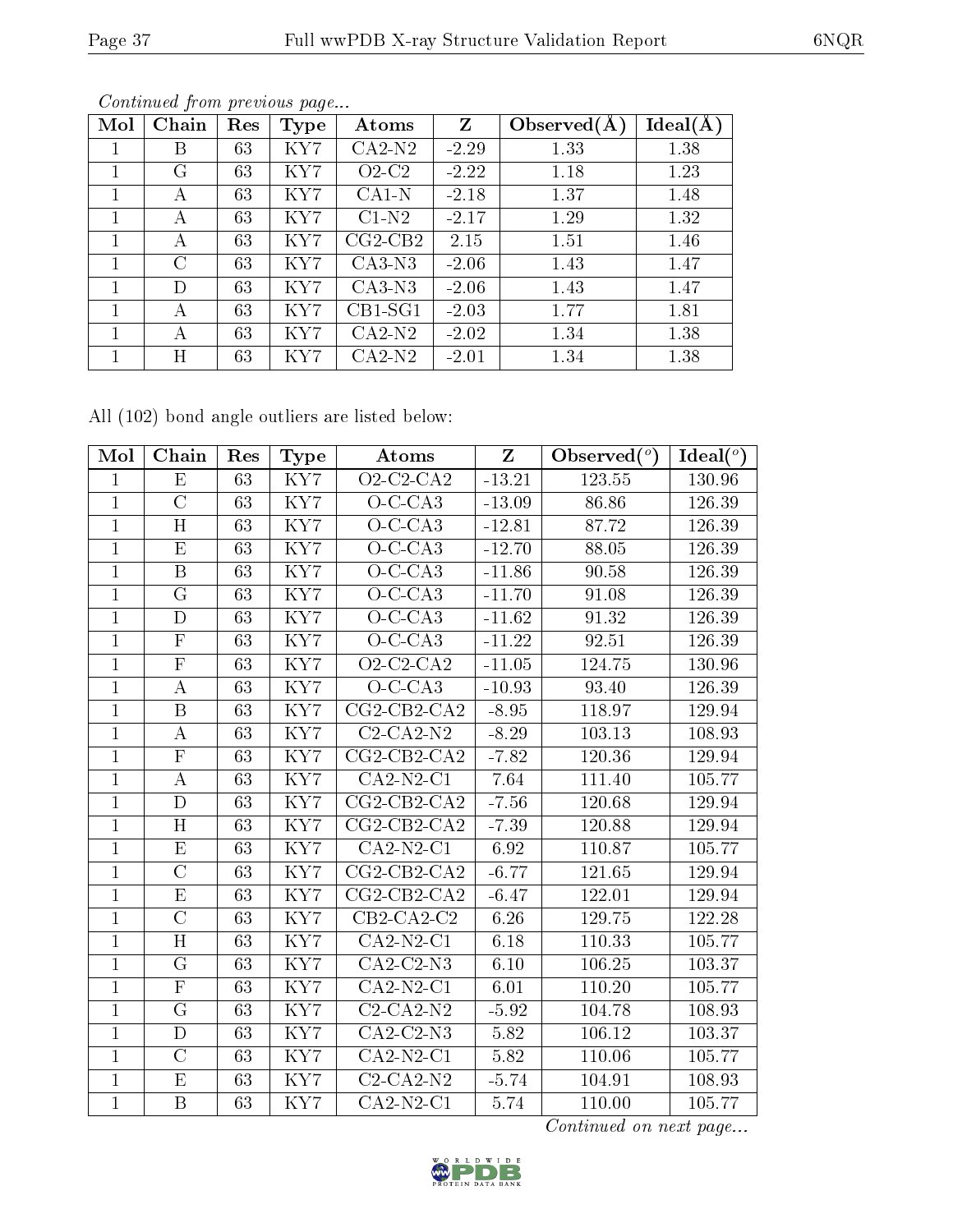| Mol | Chain         | Res | <b>Type</b> | Atoms     | $Z_{\rm}$ | Observed $(A)$ | Ideal(A) |
|-----|---------------|-----|-------------|-----------|-----------|----------------|----------|
|     | B             | 63  | KY7         | $CA2-N2$  | $-2.29$   | 1.33           | 1.38     |
| 1   | G             | 63  | KY7         | $O2-C2$   | $-2.22$   | 1.18           | 1.23     |
|     | А             | 63  | KY7         | $CA1-N$   | $-2.18$   | 1.37           | 1.48     |
|     | А             | 63  | KY7         | $C1-N2$   | $-2.17$   | 1.29           | 1.32     |
| 1   | А             | 63  | KY7         | $CG2-CB2$ | 2.15      | 1.51           | 1.46     |
|     | $\mathcal{C}$ | 63  | KY7         | $CA3-N3$  | $-2.06$   | 1.43           | 1.47     |
|     | D             | 63  | KY7         | $CA3-N3$  | $-2.06$   | 1.43           | 1.47     |
| 1   | А             | 63  | KY7         | $CB1-SG1$ | $-2.03$   | 1.77           | 1.81     |
|     | А             | 63  | KY7         | $CA2-N2$  | $-2.02$   | 1.34           | 1.38     |
|     | Η             | 63  | KY7         | $CA2-N2$  | $-2.01$   | 1.34           | 1.38     |

All (102) bond angle outliers are listed below:

| Mol            | Chain                   | Res             | <b>Type</b>             | Atoms                   | Z        | Observed $(°)$ | Ideal $(°)$   |
|----------------|-------------------------|-----------------|-------------------------|-------------------------|----------|----------------|---------------|
| $\mathbf{1}$   | E                       | 63              | KY7                     | $\overline{O2-C2}$ -CA2 | $-13.21$ | 123.55         | <b>130.96</b> |
| $\mathbf{1}$   | $\overline{C}$          | 63              | KY7                     | $O-C-CA3$               | $-13.09$ | 86.86          | 126.39        |
| $\mathbf{1}$   | $\overline{\rm H}$      | 63              | $\overline{\text{KY7}}$ | $O-C-CA3$               | $-12.81$ | 87.72          | 126.39        |
| $\mathbf{1}$   | $\mathbf{E}% _{0}$      | 63              | KY7                     | $O-C-CA3$               | $-12.70$ | 88.05          | 126.39        |
| $\mathbf{1}$   | $\mathbf B$             | 63              | $\overline{\text{KY7}}$ | $O-C-CA3$               | $-11.86$ | 90.58          | 126.39        |
| $\mathbf{1}$   | G                       | 63              | KY7                     | $O-C-CA3$               | $-11.70$ | 91.08          | 126.39        |
| $\mathbf{1}$   | $\mathbf D$             | 63              | KY7                     | $O-C-CA3$               | $-11.62$ | 91.32          | 126.39        |
| $\mathbf{1}$   | $\overline{\mathrm{F}}$ | 63              | KY7                     | $O-C-CA3$               | $-11.22$ | 92.51          | 126.39        |
| $\overline{1}$ | $\overline{F}$          | 63              | KY7                     | $O2$ -C2-CA2            | $-11.05$ | 124.75         | 130.96        |
| $\mathbf{1}$   | $\bf{A}$                | 63              | KY7                     | $O-C-CA3$               | $-10.93$ | 93.40          | 126.39        |
| $\overline{1}$ | $\overline{B}$          | $\overline{63}$ | KY7                     | $CG2-CB2-CA2$           | $-8.95$  | 118.97         | 129.94        |
| $\mathbf{1}$   | $\boldsymbol{A}$        | 63              | KY7                     | $C2-CA2-N2$             | $-8.29$  | 103.13         | 108.93        |
| $\overline{1}$ | $\overline{\mathrm{F}}$ | 63              | $\overline{\text{KY7}}$ | $CG2-CB2-CA2$           | $-7.82$  | 120.36         | 129.94        |
| $\mathbf{1}$   | $\boldsymbol{A}$        | 63              | KY7                     | $CA2-N2-C1$             | 7.64     | 111.40         | 105.77        |
| $\mathbf{1}$   | $\overline{\rm D}$      | 63              | KY7                     | $CG2-CB2-CA2$           | $-7.56$  | 120.68         | 129.94        |
| $\mathbf{1}$   | H                       | 63              | KY7                     | $CG2-CB2-CA2$           | $-7.39$  | 120.88         | 129.94        |
| $\mathbf{1}$   | E                       | 63              | KY7                     | $CA2-N2-C1$             | 6.92     | 110.87         | 105.77        |
| $\overline{1}$ | $\overline{\rm C}$      | $\overline{63}$ | $\overline{\text{KY7}}$ | $CG2-CB2-CA2$           | $-6.77$  | 121.65         | 129.94        |
| $\mathbf{1}$   | $\mathbf{E}% _{0}$      | 63              | KY7                     | $CG2-CB2-CA2$           | $-6.47$  | 122.01         | 129.94        |
| $\overline{1}$ | $\overline{\rm C}$      | $\overline{63}$ | KY7                     | $CB2-CA2-C2$            | 6.26     | 129.75         | 122.28        |
| $\mathbf{1}$   | H                       | 63              | KY7                     | $CA2-N2-C1$             | 6.18     | 110.33         | 105.77        |
| $\mathbf{1}$   | ${\bf G}$               | 63              | $\rm KY7$               | $\overline{CA2-C2}$ -N3 | 6.10     | 106.25         | 103.37        |
| $\mathbf{1}$   | $\overline{\mathrm{F}}$ | 63              | KY7                     | $CA2-N2-C1$             | 6.01     | 110.20         | 105.77        |
| $\mathbf{1}$   | G                       | 63              | KY7                     | $C2-CA2-N2$             | $-5.92$  | 104.78         | 108.93        |
| $\mathbf{1}$   | $\mathbf D$             | 63              | KY7                     | $CA2-C2-N3$             | 5.82     | 106.12         | 103.37        |
| $\mathbf{1}$   | $\mathcal{C}$           | 63              | KY7                     | $CA2-N2-C1$             | 5.82     | 110.06         | 105.77        |
| $\overline{1}$ | E                       | 63              | $\overline{KY7}$        | $C2-CA2-N2$             | $-5.74$  | 104.91         | 108.93        |
| $\mathbf{1}$   | $\, {\bf B}$            | 63              | KY7                     | $CA2-N2-C1$             | 5.74     | 110.00         | 105.77        |

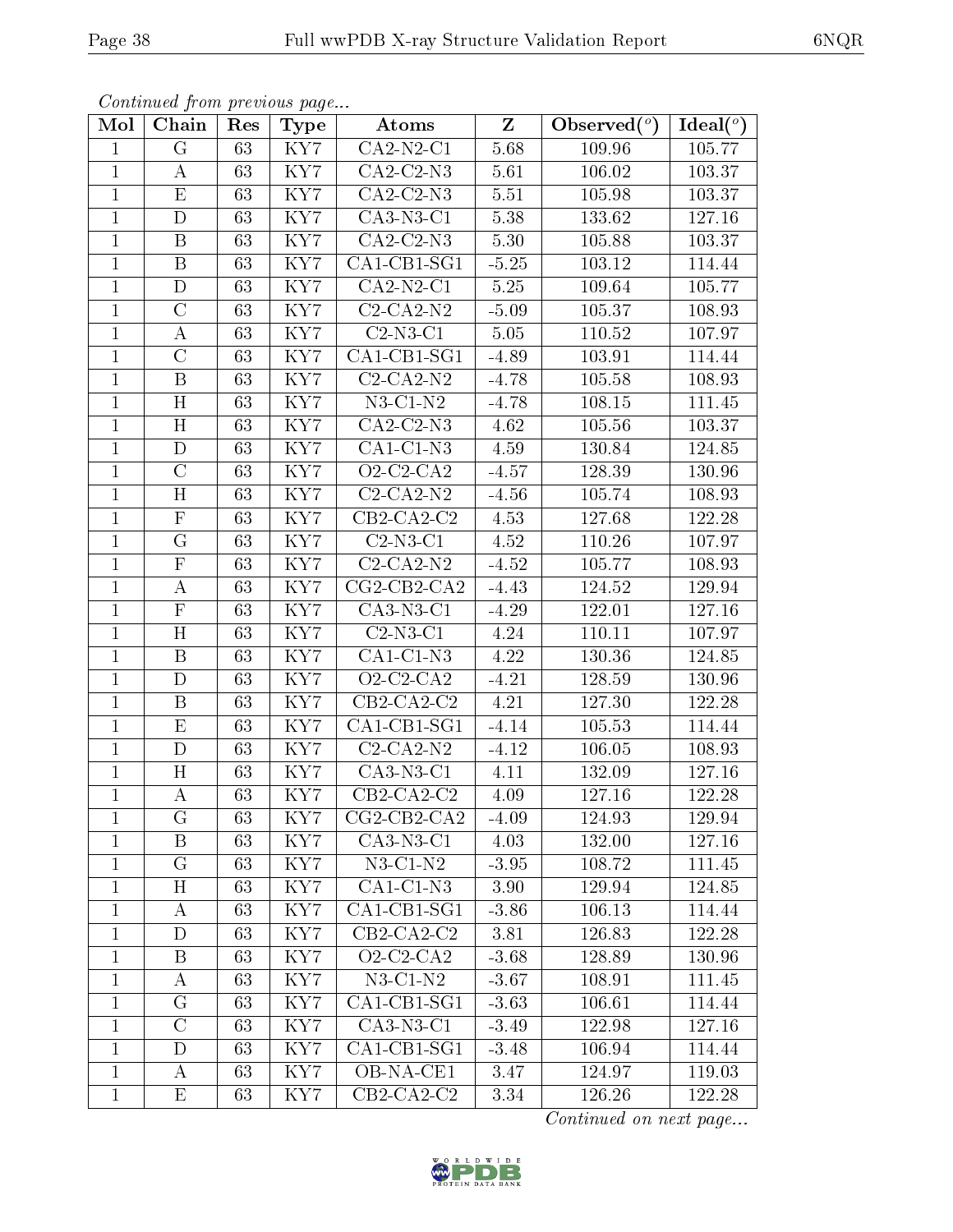| Continued from previous page |  |  |
|------------------------------|--|--|
|                              |  |  |

| Mol            | Chain                     | Res             | <b>Type</b>             | Atoms                        | $\mathbf{Z}$ | Observed $(°)$ | Ideal $(°)$ |
|----------------|---------------------------|-----------------|-------------------------|------------------------------|--------------|----------------|-------------|
| 1              | $\overline{G}$            | 63              | KY7                     | $CA2-N2-C1$                  | 5.68         | 109.96         | 105.77      |
| $\mathbf 1$    | А                         | 63              | KY7                     | $CA2-C2-N3$                  | 5.61         | 106.02         | 103.37      |
| $\mathbf{1}$   | E                         | $\overline{63}$ | $\overline{\text{KY7}}$ | $CA2-C2-N3$                  | 5.51         | 105.98         | 103.37      |
| $\mathbf{1}$   | $\mathbf D$               | 63              | KY7                     | $CA3-N3-C1$                  | 5.38         | 133.62         | 127.16      |
| $\mathbf{1}$   | $\overline{\mathrm{B}}$   | 63              | KY7                     | $\overline{CA2-C2-N3}$       | 5.30         | 105.88         | 103.37      |
| $\mathbf 1$    | $\boldsymbol{B}$          | 63              | KY7                     | CA1-CB1-SG1                  | $-5.25$      | 103.12         | 114.44      |
| $\mathbf 1$    | $\mathbf D$               | 63              | KY7                     | $CA2-N2-C1$                  | $5.25\,$     | 109.64         | 105.77      |
| $\mathbf{1}$   | $\mathcal{C}$             | 63              | KY7                     | $C2-CA2-N2$                  | $-5.09$      | 105.37         | 108.93      |
| $\mathbf{1}$   | А                         | 63              | KY7                     | $C2-N3-C1$                   | 5.05         | 110.52         | 107.97      |
| $\mathbf{1}$   | $\mathcal{C}$             | 63              | KY7                     | $CA1-CB1-SG1$                | $-4.89$      | 103.91         | 114.44      |
| $\mathbf{1}$   | $\boldsymbol{B}$          | 63              | KY7                     | $C2-CA2-N2$                  | $-4.78$      | 105.58         | 108.93      |
| $\mathbf{1}$   | H                         | 63              | KY7                     | $N3$ -C1- $N2$               | $-4.78$      | 108.15         | 111.45      |
| $\mathbf{1}$   | H                         | 63              | KY7                     | $CA2-C2-N3$                  | 4.62         | 105.56         | 103.37      |
| $\mathbf{1}$   | D                         | 63              | KY7                     | $CA1-C1-N3$                  | 4.59         | 130.84         | 124.85      |
| 1              | $\mathcal{C}$             | 63              | KY7                     | $O2$ -C2-CA2                 | $-4.57$      | 128.39         | 130.96      |
| $\mathbf{1}$   | H                         | 63              | KY7                     | $C2-CA2-N2$                  | $-4.56$      | 105.74         | 108.93      |
| $\mathbf{1}$   | $\mathbf F$               | 63              | KY7                     | $CB2-CA2-C2$                 | 4.53         | 127.68         | 122.28      |
| $\mathbf{1}$   | G                         | 63              | KY7                     | $C2-N3-C1$                   | 4.52         | 110.26         | 107.97      |
| $\mathbf{1}$   | $\mathbf F$               | 63              | KY7                     | $C2-CA2-N2$                  | $-4.52$      | 105.77         | 108.93      |
| $\overline{1}$ | $\boldsymbol{A}$          | 63              | KY7                     | $CG2-CB2-CA2$                | $-4.43$      | 124.52         | 129.94      |
| 1              | $\boldsymbol{\mathrm{F}}$ | 63              | KY7                     | $CA3-N3-C1$                  | $-4.29$      | 122.01         | 127.16      |
| $\mathbf{1}$   | $\overline{\mathrm{H}}$   | 63              | KY7                     | $\overline{\text{C2-N3-C1}}$ | 4.24         | 110.11         | 107.97      |
| $\mathbf{1}$   | B                         | 63              | KY7                     | $CA1-C1-N3$                  | 4.22         | 130.36         | 124.85      |
| $\overline{1}$ | $\mathbf{D}$              | $\overline{63}$ | $\overline{\text{KY7}}$ | $Q2-C2-CA2$                  | $-4.21$      | 128.59         | 130.96      |
| 1              | B                         | 63              | KY7                     | $CB2-CA2-C2$                 | 4.21         | 127.30         | 122.28      |
| $\mathbf 1$    | $\rm \bar{E}$             | 63              | KY7                     | CA1-CB1-SG1                  | $-4.14$      | 105.53         | 114.44      |
| $\mathbf{1}$   | $\mathbf D$               | 63              | KY7                     | $C2-CA2-N2$                  | $-4.12$      | 106.05         | 108.93      |
| $\mathbf{1}$   | H                         | 63              | KY7                     | $CA3-N3-C1$                  | 4.11         | 132.09         | 127.16      |
| $\mathbf{1}$   | $\boldsymbol{A}$          | 63              | KY7                     | $CB2-CA2-C2$                 | 4.09         | 127.16         | 122.28      |
| 1              | G                         | 63              | KY7                     | $CG2-CB2-CA2$                | $-4.09$      | 124.93         | 129.94      |
| 1              | $\boldsymbol{B}$          | 63              | KY7                     | $CA3-N3-C1$                  | 4.03         | 132.00         | 127.16      |
| $\mathbf 1$    | $\rm G$                   | 63              | KY7                     | $N3$ -C1- $N2$               | $-3.95$      | 108.72         | 111.45      |
| $\mathbf{1}$   | Η                         | 63              | KY7                     | $CA1-C1-N3$                  | 3.90         | 129.94         | 124.85      |
| 1              | А                         | 63              | KY7                     | CA1-CB1-SG1                  | $-3.86$      | 106.13         | 114.44      |
| $\mathbf{1}$   | D                         | 63              | KY7                     | $CB2-CA2-C2$                 | 3.81         | 126.83         | 122.28      |
| $\mathbf{1}$   | B                         | 63              | KY7                     | $O2-C2-CA2$                  | $-3.68$      | 128.89         | 130.96      |
| $\mathbf{1}$   | A                         | 63              | KY7                     | $N3$ -C1- $N2$               | $-3.67$      | 108.91         | 111.45      |
| $\mathbf{1}$   | G                         | 63              | KY7                     | CA1-CB1-SG1                  | $-3.63$      | 106.61         | 114.44      |
| $\mathbf{1}$   | $\overline{\rm C}$        | 63              | $\overline{\text{KY7}}$ | $CA3-N3-C1$                  | $-3.49$      | 122.98         | 127.16      |
| $\mathbf 1$    | D                         | 63              | KY7                     | $CA1$ -CB1-SG1               | $-3.48$      | 106.94         | 114.44      |
| $\mathbf{1}$   | А                         | 63              | KY7                     | OB-NA-CE1                    | 3.47         | 124.97         | 119.03      |
| $\mathbf 1$    | Ε                         | 63              | KY7                     | $CB2-CA2-C2$                 | 3.34         | 126.26         | 122.28      |

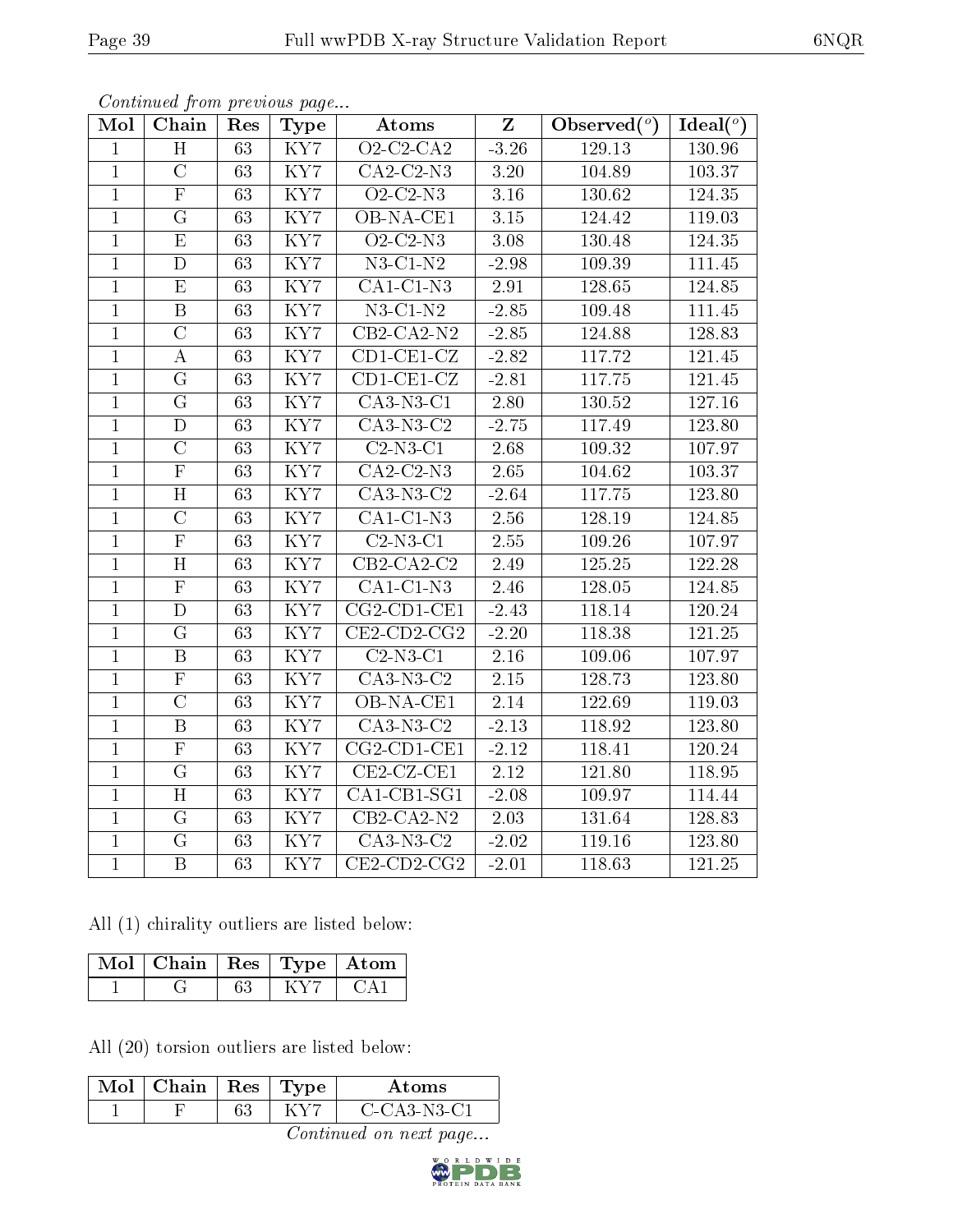| Mol            | Continuea from previous page<br>Chain | Res             | <b>Type</b>             | Atoms                                  | $\overline{\mathbf{Z}}$ | Observed $(°)$ | $Ideal(^o)$ |
|----------------|---------------------------------------|-----------------|-------------------------|----------------------------------------|-------------------------|----------------|-------------|
| $\mathbf{1}$   | $\overline{H}$                        | 63              | $\overline{\text{KY}7}$ | $O2$ -C2-CA2                           | $-3.26$                 | 129.13         | 130.96      |
| $\mathbf{1}$   | $\overline{C}$                        | 63              | KY7                     | $CA2-C2-N3$                            | 3.20                    | 104.89         | 103.37      |
| $\overline{1}$ | $\overline{\mathrm{F}}$               | 63              | KY7                     | $Q2-C2-N3$                             | $3.16\,$                | 130.62         | 124.35      |
| $\overline{1}$ | G                                     | 63              | KY7                     | OB-NA-CE1                              | $3.15\,$                | 124.42         | 119.03      |
| $\overline{1}$ | $\overline{\mathrm{E}}$               | $\overline{63}$ | $\overline{\text{KY7}}$ | $Q2-C2-N3$                             | 3.08                    | 130.48         | 124.35      |
| $\mathbf{1}$   | $\mathbf D$                           | 63              | KY7                     | $N3$ -C1- $N2$                         | $-2.98$                 | 109.39         | 111.45      |
| $\mathbf{1}$   | E                                     | 63              | KY7                     | $CA1-C1-N3$                            | 2.91                    | 128.65         | 124.85      |
| $\overline{1}$ | $\overline{B}$                        | 63              | KY7                     | $N3-C1-N2$                             | $-2.85$                 | 109.48         | 111.45      |
| $\overline{1}$ | $\overline{C}$                        | 63              | KY7                     | $\overline{CB2}$ -CA2-N2               | $-2.85$                 | 124.88         | 128.83      |
| $\mathbf{1}$   | $\bf{A}$                              | 63              | $\overline{\text{KY7}}$ | $\overline{\text{CD1-CE1-CL}}$         | $-2.82$                 | 117.72         | 121.45      |
| $\mathbf{1}$   | G                                     | 63              | KY7                     | $CD1-CE1-CZ$                           | $-2.81$                 | 117.75         | 121.45      |
| $\mathbf{1}$   | $\overline{G}$                        | 63              | KY7                     | $CA3-N3-C1$                            | 2.80                    | 130.52         | 127.16      |
| $\overline{1}$ | D                                     | 63              | $\overline{\text{KY7}}$ | $CA3-N3-C2$                            | $-2.75$                 | 117.49         | 123.80      |
| $\mathbf{1}$   | $\overline{\rm C}$                    | 63              | KY7                     | $C2-N3-C1$                             | 2.68                    | 109.32         | 107.97      |
| $\overline{1}$ | $\overline{\mathrm{F}}$               | 63              | $\overline{\text{KY7}}$ | $CA2-C2-N3$                            | 2.65                    | 104.62         | 103.37      |
| $\mathbf{1}$   | H                                     | 63              | KY7                     | CA3-N3-C2                              | $-2.64$                 | $117.75\,$     | 123.80      |
| $\mathbf{1}$   | $\overline{\rm C}$                    | 63              | KY7                     | $CA1-C1-N3$                            | 2.56                    | 128.19         | 124.85      |
| $\mathbf{1}$   | $\overline{\mathrm{F}}$               | 63              | KY7                     | $C2-N3-C1$                             | 2.55                    | 109.26         | 107.97      |
| $\overline{1}$ | $\overline{\text{H}}$                 | $\overline{63}$ | $\overline{\text{KY7}}$ | $CB2-CA2-C2$                           | 2.49                    | 125.25         | 122.28      |
| $\overline{1}$ | $\overline{\mathrm{F}}$               | 63              | KY7                     | $CA1-C1-N3$                            | 2.46                    | 128.05         | 124.85      |
| $\mathbf{1}$   | $\overline{D}$                        | 63              | KY7                     | $CG2$ -CD1-CE1                         | $-2.43$                 | 118.14         | 120.24      |
| $\overline{1}$ | $\overline{G}$                        | $\overline{63}$ | $\overline{\text{KY7}}$ | $CE2$ -CD2-CG2                         | $-2.20$                 | 118.38         | 121.25      |
| $\mathbf{1}$   | $\boldsymbol{B}$                      | 63              | KY7                     | $C2-N3-C1$                             | 2.16                    | 109.06         | 107.97      |
| $\overline{1}$ | $\overline{\mathrm{F}}$               | $\overline{63}$ | $\overline{\text{KY7}}$ | $\overline{C}$ A3-N3- $\overline{C}$ 2 | $2.15\,$                | 128.73         | 123.80      |
| $\overline{1}$ | $\overline{\rm C}$                    | 63              | KY7                     | OB-NA-CE1                              | $2.14\,$                | 122.69         | 119.03      |
| $\mathbf{1}$   | $\, {\bf B}$                          | 63              | KY7                     | $CA3-N3-C2$                            | $-2.13$                 | 118.92         | 123.80      |
| $\mathbf{1}$   | $\overline{\mathrm{F}}$               | 63              | $\overline{\text{KY7}}$ | $CG2$ -CD1-CE1                         | $-2.12$                 | 118.41         | 120.24      |
| $\mathbf{1}$   | $\overline{G}$                        | 63              | KY7                     | $CE2-CZ-CE1$                           | 2.12                    | 121.80         | 118.95      |
| $\mathbf{1}$   | H                                     | 63              | KY7                     | $CA1-CB1-SG1$                          | $-2.08$                 | 109.97         | 114.44      |
| $\overline{1}$ | G                                     | 63              | KY7                     | $CB2-CA2-N2$                           | 2.03                    | 131.64         | 128.83      |
| $\mathbf 1$    | G                                     | 63              | KY7                     | $CA3-N3-C2$                            | $-2.02$                 | 119.16         | 123.80      |
| $\overline{1}$ | $\overline{B}$                        | 63              | KY7                     | $CE2$ -CD2-CG2                         | $-2.01$                 | 118.63         | 121.25      |

All (1) chirality outliers are listed below:

| $\text{Mol}$   Chain   Res   Type   Atom |  |  |  |
|------------------------------------------|--|--|--|
|                                          |  |  |  |

All (20) torsion outliers are listed below:

| Mol | Chain | $+$ Res $+$ | 'Uype | Atoms          |
|-----|-------|-------------|-------|----------------|
|     |       | 63          |       | $C$ -CA3-N3-C1 |

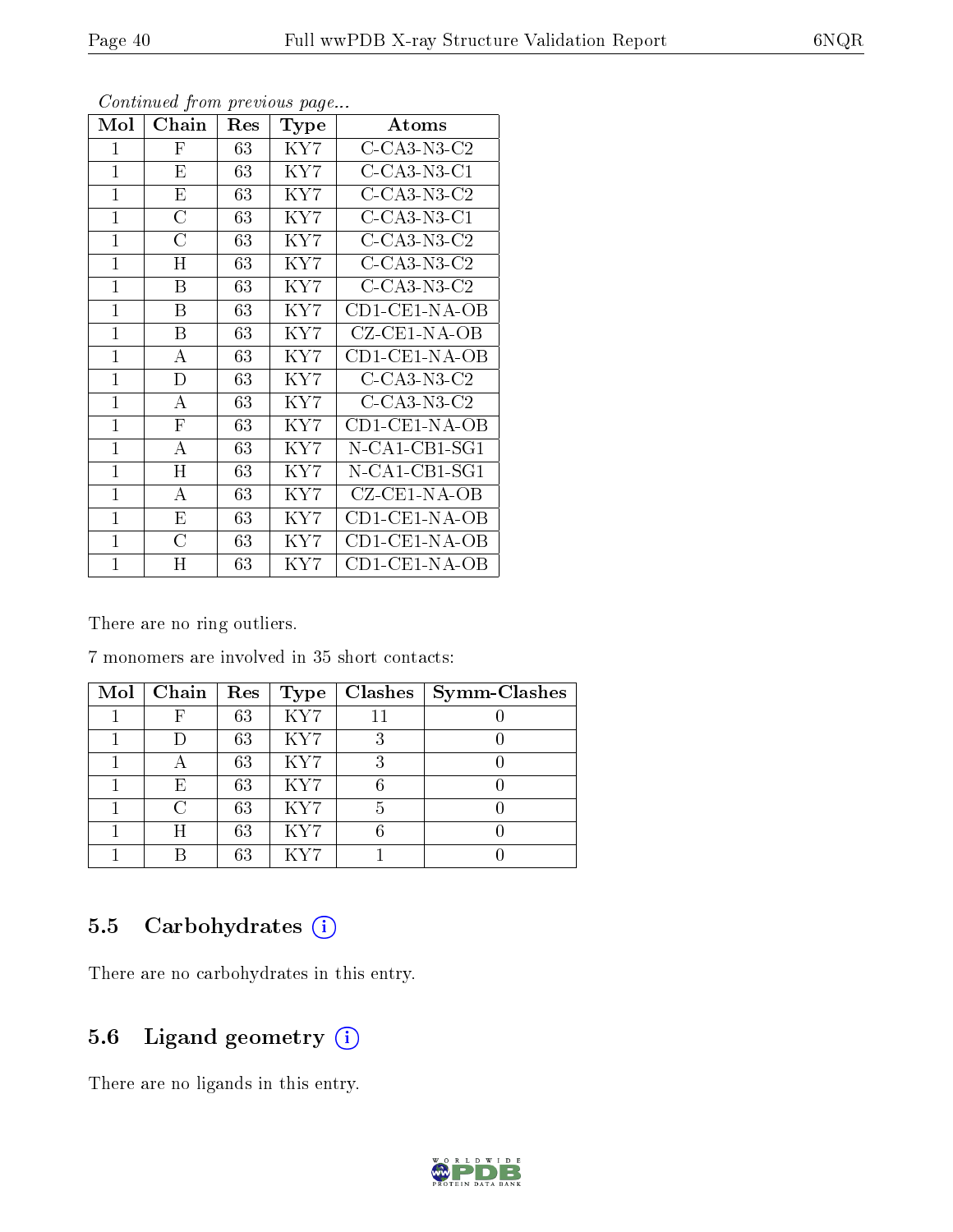| Mol          | Chain                     | $\operatorname{Res}% \left( \mathcal{N}\right) \equiv\operatorname{Res}(\mathcal{N}_{0},\mathcal{N}_{0})$ | Type                 | $\boldsymbol{\mathrm{Atoms}}$                                   |
|--------------|---------------------------|-----------------------------------------------------------------------------------------------------------|----------------------|-----------------------------------------------------------------|
| 1            | F                         | 63                                                                                                        | KY7                  | $C$ -CA3-N3-C2                                                  |
| $\mathbf{1}$ | E                         | 63                                                                                                        | KY7                  | $C$ -CA3-N3-C1                                                  |
| $\mathbf{1}$ | Е                         | 63                                                                                                        | KY7                  | $C$ -CA3-N3-C2                                                  |
| 1            | C                         | 63                                                                                                        | KY7                  | $C$ -CA3-N3-C1                                                  |
| $\mathbf{1}$ | C                         | 63                                                                                                        | KY7                  | $C$ -CA3-N3-C2                                                  |
| $\mathbf{1}$ | H                         | 63                                                                                                        | KY7                  | $C$ -CA3-N3-C2                                                  |
| $\mathbf{1}$ | B                         | 63                                                                                                        | KY7                  | $C$ -CA3-N3-C2                                                  |
| $\mathbf{1}$ | B                         | 63                                                                                                        | KY7                  | $CD1$ - $CE1$ - $NA$ - $OB$                                     |
| $\mathbf{1}$ | B                         | 63                                                                                                        | KY7                  | CZ-CE1-NA-OB                                                    |
| $\mathbf{1}$ | A                         | 63                                                                                                        | KY7                  | CD1-CE1-NA-OB                                                   |
| $\mathbf{1}$ | D                         | 63                                                                                                        | KY7                  | $C$ -CA3-N3-C2                                                  |
| $\mathbf{1}$ | A                         | 63                                                                                                        | KY7                  | $C$ -CA3-N3-C2                                                  |
| 1            | $\boldsymbol{\mathrm{F}}$ | 63                                                                                                        | KY7                  | $CD1$ - $CE1$ - $NA$ - $OB$                                     |
| $\mathbf{1}$ | A                         | 63                                                                                                        | KY7                  | $N\text{-}\mathrm{CA1}\text{-}\mathrm{CB1}\text{-}\mathrm{SG1}$ |
| $\mathbf{1}$ | H                         | 63                                                                                                        | KY7                  | $N\text{-}\mathrm{CA1}\text{-}\mathrm{CB1}\text{-}\mathrm{SG1}$ |
| $\mathbf{1}$ | $\bf{A}$                  | 63                                                                                                        | KY7                  | CZ-CE1-NA-OB                                                    |
| $\mathbf{1}$ | E                         | 63                                                                                                        | $\rm \overline{K}YT$ | $CD1$ - $CE1$ - $NA$ - $OB$                                     |
| $\mathbf{1}$ | C                         | 63                                                                                                        | KY7                  | $CD1$ - $CE1$ - $NA$ - $OB$                                     |
| $\mathbf{1}$ | Η                         | 63                                                                                                        | KY7                  | $CD1$ - $CE1$ - $NA$ - $OB$                                     |

There are no ring outliers.

7 monomers are involved in 35 short contacts:

| $Mol$   Chain | ${\mathop{\mathrm{Res}}\nolimits}$ | Type | <b>Clashes</b> | $Symm$ -Clashes |
|---------------|------------------------------------|------|----------------|-----------------|
|               | 63                                 | KY7  |                |                 |
|               | 63                                 | KY7  | ्              |                 |
|               | 63                                 | KY7  | 3              |                 |
| Ε             | 63                                 | KY7  |                |                 |
| C             | 63                                 | KY7  | 5              |                 |
| Η             | 63                                 | KY7  |                |                 |
|               | 63                                 | KV7  |                |                 |

### 5.5 Carbohydrates (i)

There are no carbohydrates in this entry.

### 5.6 Ligand geometry (i)

There are no ligands in this entry.

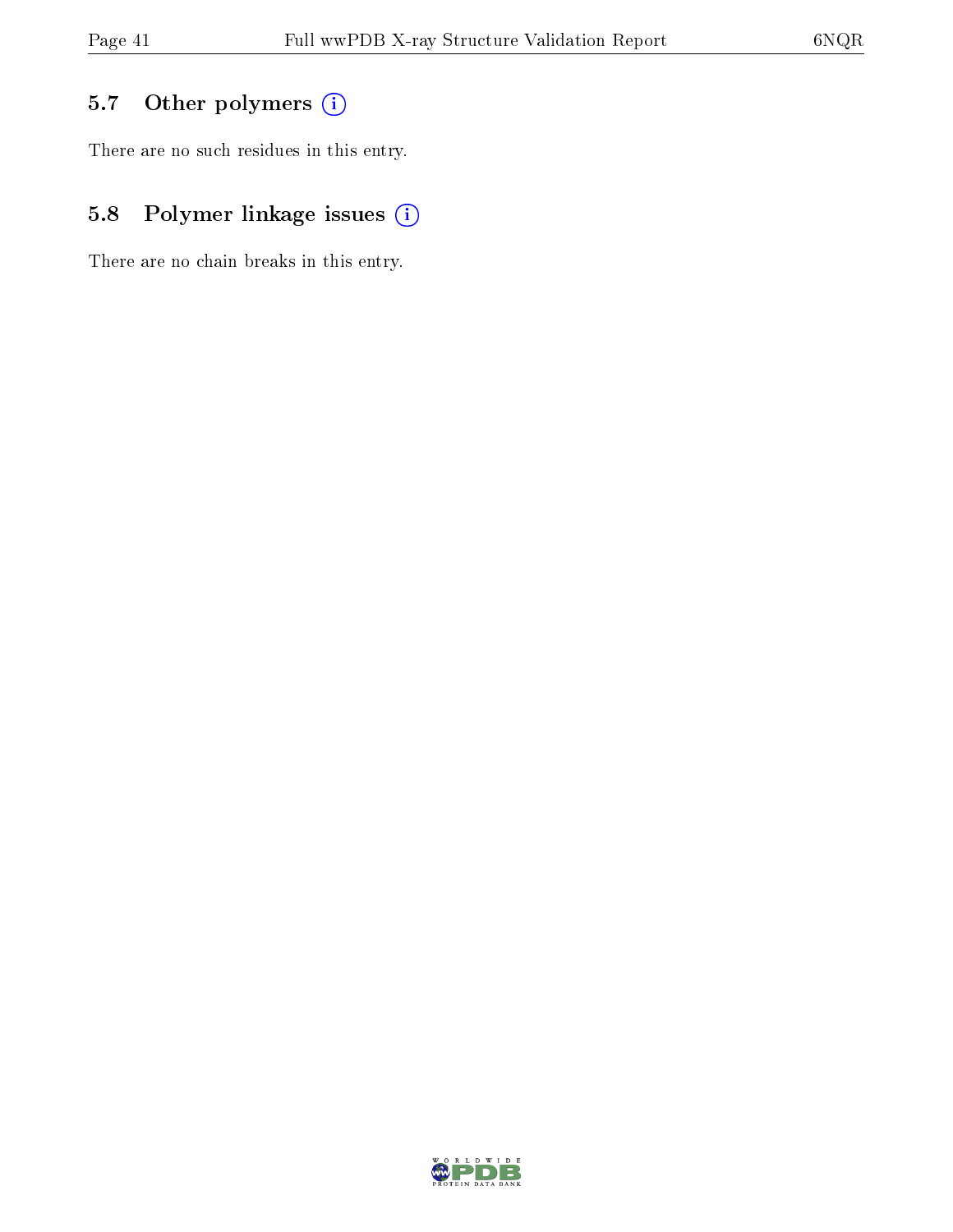## 5.7 [O](https://www.wwpdb.org/validation/2017/XrayValidationReportHelp#nonstandard_residues_and_ligands)ther polymers (i)

There are no such residues in this entry.

## 5.8 Polymer linkage issues (i)

There are no chain breaks in this entry.

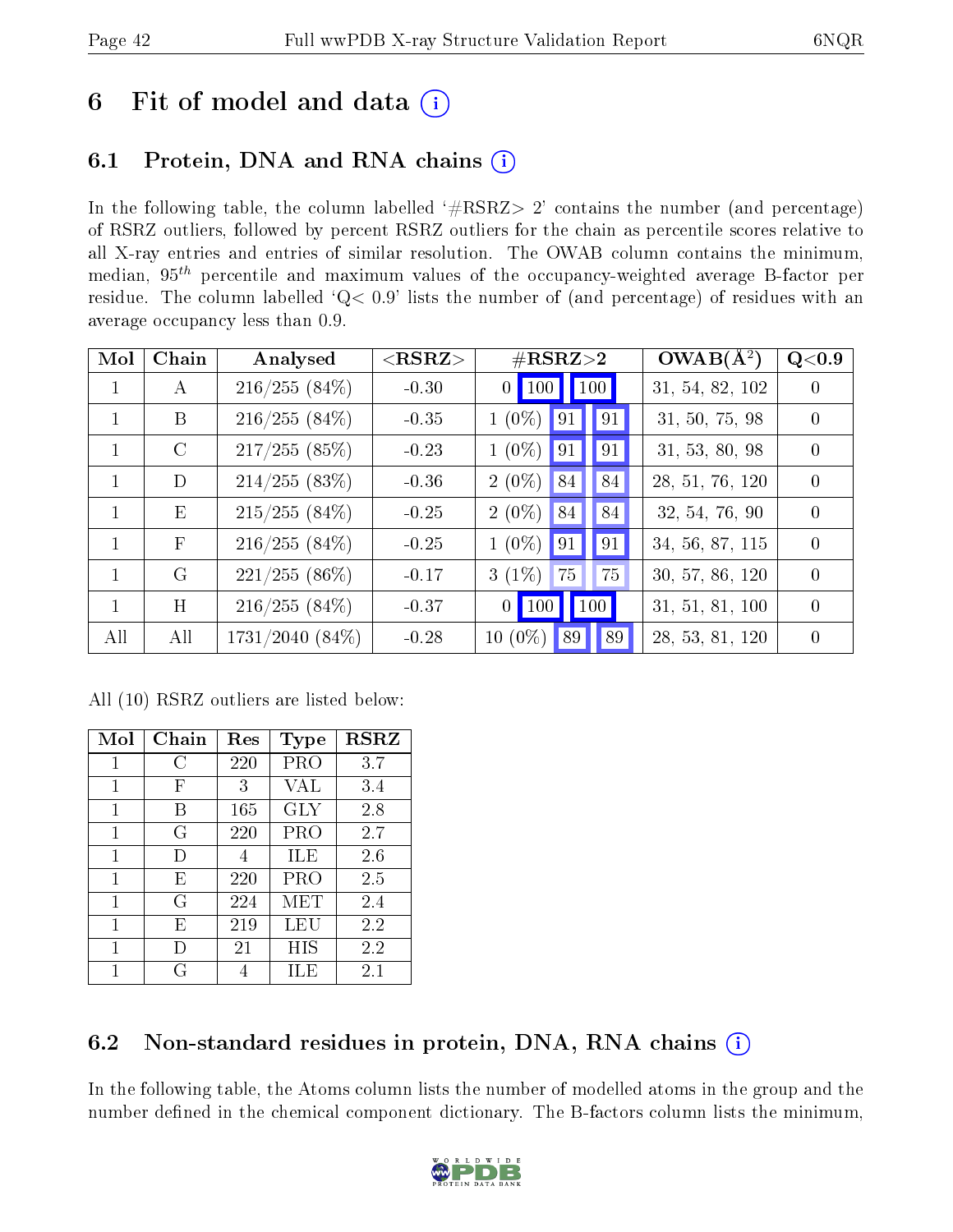# 6 Fit of model and data  $(i)$

## 6.1 Protein, DNA and RNA chains (i)

In the following table, the column labelled  $#RSRZ>2'$  contains the number (and percentage) of RSRZ outliers, followed by percent RSRZ outliers for the chain as percentile scores relative to all X-ray entries and entries of similar resolution. The OWAB column contains the minimum, median,  $95<sup>th</sup>$  percentile and maximum values of the occupancy-weighted average B-factor per residue. The column labelled ' $Q< 0.9$ ' lists the number of (and percentage) of residues with an average occupancy less than 0.9.

| Mol          | Chain        | Analysed             | ${ <\hspace{-1.5pt}{\mathrm{RSRZ}} \hspace{-1.5pt}>}$ | $\#\text{RSRZ}{>}2$                                          | $OWAB(A^2)$     | Q<0.9            |
|--------------|--------------|----------------------|-------------------------------------------------------|--------------------------------------------------------------|-----------------|------------------|
| $\mathbf{1}$ | $\mathbf{A}$ | $216/255(84\%)$      | $-0.30$                                               | $0$   100   100                                              | 31, 54, 82, 102 | $\left( \right)$ |
| $\mathbf{1}$ | B            | $216/255(84\%)$      | $-0.35$                                               | $1(0\%)$<br> 91<br>91                                        | 31, 50, 75, 98  | $\left( \right)$ |
|              | $\rm C$      | $217/255(85\%)$      | $-0.23$                                               | 91<br>$1(0\%)$<br>$\sqrt{91}$                                | 31, 53, 80, 98  | $\left( \right)$ |
| $\mathbf{1}$ | D            | 214/255(83%)         | $-0.36$                                               | 84<br>$2(0\%)$<br>84                                         | 28, 51, 76, 120 | $\Omega$         |
| $\mathbf{1}$ | Ε            | $215/255(84\%)$      | $-0.25$                                               | 84<br>$2(0\%)$<br>84                                         | 32, 54, 76, 90  | $\Omega$         |
| 1            | $\mathbf F$  | $216/255(84\%)$      | $-0.25$                                               | $1(0\%)$<br>91<br>91                                         | 34, 56, 87, 115 | $\Omega$         |
| $\mathbf{1}$ | G            | $221/255(86\%)$      | $-0.17$                                               | $3(1\%)$<br>75<br>75                                         | 30, 57, 86, 120 | $\Omega$         |
| $\mathbf{1}$ | H            | $216/255(84\%)$      | $-0.37$                                               | $\vert$ 100 $\vert$<br>$\vert$ 100 $\vert$<br>0 <sup>1</sup> | 31, 51, 81, 100 | $\Omega$         |
| All          | All          | $1731/2040$ $(84\%)$ | $-0.28$                                               | $10(0\%)$<br> 89 <br>89                                      | 28, 53, 81, 120 | $\left($         |

All (10) RSRZ outliers are listed below:

| Mol | Chain | Res | <b>Type</b> | <b>RSRZ</b> |
|-----|-------|-----|-------------|-------------|
| 1   | G     | 220 | PRO         | 3.7         |
| 1   | F     | 3   | VAL         | 3.4         |
| 1   | В     | 165 | <b>GLY</b>  | 2.8         |
| 1   | G     | 220 | PRO         | 2.7         |
| 1   | D     | 4   | ILE         | 2.6         |
| 1   | E     | 220 | PRO         | 2.5         |
| 1   | G     | 224 | MET         | 2.4         |
| 1   | E     | 219 | LEU         | 2.2         |
| 1   |       | 21  | HIS         | 2.2         |
| 1   | G     |     | ILE         | 2.1         |

## 6.2 Non-standard residues in protein, DNA, RNA chains (i)

In the following table, the Atoms column lists the number of modelled atoms in the group and the number defined in the chemical component dictionary. The B-factors column lists the minimum,